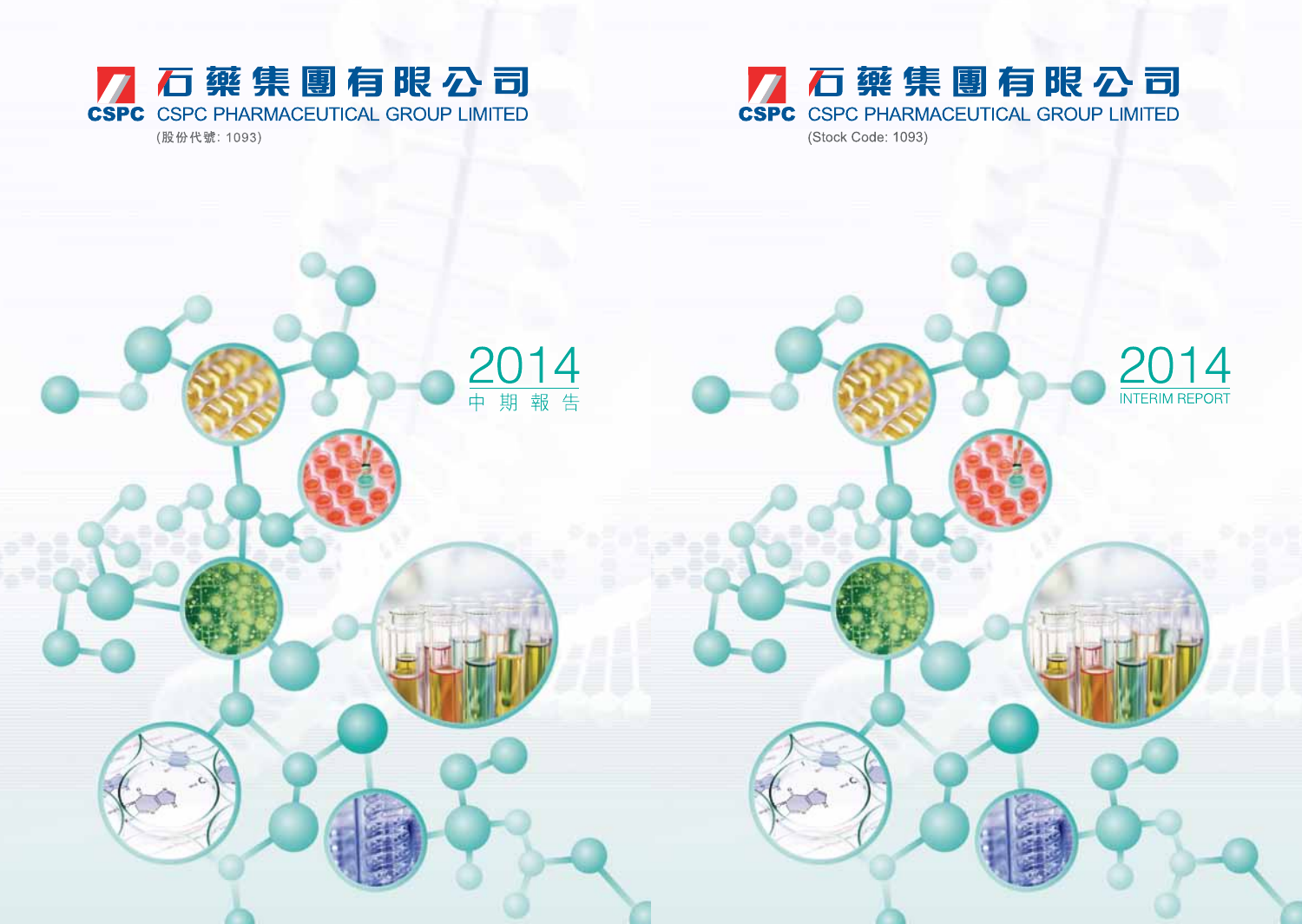# 石藥集團有限公司 CSPC CSPC PHARMACEUTICAL GROUP LIMITED (Stock Code: 1093)

U14 2 INTERIM REPORT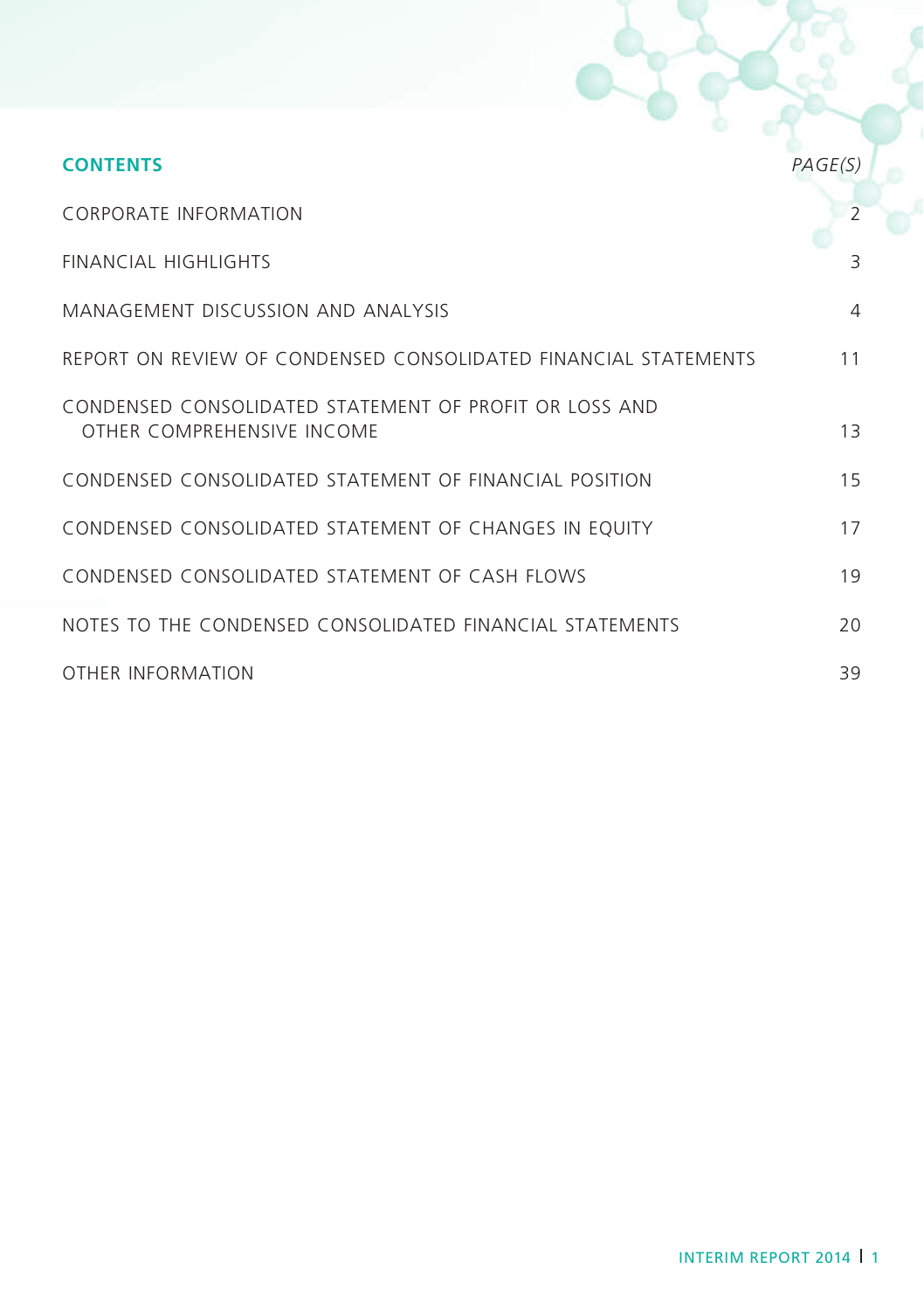| <b>CONTENTS</b>                                                                      | PAGE(S) |
|--------------------------------------------------------------------------------------|---------|
| <b>CORPORATE INFORMATION</b>                                                         | 2       |
| FINANCIAL HIGHLIGHTS                                                                 | 3       |
| MANAGEMENT DISCUSSION AND ANALYSIS                                                   | 4       |
| REPORT ON REVIEW OF CONDENSED CONSOLIDATED FINANCIAL STATEMENTS                      | 11      |
| CONDENSED CONSOLIDATED STATEMENT OF PROFIT OR LOSS AND<br>OTHER COMPREHENSIVE INCOME | 13      |
| CONDENSED CONSOLIDATED STATEMENT OF FINANCIAL POSITION                               | 15      |
| CONDENSED CONSOLIDATED STATEMENT OF CHANGES IN EQUITY                                | 17      |
| CONDENSED CONSOLIDATED STATEMENT OF CASH FLOWS                                       | 19      |
| NOTES TO THE CONDENSED CONSOLIDATED FINANCIAL STATEMENTS                             | 20      |
| OTHER INFORMATION                                                                    | 39      |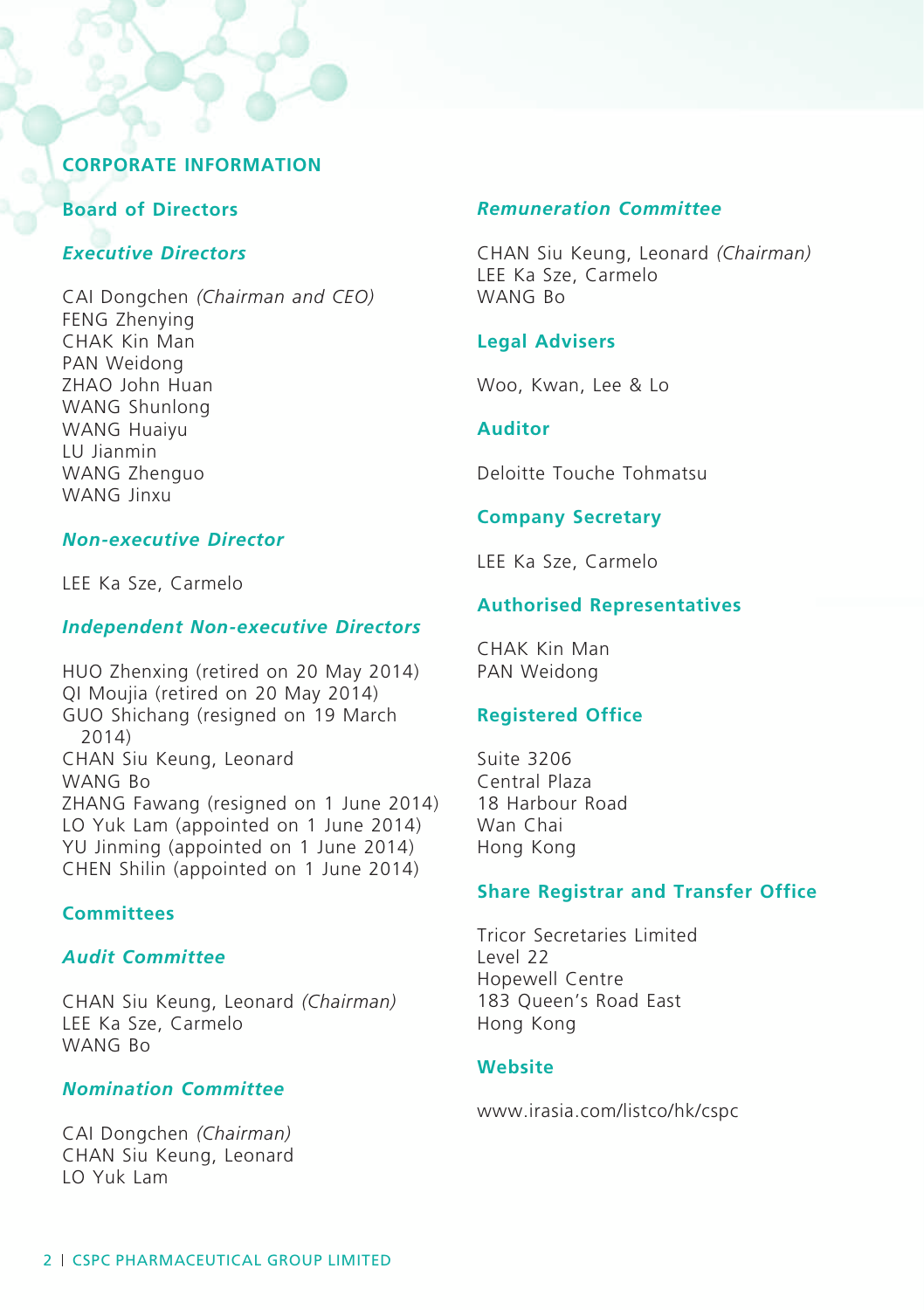### **Corporate Information**

### **Board of Directors**

### *Executive Directors*

CAI Dongchen *(Chairman and CEO)* FENG Zhenying CHAK Kin Man PAN Weidong ZHAO John Huan WANG Shunlong WANG Huaiyu LU Jianmin WANG Zhenguo WANG linxu

#### *Non-executive Director*

LEE Ka Sze, Carmelo

#### *Independent Non-executive Directors*

HUO Zhenxing (retired on 20 May 2014) QI Moujia (retired on 20 May 2014) GUO Shichang (resigned on 19 March 2014) CHAN Siu Keung, Leonard WANG Bo ZHANG Fawang (resigned on 1 June 2014) LO Yuk Lam (appointed on 1 June 2014) YU Jinming (appointed on 1 June 2014) CHEN Shilin (appointed on 1 June 2014)

### **Committees**

### *Audit Committee*

CHAN Siu Keung, Leonard *(Chairman)* LEE Ka Sze, Carmelo WANG Bo

### *Nomination Committee*

CAI Dongchen *(Chairman)* CHAN Siu Keung, Leonard LO Yuk Lam

### *Remuneration Committee*

CHAN Siu Keung, Leonard *(Chairman)* LEE Ka Sze, Carmelo WANG Bo

#### **Legal Advisers**

Woo, Kwan, Lee & Lo

### **Auditor**

Deloitte Touche Tohmatsu

### **Company Secretary**

LEE Ka Sze, Carmelo

### **Authorised Representatives**

CHAK Kin Man PAN Weidong

### **Registered Office**

Suite 3206 Central Plaza 18 Harbour Road Wan Chai Hong Kong

#### **Share Registrar and Transfer Office**

Tricor Secretaries Limited Level 22 Hopewell Centre 183 Queen's Road East Hong Kong

### **Website**

www.irasia.com/listco/hk/cspc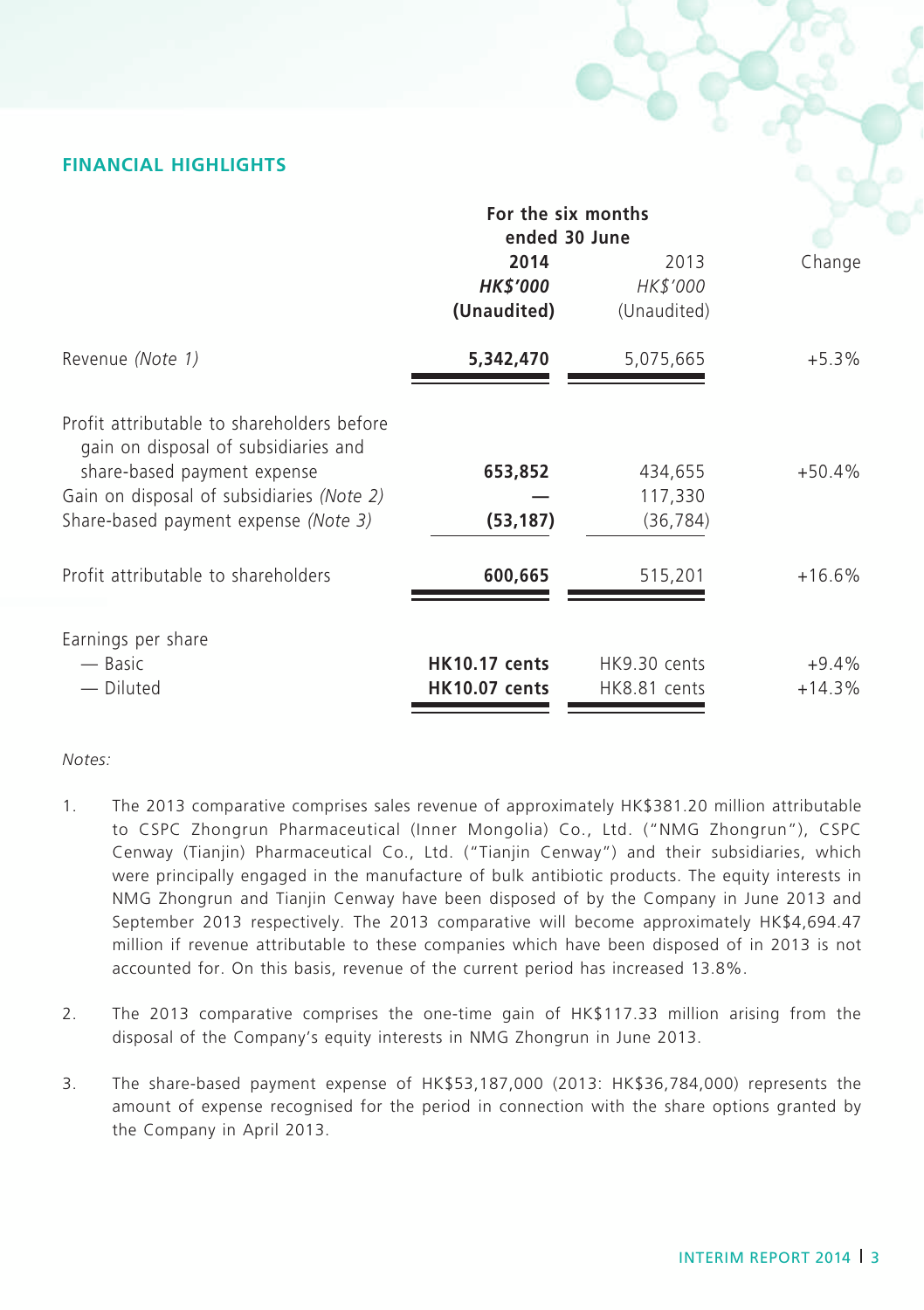# **FINANCIAL HIGHLIGHTS**

|                                                                                                                                                                                                        | For the six months<br>ended 30 June          |                                 |                     |
|--------------------------------------------------------------------------------------------------------------------------------------------------------------------------------------------------------|----------------------------------------------|---------------------------------|---------------------|
|                                                                                                                                                                                                        | 2014<br><b>HK\$'000</b><br>(Unaudited)       | 2013<br>HK\$'000<br>(Unaudited) | Change              |
| Revenue (Note 1)                                                                                                                                                                                       | 5,342,470                                    | 5,075,665                       | $+5.3%$             |
| Profit attributable to shareholders before<br>gain on disposal of subsidiaries and<br>share-based payment expense<br>Gain on disposal of subsidiaries (Note 2)<br>Share-based payment expense (Note 3) | 653,852<br>(53, 187)                         | 434,655<br>117,330<br>(36, 784) | $+50.4%$            |
| Profit attributable to shareholders                                                                                                                                                                    | 600,665                                      | 515,201                         | $+16.6%$            |
| Earnings per share<br>— Basic<br>- Diluted                                                                                                                                                             | <b>HK10.17 cents</b><br><b>HK10.07 cents</b> | HK9.30 cents<br>HK8.81 cents    | $+9.4%$<br>$+14.3%$ |

#### *Notes:*

- 1. The 2013 comparative comprises sales revenue of approximately HK\$381.20 million attributable to CSPC Zhongrun Pharmaceutical (Inner Mongolia) Co., Ltd. ("NMG Zhongrun"), CSPC Cenway (Tianjin) Pharmaceutical Co., Ltd. ("Tianjin Cenway") and their subsidiaries, which were principally engaged in the manufacture of bulk antibiotic products. The equity interests in NMG Zhongrun and Tianjin Cenway have been disposed of by the Company in June 2013 and September 2013 respectively. The 2013 comparative will become approximately HK\$4,694.47 million if revenue attributable to these companies which have been disposed of in 2013 is not accounted for. On this basis, revenue of the current period has increased 13.8%.
- 2. The 2013 comparative comprises the one-time gain of HK\$117.33 million arising from the disposal of the Company's equity interests in NMG Zhongrun in June 2013.
- 3. The share-based payment expense of HK\$53,187,000 (2013: HK\$36,784,000) represents the amount of expense recognised for the period in connection with the share options granted by the Company in April 2013.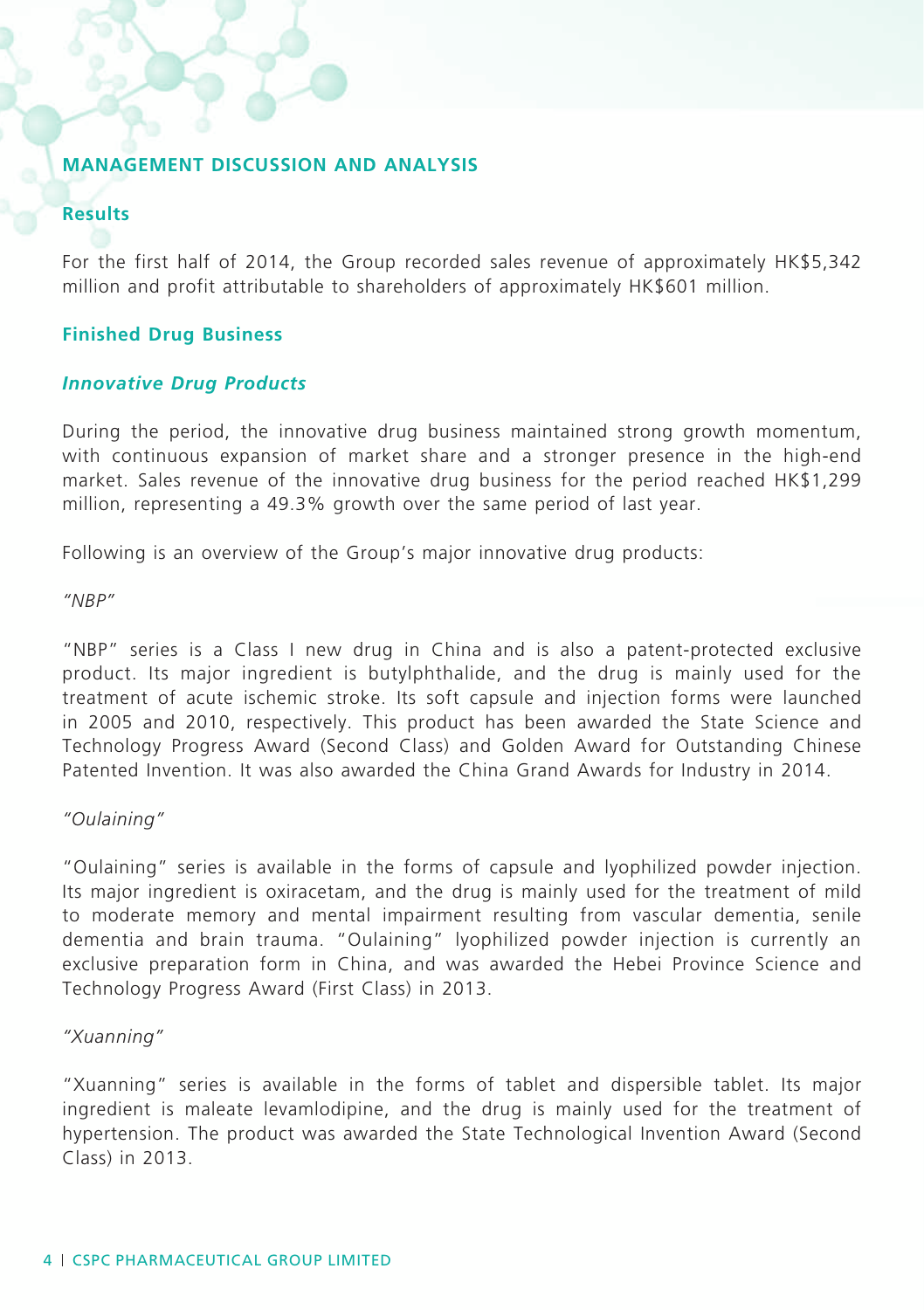### **MANAGEMENT DISCUSSION AND ANALYSIS**

# **Results**

For the first half of 2014, the Group recorded sales revenue of approximately HK\$5,342 million and profit attributable to shareholders of approximately HK\$601 million.

### **Finished Drug Business**

### *Innovative Drug Products*

During the period, the innovative drug business maintained strong growth momentum, with continuous expansion of market share and a stronger presence in the high-end market. Sales revenue of the innovative drug business for the period reached HK\$1,299 million, representing a 49.3% growth over the same period of last year.

Following is an overview of the Group's major innovative drug products:

*"NBP"*

"NBP" series is a Class I new drug in China and is also a patent-protected exclusive product. Its major ingredient is butylphthalide, and the drug is mainly used for the treatment of acute ischemic stroke. Its soft capsule and injection forms were launched in 2005 and 2010, respectively. This product has been awarded the State Science and Technology Progress Award (Second Class) and Golden Award for Outstanding Chinese Patented Invention. It was also awarded the China Grand Awards for Industry in 2014.

### *"Oulaining"*

"Oulaining" series is available in the forms of capsule and lyophilized powder injection. Its major ingredient is oxiracetam, and the drug is mainly used for the treatment of mild to moderate memory and mental impairment resulting from vascular dementia, senile dementia and brain trauma. "Oulaining" lyophilized powder injection is currently an exclusive preparation form in China, and was awarded the Hebei Province Science and Technology Progress Award (First Class) in 2013.

### *"Xuanning"*

"Xuanning" series is available in the forms of tablet and dispersible tablet. Its major ingredient is maleate levamlodipine, and the drug is mainly used for the treatment of hypertension. The product was awarded the State Technological Invention Award (Second Class) in 2013.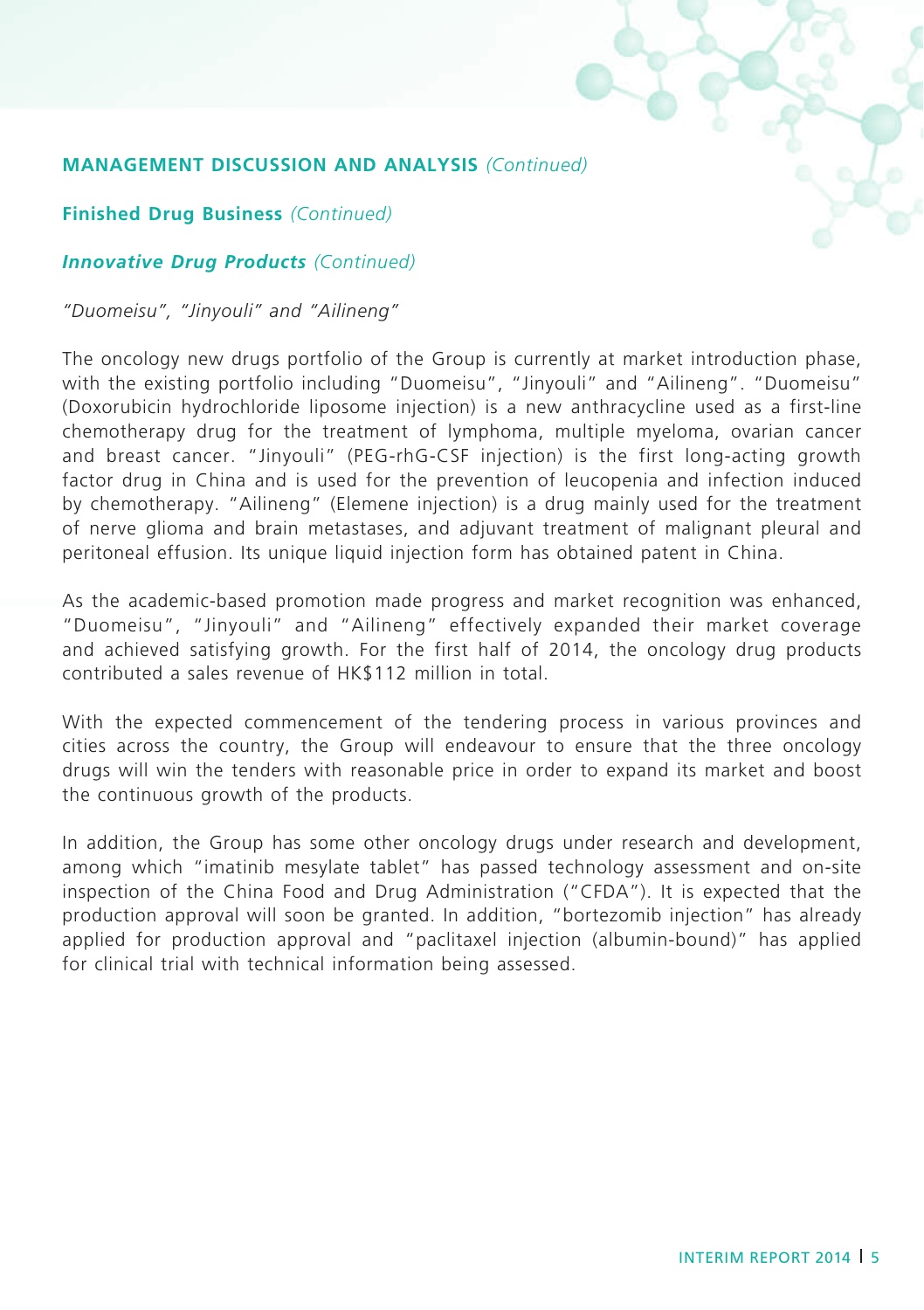**Finished Drug Business** *(Continued)*

## *Innovative Drug Products (Continued)*

*"Duomeisu", "Jinyouli" and "Ailineng"*

The oncology new drugs portfolio of the Group is currently at market introduction phase, with the existing portfolio including "Duomeisu", "Jinyouli" and "Ailineng". "Duomeisu" (Doxorubicin hydrochloride liposome injection) is a new anthracycline used as a first-line chemotherapy drug for the treatment of lymphoma, multiple myeloma, ovarian cancer and breast cancer. "Jinyouli" (PEG-rhG-CSF injection) is the first long-acting growth factor drug in China and is used for the prevention of leucopenia and infection induced by chemotherapy. "Ailineng" (Elemene injection) is a drug mainly used for the treatment of nerve glioma and brain metastases, and adjuvant treatment of malignant pleural and peritoneal effusion. Its unique liquid injection form has obtained patent in China.

As the academic-based promotion made progress and market recognition was enhanced, "Duomeisu", "Jinyouli" and "Ailineng" effectively expanded their market coverage and achieved satisfying growth. For the first half of 2014, the oncology drug products contributed a sales revenue of HK\$112 million in total.

With the expected commencement of the tendering process in various provinces and cities across the country, the Group will endeavour to ensure that the three oncology drugs will win the tenders with reasonable price in order to expand its market and boost the continuous growth of the products.

In addition, the Group has some other oncology drugs under research and development, among which "imatinib mesylate tablet" has passed technology assessment and on-site inspection of the China Food and Drug Administration ("CFDA"). It is expected that the production approval will soon be granted. In addition, "bortezomib injection" has already applied for production approval and "paclitaxel injection (albumin-bound)" has applied for clinical trial with technical information being assessed.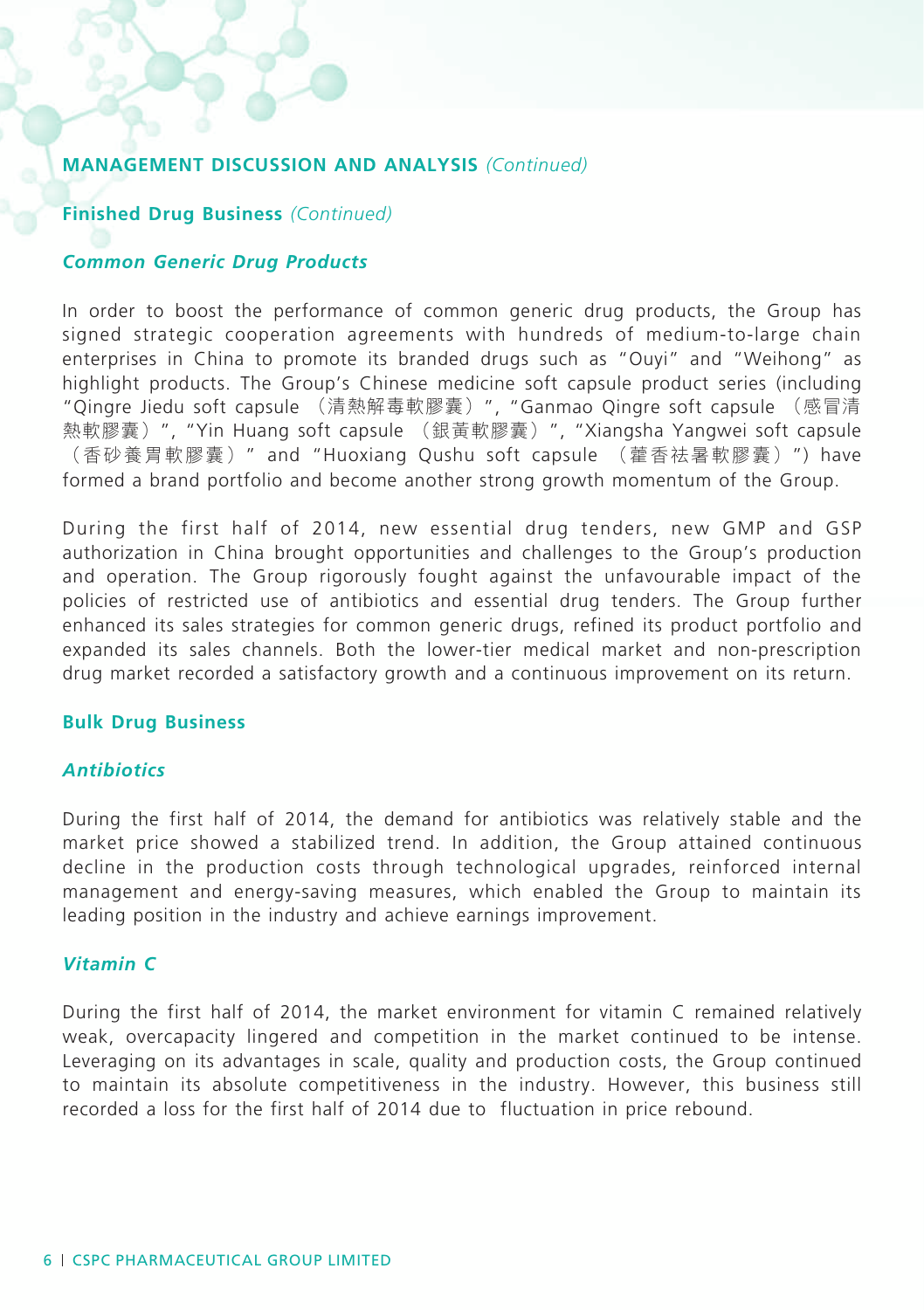### **Finished Drug Business** *(Continued)*

#### *Common Generic Drug Products*

In order to boost the performance of common generic drug products, the Group has signed strategic cooperation agreements with hundreds of medium-to-large chain enterprises in China to promote its branded drugs such as "Ouyi" and "Weihong" as highlight products. The Group's Chinese medicine soft capsule product series (including "Qingre Jiedu soft capsule (清熱解毒軟膠囊)", "Ganmao Qingre soft capsule (感冒清 熱軟膠囊)", "Yin Huang soft capsule (銀黃軟膠囊)", "Xiangsha Yangwei soft capsule (香砂養胃軟膠囊)" and "Huoxiang Qushu soft capsule (藿香祛暑軟膠囊)") have formed a brand portfolio and become another strong growth momentum of the Group.

During the first half of 2014, new essential drug tenders, new GMP and GSP authorization in China brought opportunities and challenges to the Group's production and operation. The Group rigorously fought against the unfavourable impact of the policies of restricted use of antibiotics and essential drug tenders. The Group further enhanced its sales strategies for common generic drugs, refined its product portfolio and expanded its sales channels. Both the lower-tier medical market and non-prescription drug market recorded a satisfactory growth and a continuous improvement on its return.

### **Bulk Drug Business**

### *Antibiotics*

During the first half of 2014, the demand for antibiotics was relatively stable and the market price showed a stabilized trend. In addition, the Group attained continuous decline in the production costs through technological upgrades, reinforced internal management and energy-saving measures, which enabled the Group to maintain its leading position in the industry and achieve earnings improvement.

### *Vitamin C*

During the first half of 2014, the market environment for vitamin C remained relatively weak, overcapacity lingered and competition in the market continued to be intense. Leveraging on its advantages in scale, quality and production costs, the Group continued to maintain its absolute competitiveness in the industry. However, this business still recorded a loss for the first half of 2014 due to fluctuation in price rebound.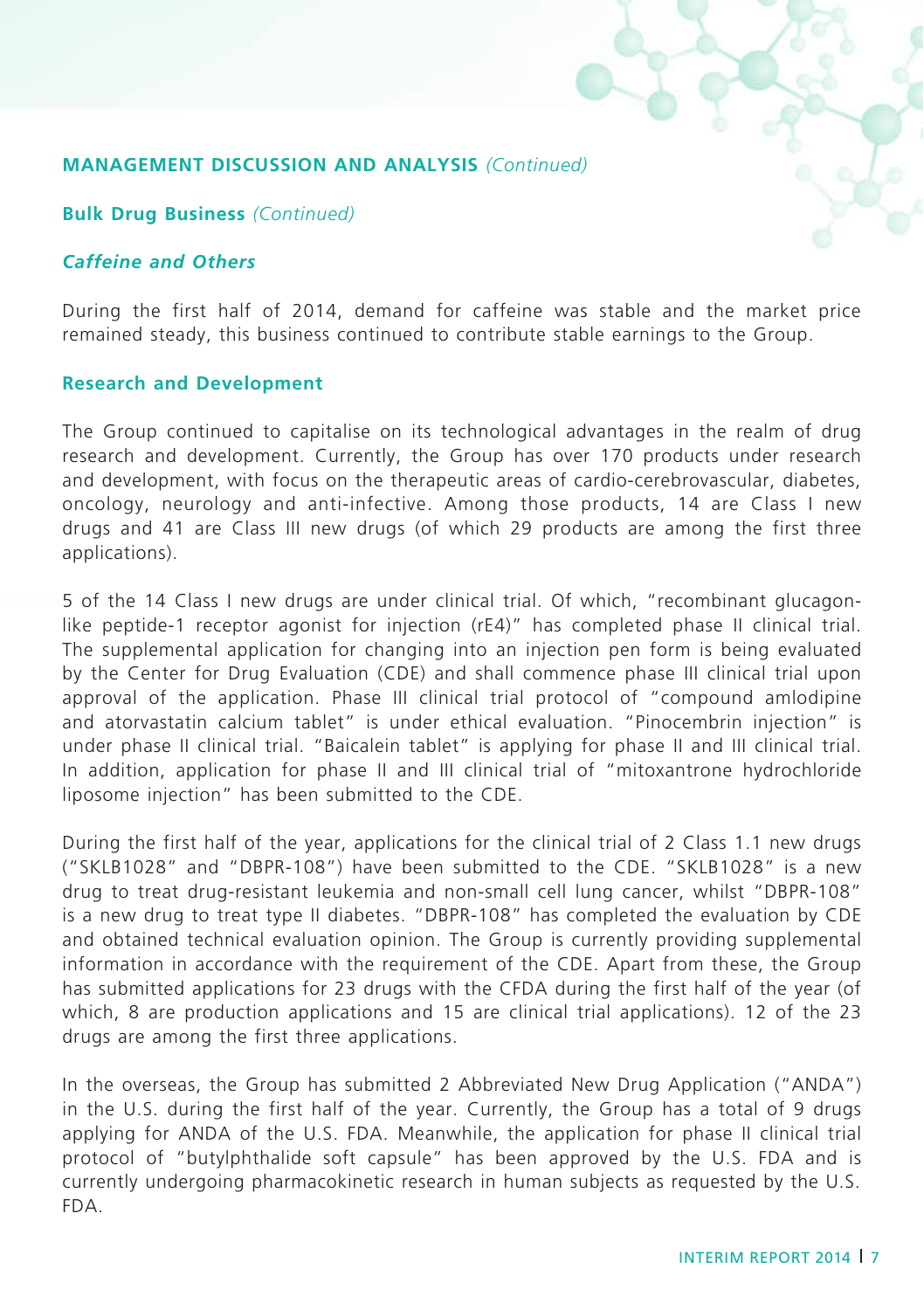### **Bulk Drug Business** *(Continued)*

# *Caffeine and Others*

During the first half of 2014, demand for caffeine was stable and the market price remained steady, this business continued to contribute stable earnings to the Group.

### **Research and Development**

The Group continued to capitalise on its technological advantages in the realm of drug research and development. Currently, the Group has over 170 products under research and development, with focus on the therapeutic areas of cardio-cerebrovascular, diabetes, oncology, neurology and anti-infective. Among those products, 14 are Class I new drugs and 41 are Class III new drugs (of which 29 products are among the first three applications).

5 of the 14 Class I new drugs are under clinical trial. Of which, "recombinant glucagonlike peptide-1 receptor agonist for injection (rE4)" has completed phase II clinical trial. The supplemental application for changing into an injection pen form is being evaluated by the Center for Drug Evaluation (CDE) and shall commence phase III clinical trial upon approval of the application. Phase III clinical trial protocol of "compound amlodipine and atorvastatin calcium tablet" is under ethical evaluation. "Pinocembrin injection" is under phase II clinical trial. "Baicalein tablet" is applying for phase II and III clinical trial. In addition, application for phase II and III clinical trial of "mitoxantrone hydrochloride liposome injection" has been submitted to the CDE.

During the first half of the year, applications for the clinical trial of 2 Class 1.1 new drugs ("SKLB1028" and "DBPR-108") have been submitted to the CDE. "SKLB1028" is a new drug to treat drug-resistant leukemia and non-small cell lung cancer, whilst "DBPR-108" is a new drug to treat type II diabetes. "DBPR-108" has completed the evaluation by CDE and obtained technical evaluation opinion. The Group is currently providing supplemental information in accordance with the requirement of the CDE. Apart from these, the Group has submitted applications for 23 drugs with the CFDA during the first half of the year (of which, 8 are production applications and 15 are clinical trial applications). 12 of the 23 drugs are among the first three applications.

In the overseas, the Group has submitted 2 Abbreviated New Drug Application ("ANDA") in the U.S. during the first half of the year. Currently, the Group has a total of 9 drugs applying for ANDA of the U.S. FDA. Meanwhile, the application for phase II clinical trial protocol of "butylphthalide soft capsule" has been approved by the U.S. FDA and is currently undergoing pharmacokinetic research in human subjects as requested by the U.S. FDA.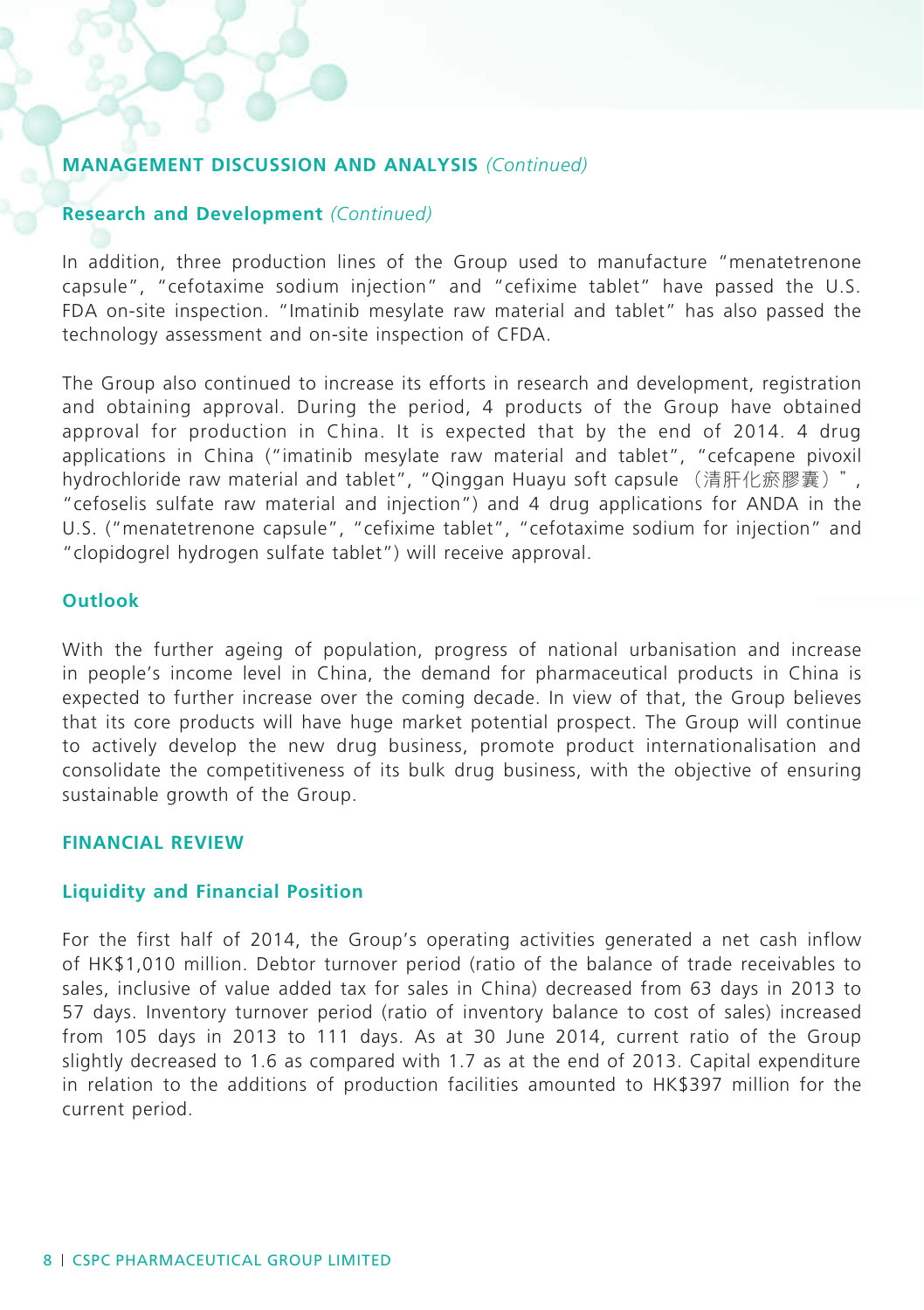### **Research and Development** *(Continued)*

In addition, three production lines of the Group used to manufacture "menatetrenone capsule", "cefotaxime sodium injection" and "cefixime tablet" have passed the U.S. FDA on-site inspection. "Imatinib mesylate raw material and tablet" has also passed the technology assessment and on-site inspection of CFDA.

The Group also continued to increase its efforts in research and development, registration and obtaining approval. During the period, 4 products of the Group have obtained approval for production in China. It is expected that by the end of 2014. 4 drug applications in China ("imatinib mesylate raw material and tablet", "cefcapene pivoxil hydrochloride raw material and tablet", "Qinggan Huayu soft capsule (清肝化瘀膠囊)", "cefoselis sulfate raw material and injection") and 4 drug applications for ANDA in the U.S. ("menatetrenone capsule", "cefixime tablet", "cefotaxime sodium for injection" and "clopidogrel hydrogen sulfate tablet") will receive approval.

### **Outlook**

With the further ageing of population, progress of national urbanisation and increase in people's income level in China, the demand for pharmaceutical products in China is expected to further increase over the coming decade. In view of that, the Group believes that its core products will have huge market potential prospect. The Group will continue to actively develop the new drug business, promote product internationalisation and consolidate the competitiveness of its bulk drug business, with the objective of ensuring sustainable growth of the Group.

#### **Financial Review**

#### **Liquidity and Financial Position**

For the first half of 2014, the Group's operating activities generated a net cash inflow of HK\$1,010 million. Debtor turnover period (ratio of the balance of trade receivables to sales, inclusive of value added tax for sales in China) decreased from 63 days in 2013 to 57 days. Inventory turnover period (ratio of inventory balance to cost of sales) increased from 105 days in 2013 to 111 days. As at 30 June 2014, current ratio of the Group slightly decreased to 1.6 as compared with 1.7 as at the end of 2013. Capital expenditure in relation to the additions of production facilities amounted to HK\$397 million for the current period.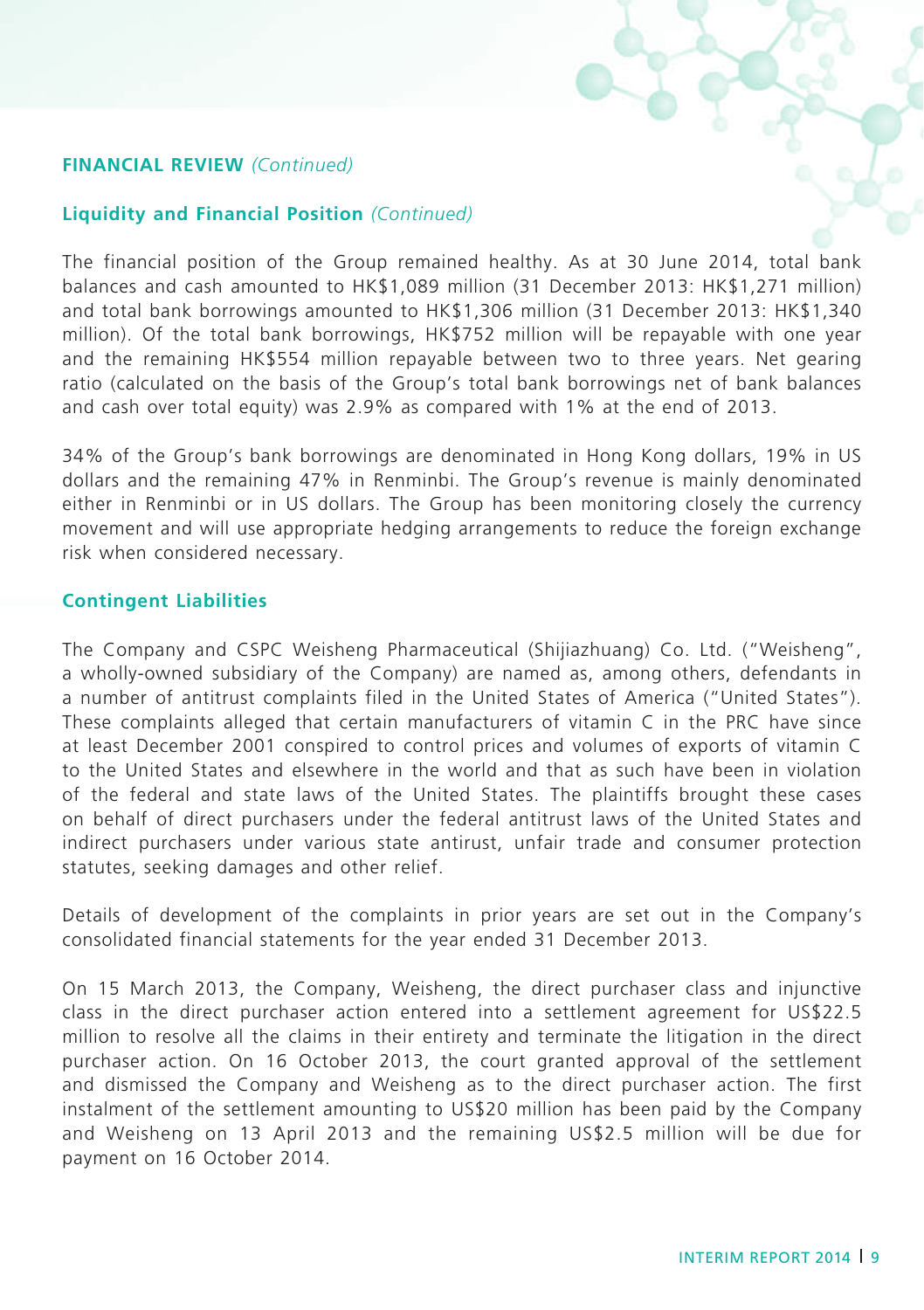### **Financial Review** *(Continued)*

### **Liquidity and Financial Position** *(Continued)*

The financial position of the Group remained healthy. As at 30 June 2014, total bank balances and cash amounted to HK\$1,089 million (31 December 2013: HK\$1,271 million) and total bank borrowings amounted to HK\$1,306 million (31 December 2013: HK\$1,340 million). Of the total bank borrowings, HK\$752 million will be repayable with one year and the remaining HK\$554 million repayable between two to three years. Net gearing ratio (calculated on the basis of the Group's total bank borrowings net of bank balances and cash over total equity) was 2.9% as compared with 1% at the end of 2013.

34% of the Group's bank borrowings are denominated in Hong Kong dollars, 19% in US dollars and the remaining 47% in Renminbi. The Group's revenue is mainly denominated either in Renminbi or in US dollars. The Group has been monitoring closely the currency movement and will use appropriate hedging arrangements to reduce the foreign exchange risk when considered necessary.

#### **Contingent Liabilities**

The Company and CSPC Weisheng Pharmaceutical (Shijiazhuang) Co. Ltd. ("Weisheng", a wholly-owned subsidiary of the Company) are named as, among others, defendants in a number of antitrust complaints filed in the United States of America ("United States"). These complaints alleged that certain manufacturers of vitamin C in the PRC have since at least December 2001 conspired to control prices and volumes of exports of vitamin C to the United States and elsewhere in the world and that as such have been in violation of the federal and state laws of the United States. The plaintiffs brought these cases on behalf of direct purchasers under the federal antitrust laws of the United States and indirect purchasers under various state antirust, unfair trade and consumer protection statutes, seeking damages and other relief.

Details of development of the complaints in prior years are set out in the Company's consolidated financial statements for the year ended 31 December 2013.

On 15 March 2013, the Company, Weisheng, the direct purchaser class and injunctive class in the direct purchaser action entered into a settlement agreement for US\$22.5 million to resolve all the claims in their entirety and terminate the litigation in the direct purchaser action. On 16 October 2013, the court granted approval of the settlement and dismissed the Company and Weisheng as to the direct purchaser action. The first instalment of the settlement amounting to US\$20 million has been paid by the Company and Weisheng on 13 April 2013 and the remaining US\$2.5 million will be due for payment on 16 October 2014.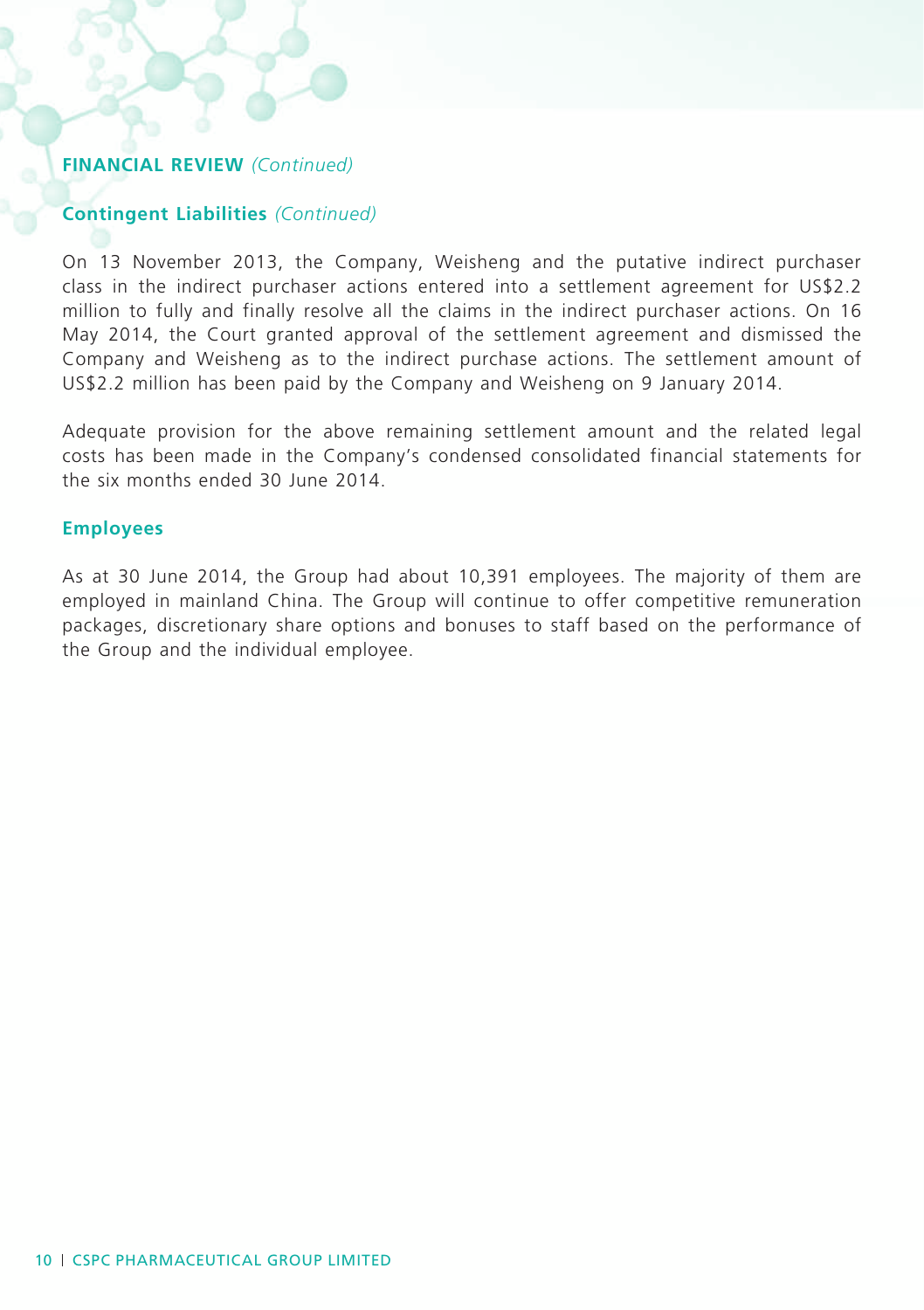# **Financial Review** *(Continued)*

### **Contingent Liabilities** *(Continued)*

On 13 November 2013, the Company, Weisheng and the putative indirect purchaser class in the indirect purchaser actions entered into a settlement agreement for US\$2.2 million to fully and finally resolve all the claims in the indirect purchaser actions. On 16 May 2014, the Court granted approval of the settlement agreement and dismissed the Company and Weisheng as to the indirect purchase actions. The settlement amount of US\$2.2 million has been paid by the Company and Weisheng on 9 January 2014.

Adequate provision for the above remaining settlement amount and the related legal costs has been made in the Company's condensed consolidated financial statements for the six months ended 30 June 2014.

### **Employees**

As at 30 June 2014, the Group had about 10,391 employees. The majority of them are employed in mainland China. The Group will continue to offer competitive remuneration packages, discretionary share options and bonuses to staff based on the performance of the Group and the individual employee.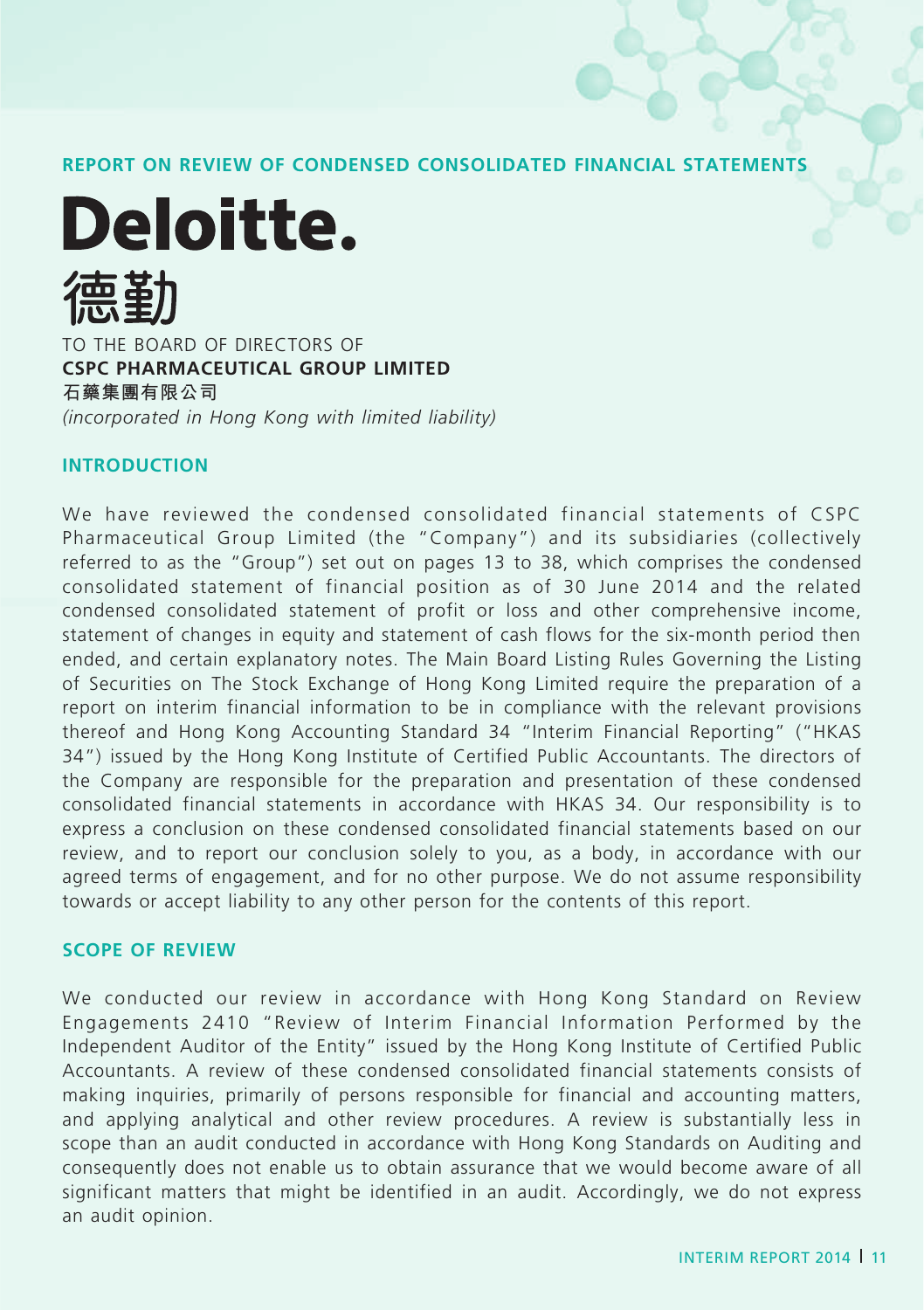**REPORT ON REVIEW OF CONDENSED CONSOLIDATED FINANCIAL STATEMENTS**

**Deloitte.** TO THE BOARD OF DIRECTORS OF **CSPC PHARMACEUTICAL GROUP LIMITED**

**石藥集團有限公司** *(incorporated in Hong Kong with limited liability)*

### **Introduction**

We have reviewed the condensed consolidated financial statements of CSPC Pharmaceutical Group Limited (the "Company") and its subsidiaries (collectively referred to as the "Group") set out on pages 13 to 38, which comprises the condensed consolidated statement of financial position as of 30 June 2014 and the related condensed consolidated statement of profit or loss and other comprehensive income, statement of changes in equity and statement of cash flows for the six-month period then ended, and certain explanatory notes. The Main Board Listing Rules Governing the Listing of Securities on The Stock Exchange of Hong Kong Limited require the preparation of a report on interim financial information to be in compliance with the relevant provisions thereof and Hong Kong Accounting Standard 34 "Interim Financial Reporting" ("HKAS 34") issued by the Hong Kong Institute of Certified Public Accountants. The directors of the Company are responsible for the preparation and presentation of these condensed consolidated financial statements in accordance with HKAS 34. Our responsibility is to express a conclusion on these condensed consolidated financial statements based on our review, and to report our conclusion solely to you, as a body, in accordance with our agreed terms of engagement, and for no other purpose. We do not assume responsibility towards or accept liability to any other person for the contents of this report.

### **Scope of Review**

We conducted our review in accordance with Hong Kong Standard on Review Engagements 2410 "Review of Interim Financial Information Performed by the Independent Auditor of the Entity" issued by the Hong Kong Institute of Certified Public Accountants. A review of these condensed consolidated financial statements consists of making inquiries, primarily of persons responsible for financial and accounting matters, and applying analytical and other review procedures. A review is substantially less in scope than an audit conducted in accordance with Hong Kong Standards on Auditing and consequently does not enable us to obtain assurance that we would become aware of all significant matters that might be identified in an audit. Accordingly, we do not express an audit opinion.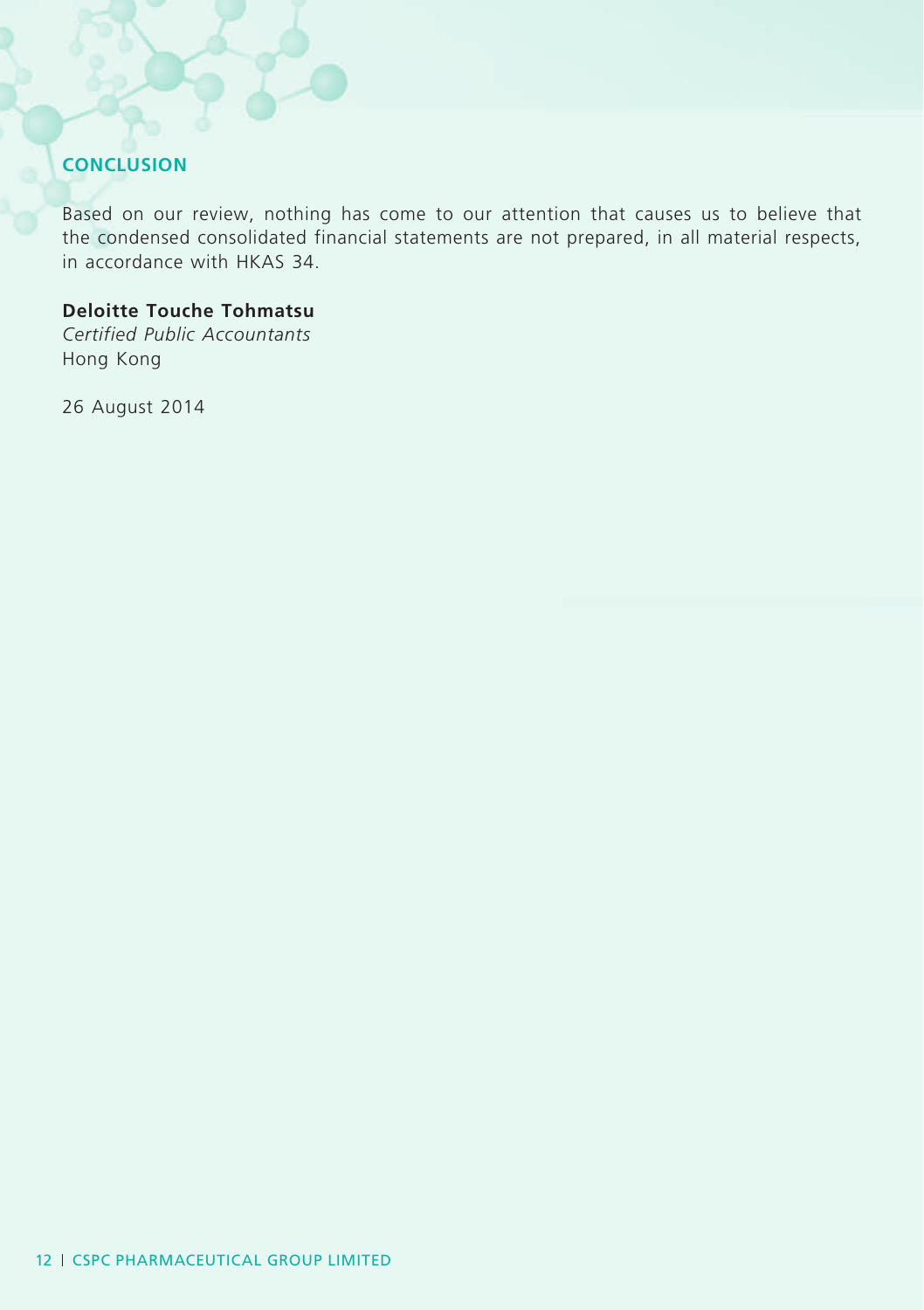# **Conclusion**

Based on our review, nothing has come to our attention that causes us to believe that the condensed consolidated financial statements are not prepared, in all material respects, in accordance with HKAS 34.

# **Deloitte Touche Tohmatsu**

*Certified Public Accountants* Hong Kong

26 August 2014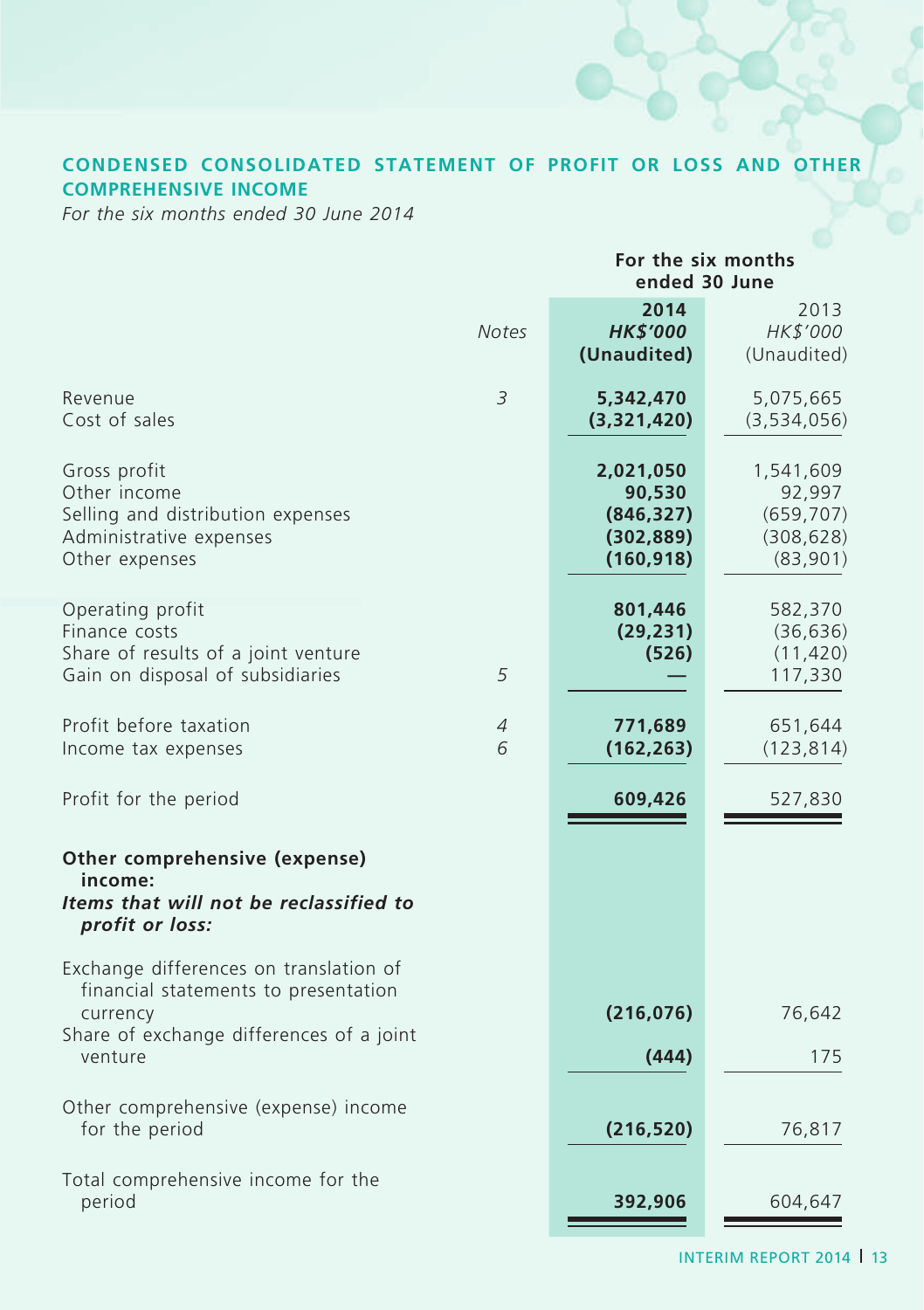# **CONDENSED CONSOLIDATED STATEMENT OF PROFIT OR LOSS AND OTHER COMPREHENSIVE INCOME**

*For the six months ended 30 June 2014*

|                                                                                                                                                   |                     | For the six months<br>ended 30 June                           |                                                             |  |  |
|---------------------------------------------------------------------------------------------------------------------------------------------------|---------------------|---------------------------------------------------------------|-------------------------------------------------------------|--|--|
|                                                                                                                                                   | <b>Notes</b>        | 2014<br><b>HK\$'000</b><br>(Unaudited)                        | 2013<br>HK\$'000<br>(Unaudited)                             |  |  |
| Revenue<br>Cost of sales                                                                                                                          | 3                   | 5,342,470<br>(3,321,420)                                      | 5,075,665<br>(3,534,056)                                    |  |  |
| Gross profit<br>Other income<br>Selling and distribution expenses<br>Administrative expenses<br>Other expenses                                    |                     | 2,021,050<br>90,530<br>(846, 327)<br>(302, 889)<br>(160, 918) | 1,541,609<br>92,997<br>(659, 707)<br>(308, 628)<br>(83,901) |  |  |
| Operating profit<br>Finance costs<br>Share of results of a joint venture<br>Gain on disposal of subsidiaries                                      | 5                   | 801,446<br>(29, 231)<br>(526)                                 | 582,370<br>(36, 636)<br>(11, 420)<br>117,330                |  |  |
| Profit before taxation<br>Income tax expenses                                                                                                     | $\overline{A}$<br>6 | 771,689<br>(162, 263)                                         | 651,644<br>(123, 814)                                       |  |  |
| Profit for the period                                                                                                                             |                     | 609,426                                                       | 527,830                                                     |  |  |
| Other comprehensive (expense)<br>income:<br>Items that will not be reclassified to<br>profit or loss:                                             |                     |                                                               |                                                             |  |  |
| Exchange differences on translation of<br>financial statements to presentation<br>currency<br>Share of exchange differences of a joint<br>venture |                     | (216, 076)<br>(444)                                           | 76,642<br>175                                               |  |  |
| Other comprehensive (expense) income<br>for the period                                                                                            |                     | (216, 520)                                                    | 76,817                                                      |  |  |
| Total comprehensive income for the<br>period                                                                                                      |                     | 392,906                                                       | 604,647                                                     |  |  |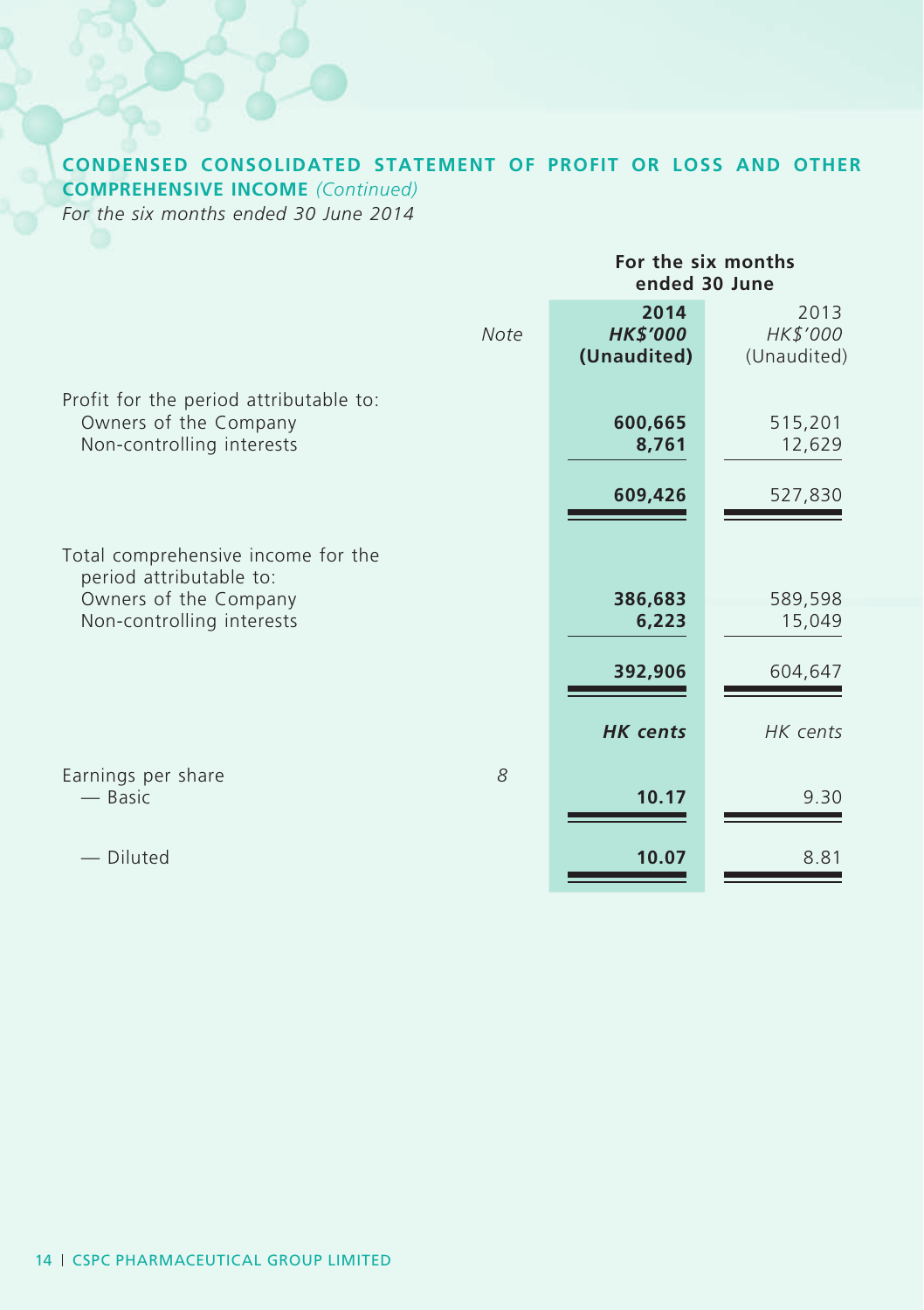# **CONDENSED CONSOLIDATED STATEMENT OF PROFIT OR LOSS AND OTHER COMPREHENSIVE INCOME** *(Continued)*

*For the six months ended 30 June 2014*

|                                                                                                                     |                                        | For the six months<br>ended 30 June |
|---------------------------------------------------------------------------------------------------------------------|----------------------------------------|-------------------------------------|
| Note                                                                                                                | 2014<br><b>HK\$'000</b><br>(Unaudited) | 2013<br>HK\$'000<br>(Unaudited)     |
| Profit for the period attributable to:<br>Owners of the Company<br>Non-controlling interests                        | 600,665<br>8,761                       | 515,201<br>12,629                   |
|                                                                                                                     | 609,426                                | 527,830                             |
| Total comprehensive income for the<br>period attributable to:<br>Owners of the Company<br>Non-controlling interests | 386,683<br>6,223                       | 589,598<br>15,049                   |
|                                                                                                                     | 392,906                                | 604,647                             |
|                                                                                                                     | <b>HK</b> cents                        | HK cents                            |
| Earnings per share<br>8<br>— Basic                                                                                  | 10.17                                  | 9.30                                |
| Diluted                                                                                                             | 10.07                                  | 8.81                                |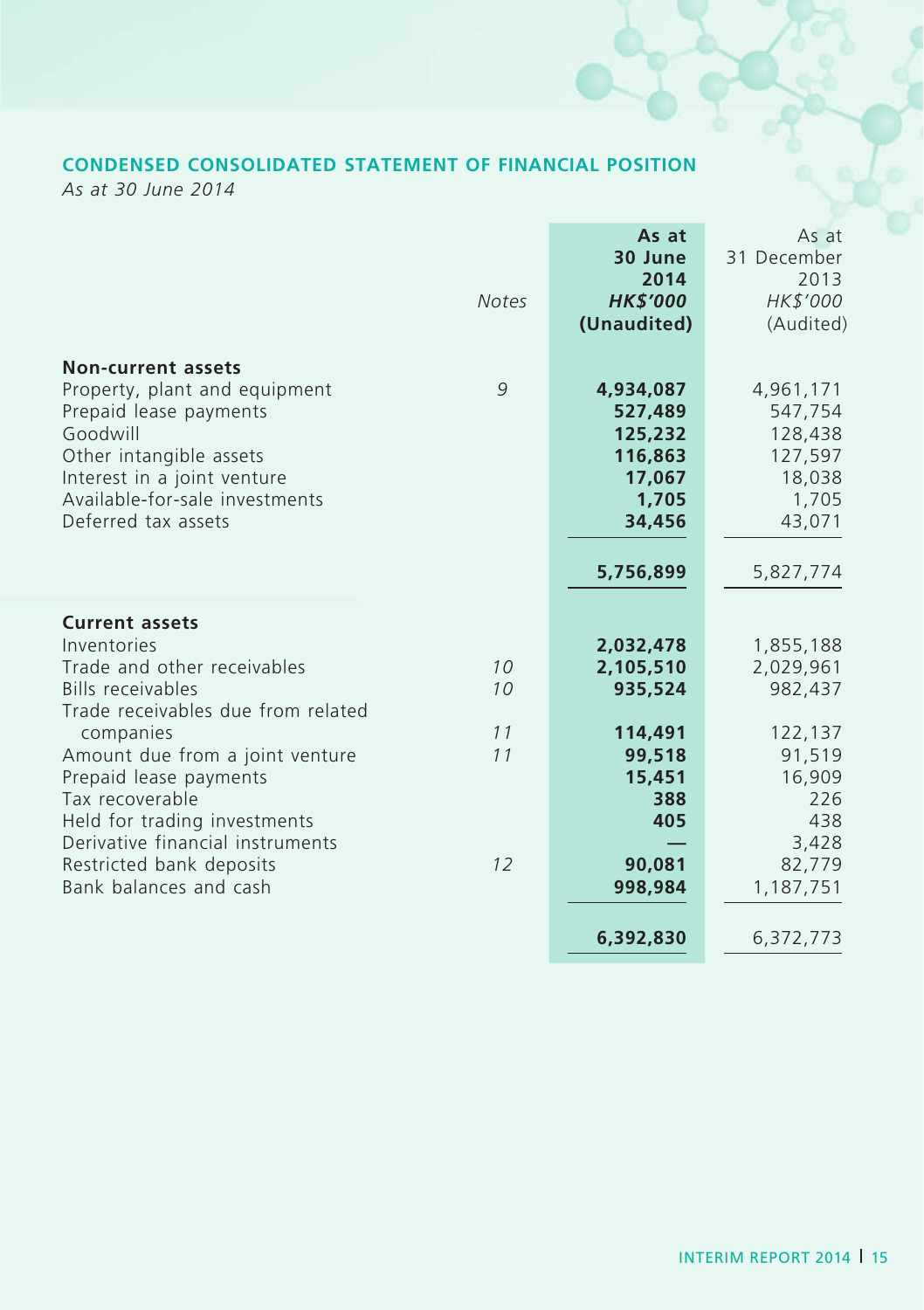# **CONDENSED CONSOLIDATED STATEMENT OF FINANCIAL POSITION**

*As at 30 June 2014*

|                                                                                                                                                                                                                                                                                                                                                              | <b>Notes</b>               | As at<br>30 June<br>2014<br><b>HK\$'000</b><br>(Unaudited)                                          | As at<br>31 December<br>2013<br>HK\$'000<br>(Audited)                                                          |
|--------------------------------------------------------------------------------------------------------------------------------------------------------------------------------------------------------------------------------------------------------------------------------------------------------------------------------------------------------------|----------------------------|-----------------------------------------------------------------------------------------------------|----------------------------------------------------------------------------------------------------------------|
| <b>Non-current assets</b><br>Property, plant and equipment<br>Prepaid lease payments<br>Goodwill<br>Other intangible assets<br>Interest in a joint venture<br>Available-for-sale investments<br>Deferred tax assets                                                                                                                                          | 9                          | 4,934,087<br>527,489<br>125,232<br>116,863<br>17,067<br>1.705<br>34,456<br>5,756,899                | 4,961,171<br>547,754<br>128,438<br>127,597<br>18,038<br>1,705<br>43,071<br>5,827,774                           |
| <b>Current assets</b><br>Inventories<br>Trade and other receivables<br><b>Bills receivables</b><br>Trade receivables due from related<br>companies<br>Amount due from a joint venture<br>Prepaid lease payments<br>Tax recoverable<br>Held for trading investments<br>Derivative financial instruments<br>Restricted bank deposits<br>Bank balances and cash | 10<br>10<br>11<br>11<br>12 | 2,032,478<br>2,105,510<br>935,524<br>114,491<br>99,518<br>15,451<br>388<br>405<br>90,081<br>998,984 | 1,855,188<br>2,029,961<br>982,437<br>122,137<br>91,519<br>16,909<br>226<br>438<br>3,428<br>82,779<br>1,187,751 |
|                                                                                                                                                                                                                                                                                                                                                              |                            | 6,392,830                                                                                           | 6,372,773                                                                                                      |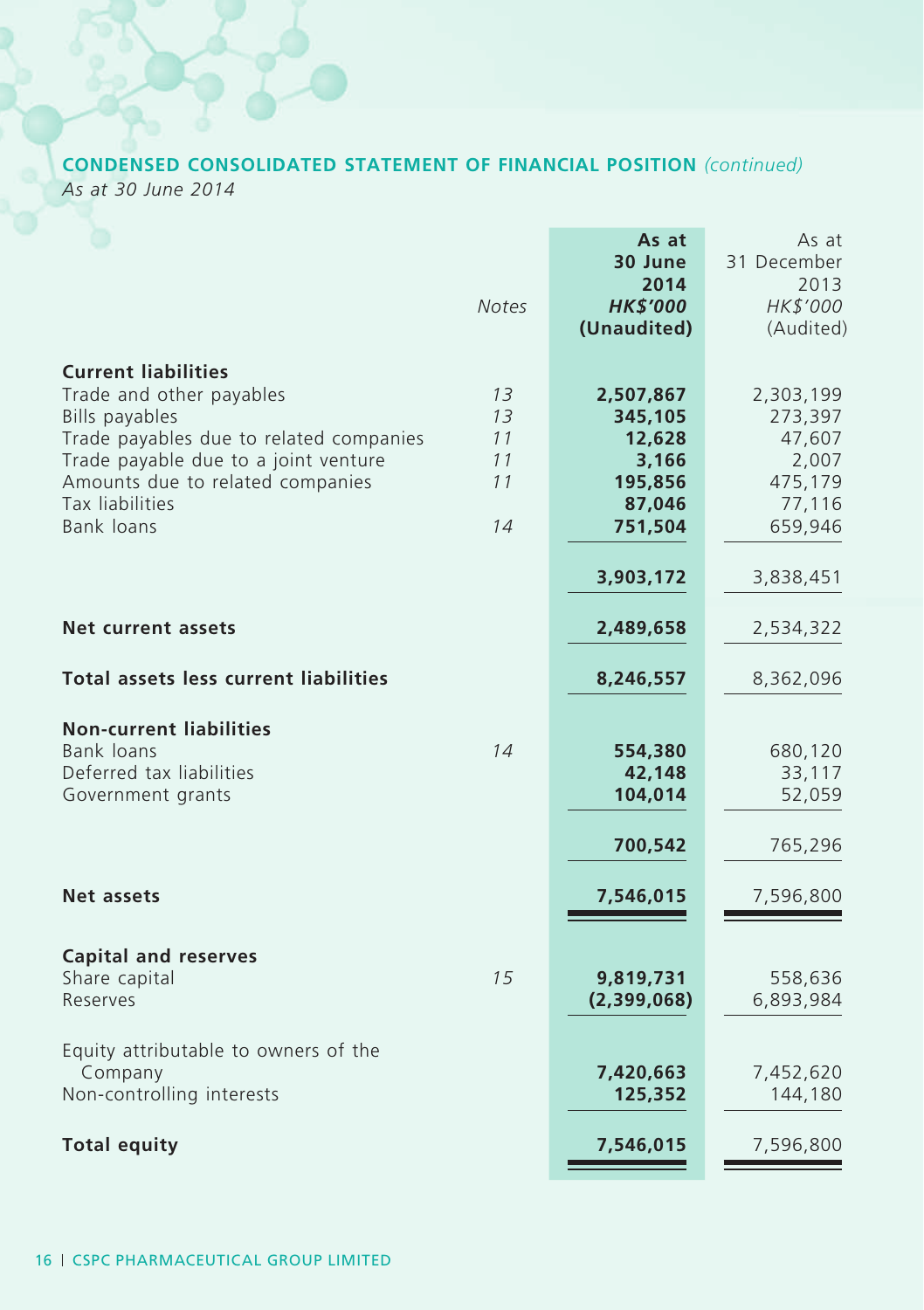# **CONDENSED CONSOLIDATED STATEMENT OF FINANCIAL POSITION** *(continued)*

*As at 30 June 2014*

|                                                                                                                                                                                                                                                | <b>Notes</b>                     | As at<br>30 June<br>2014<br><b>HK\$'000</b><br>(Unaudited)              | As at<br>31 December<br>2013<br>HK\$'000<br>(Audited)                   |
|------------------------------------------------------------------------------------------------------------------------------------------------------------------------------------------------------------------------------------------------|----------------------------------|-------------------------------------------------------------------------|-------------------------------------------------------------------------|
| <b>Current liabilities</b><br>Trade and other payables<br>Bills payables<br>Trade payables due to related companies<br>Trade payable due to a joint venture<br>Amounts due to related companies<br><b>Tax liabilities</b><br><b>Bank loans</b> | 13<br>13<br>11<br>11<br>11<br>14 | 2,507,867<br>345,105<br>12,628<br>3,166<br>195,856<br>87,046<br>751,504 | 2,303,199<br>273,397<br>47,607<br>2,007<br>475,179<br>77,116<br>659,946 |
|                                                                                                                                                                                                                                                |                                  | 3,903,172                                                               | 3,838,451                                                               |
| Net current assets                                                                                                                                                                                                                             |                                  | 2,489,658                                                               | 2,534,322                                                               |
| <b>Total assets less current liabilities</b>                                                                                                                                                                                                   |                                  | 8,246,557                                                               | 8,362,096                                                               |
| <b>Non-current liabilities</b><br>Bank loans<br>Deferred tax liabilities<br>Government grants                                                                                                                                                  | 14                               | 554,380<br>42,148<br>104,014                                            | 680,120<br>33,117<br>52,059                                             |
|                                                                                                                                                                                                                                                |                                  | 700,542                                                                 | 765,296                                                                 |
| <b>Net assets</b>                                                                                                                                                                                                                              |                                  | 7,546,015                                                               | 7,596,800                                                               |
| <b>Capital and reserves</b><br>Share capital<br>Reserves                                                                                                                                                                                       | 15                               | 9,819,731<br>(2,399,068)                                                | 558,636<br>6,893,984                                                    |
| Equity attributable to owners of the<br>Company<br>Non-controlling interests                                                                                                                                                                   |                                  | 7,420,663<br>125,352                                                    | 7,452,620<br>144,180                                                    |
| <b>Total equity</b>                                                                                                                                                                                                                            |                                  | 7,546,015                                                               | 7,596,800                                                               |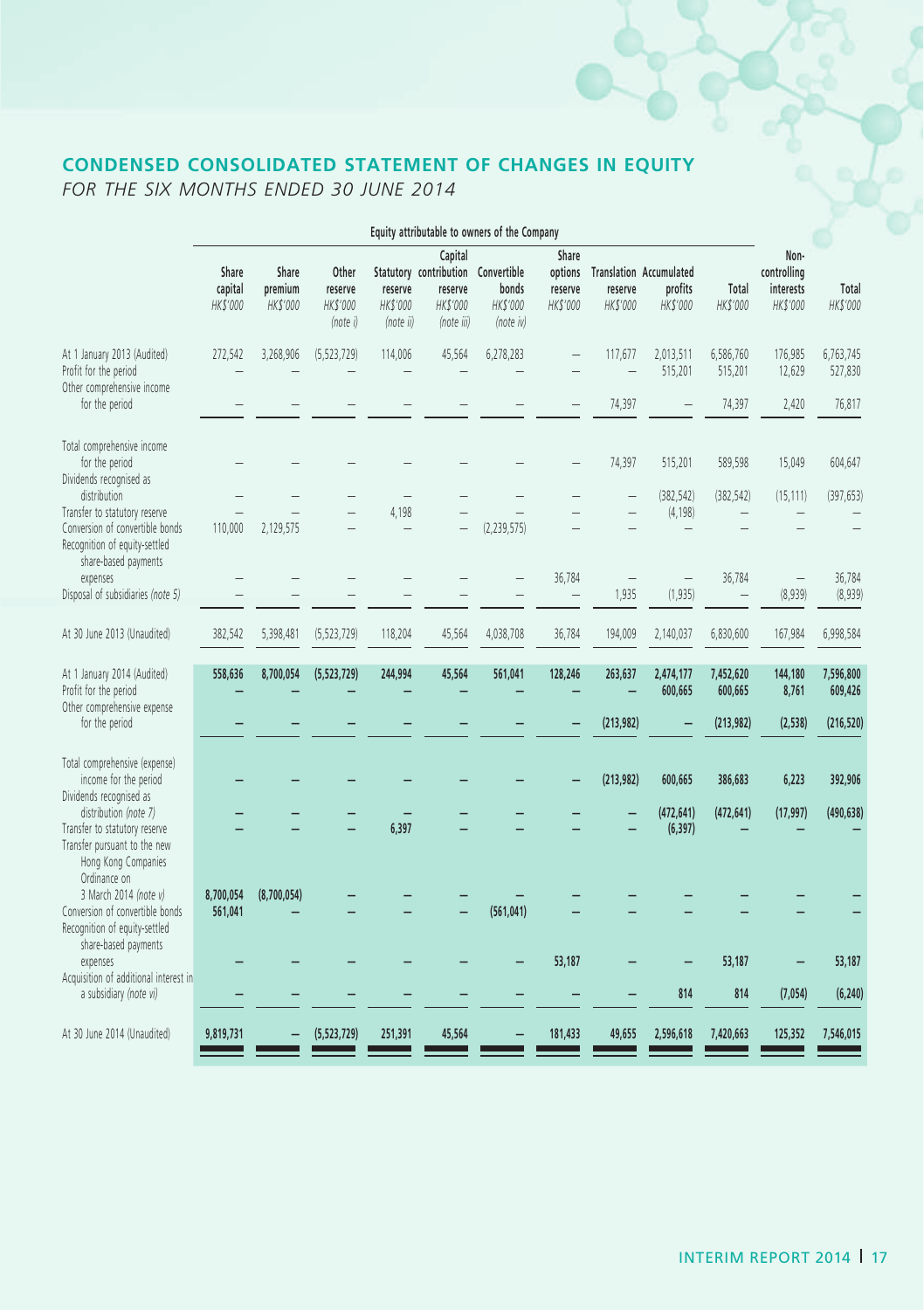# **CONDENSED CONSOLIDATED STATEMENT OF CHANGES IN EQUITY**

*FOR THE SIX MONTHS ENDED 30 JUNE 2014*

|                                                                                                                               | Equity attributable to owners of the Company |                              |                                          |                                  |                                                                                    |                                |                                         |                                   |                                                       |                                    |                                              |                      |
|-------------------------------------------------------------------------------------------------------------------------------|----------------------------------------------|------------------------------|------------------------------------------|----------------------------------|------------------------------------------------------------------------------------|--------------------------------|-----------------------------------------|-----------------------------------|-------------------------------------------------------|------------------------------------|----------------------------------------------|----------------------|
|                                                                                                                               | Share<br>capital<br>HK\$'000                 | Share<br>premium<br>HK\$'000 | Other<br>reserve<br>HK\$'000<br>(note i) | reserve<br>HK\$'000<br>(note ii) | Capital<br>Statutory contribution Convertible<br>reserve<br>HK\$'000<br>(note iii) | bonds<br>HK\$'000<br>(note iv) | Share<br>options<br>reserve<br>HK\$'000 | reserve<br>HK\$'000               | <b>Translation Accumulated</b><br>profits<br>HK\$'000 | Total<br>HK\$'000                  | Non-<br>controlling<br>interests<br>HK\$'000 | Total<br>HK\$'000    |
| At 1 January 2013 (Audited)<br>Profit for the period<br>Other comprehensive income                                            | 272,542                                      | 3,268,906                    | (5, 523, 729)                            | 114,006                          | 45,564                                                                             | 6,278,283                      |                                         | 117,677                           | 2,013,511<br>515,201                                  | 6,586,760<br>515,201               | 176,985<br>12,629                            | 6,763,745<br>527,830 |
| for the period                                                                                                                |                                              |                              |                                          |                                  |                                                                                    |                                |                                         | 74,397                            |                                                       | 74,397                             | 2,420                                        | 76,817               |
| Total comprehensive income<br>for the period<br>Dividends recognised as                                                       |                                              |                              |                                          |                                  |                                                                                    |                                |                                         | 74,397                            | 515,201                                               | 589,598                            | 15,049                                       | 604,647              |
| distribution                                                                                                                  |                                              |                              |                                          |                                  |                                                                                    |                                |                                         |                                   | (382, 542)                                            | (382, 542)                         | (15, 111)                                    | (397, 653)           |
| Transfer to statutory reserve<br>Conversion of convertible bonds<br>Recognition of equity-settled<br>share-based payments     | 110,000                                      | 2,129,575                    |                                          | 4,198                            |                                                                                    | (2, 239, 575)                  |                                         |                                   | (4, 198)                                              |                                    |                                              |                      |
| expenses<br>Disposal of subsidiaries (note 5)                                                                                 |                                              |                              |                                          |                                  |                                                                                    |                                | 36,784<br>$\overline{\phantom{0}}$      | $\overline{\phantom{0}}$<br>1,935 | $\overline{\phantom{0}}$<br>(1, 935)                  | 36,784<br>$\overline{\phantom{a}}$ | $\overline{\phantom{0}}$<br>(8,939)          | 36,784<br>(8,939)    |
| At 30 June 2013 (Unaudited)                                                                                                   | 382,542                                      | 5,398,481                    | (5, 523, 729)                            | 118,204                          | 45,564                                                                             | 4,038,708                      | 36,784                                  | 194,009                           | 2,140,037                                             | 6,830,600                          | 167,984                                      | 6,998,584            |
| At 1 January 2014 (Audited)<br>Profit for the period<br>Other comprehensive expense                                           | 558,636                                      | 8,700,054                    | (5,523,729)                              | 244,994                          | 45,564                                                                             | 561,041                        | 128,246                                 | 263,637                           | 2,474,177<br>600,665                                  | 7,452,620<br>600,665               | 144,180<br>8,761                             | 7,596,800<br>609,426 |
| for the period                                                                                                                |                                              |                              |                                          |                                  |                                                                                    |                                |                                         | (213,982)                         |                                                       | (213,982)                          | (2,538)                                      | (216, 520)           |
| Total comprehensive (expense)<br>income for the period<br>Dividends recognised as                                             |                                              |                              |                                          |                                  |                                                                                    |                                |                                         | (213,982)                         | 600,665                                               | 386,683                            | 6,223                                        | 392,906              |
| distribution (note 7)<br>Transfer to statutory reserve<br>Transfer pursuant to the new<br>Hong Kong Companies<br>Ordinance on |                                              |                              |                                          | 6,397                            |                                                                                    |                                |                                         |                                   | (472, 641)<br>(6, 397)                                | (472, 641)                         | (17, 997)                                    | (490, 638)           |
| 3 March 2014 (note v)<br>Conversion of convertible bonds<br>Recognition of equity-settled<br>share-based payments             | 8,700,054<br>561,041                         | (8,700,054)                  |                                          |                                  |                                                                                    | (561, 041)                     |                                         |                                   |                                                       |                                    |                                              |                      |
| expenses<br>Acquisition of additional interest in                                                                             |                                              |                              |                                          |                                  |                                                                                    |                                | 53,187                                  |                                   |                                                       | 53,187                             |                                              | 53,187               |
| a subsidiary (note vi)                                                                                                        |                                              |                              |                                          |                                  |                                                                                    |                                |                                         |                                   | 814                                                   | 814                                | (7,054)                                      | (6, 240)             |
| At 30 June 2014 (Unaudited)                                                                                                   | 9,819,731                                    |                              | (5, 523, 729)                            | 251,391                          | 45,564                                                                             |                                | 181,433                                 | 49,655                            | 2,596,618                                             | 7,420,663                          | 125,352                                      | 7,546,015            |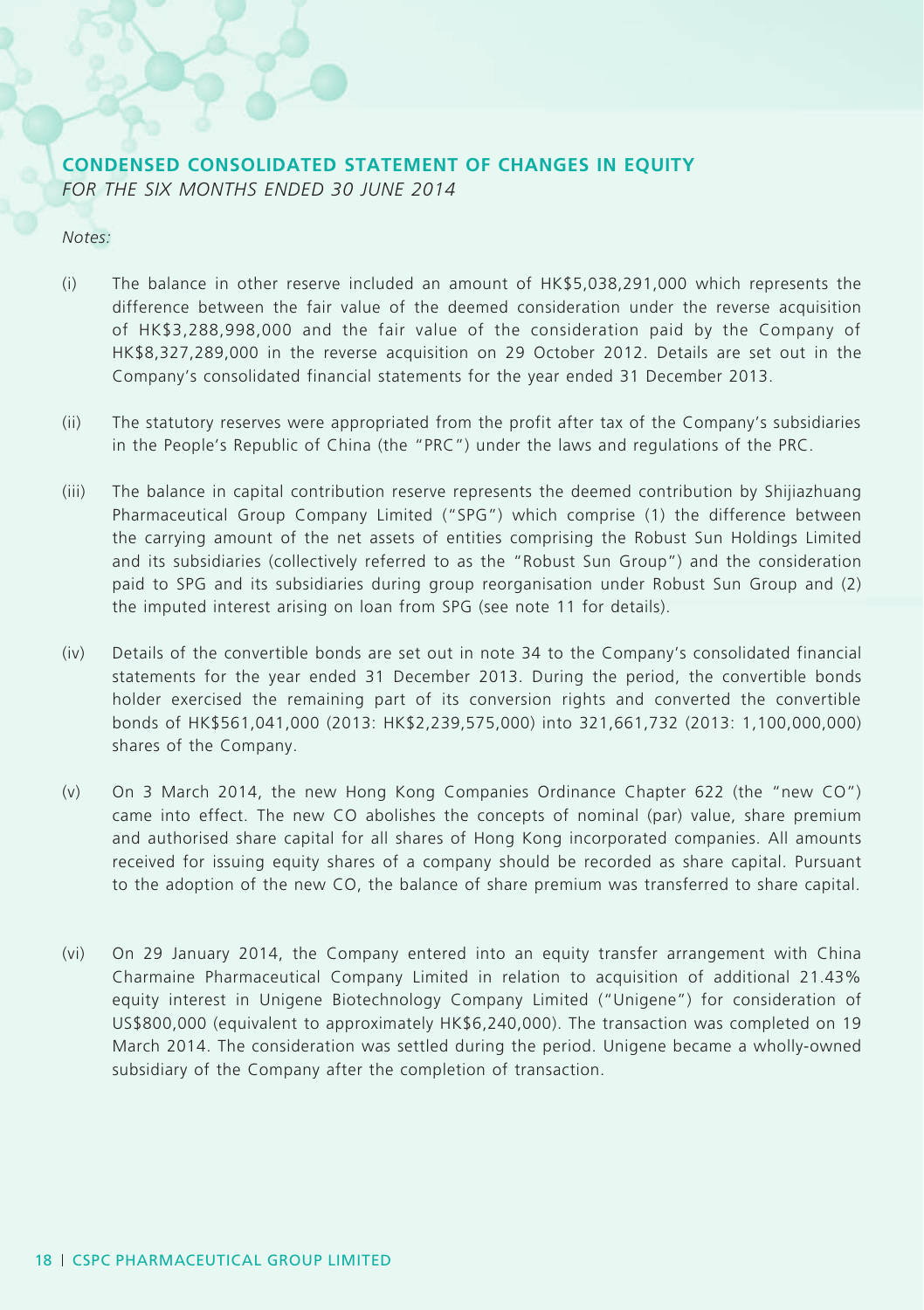### **CONDENSED CONSOLIDATED STATEMENT OF CHANGES IN EQUITY** *FOR THE SIX MONTHS ENDED 30 JUNE 2014*

#### *Notes:*

- (i) The balance in other reserve included an amount of HK\$5,038,291,000 which represents the difference between the fair value of the deemed consideration under the reverse acquisition of HK\$3,288,998,000 and the fair value of the consideration paid by the Company of HK\$8,327,289,000 in the reverse acquisition on 29 October 2012. Details are set out in the Company's consolidated financial statements for the year ended 31 December 2013.
- (ii) The statutory reserves were appropriated from the profit after tax of the Company's subsidiaries in the People's Republic of China (the "PRC") under the laws and regulations of the PRC.
- (iii) The balance in capital contribution reserve represents the deemed contribution by Shijiazhuang Pharmaceutical Group Company Limited ("SPG") which comprise (1) the difference between the carrying amount of the net assets of entities comprising the Robust Sun Holdings Limited and its subsidiaries (collectively referred to as the "Robust Sun Group") and the consideration paid to SPG and its subsidiaries during group reorganisation under Robust Sun Group and (2) the imputed interest arising on loan from SPG (see note 11 for details).
- (iv) Details of the convertible bonds are set out in note 34 to the Company's consolidated financial statements for the year ended 31 December 2013. During the period, the convertible bonds holder exercised the remaining part of its conversion rights and converted the convertible bonds of HK\$561,041,000 (2013: HK\$2,239,575,000) into 321,661,732 (2013: 1,100,000,000) shares of the Company.
- (v) On 3 March 2014, the new Hong Kong Companies Ordinance Chapter 622 (the "new CO") came into effect. The new CO abolishes the concepts of nominal (par) value, share premium and authorised share capital for all shares of Hong Kong incorporated companies. All amounts received for issuing equity shares of a company should be recorded as share capital. Pursuant to the adoption of the new CO, the balance of share premium was transferred to share capital.
- (vi) On 29 January 2014, the Company entered into an equity transfer arrangement with China Charmaine Pharmaceutical Company Limited in relation to acquisition of additional 21.43% equity interest in Unigene Biotechnology Company Limited ("Unigene") for consideration of US\$800,000 (equivalent to approximately HK\$6,240,000). The transaction was completed on 19 March 2014. The consideration was settled during the period. Unigene became a wholly-owned subsidiary of the Company after the completion of transaction.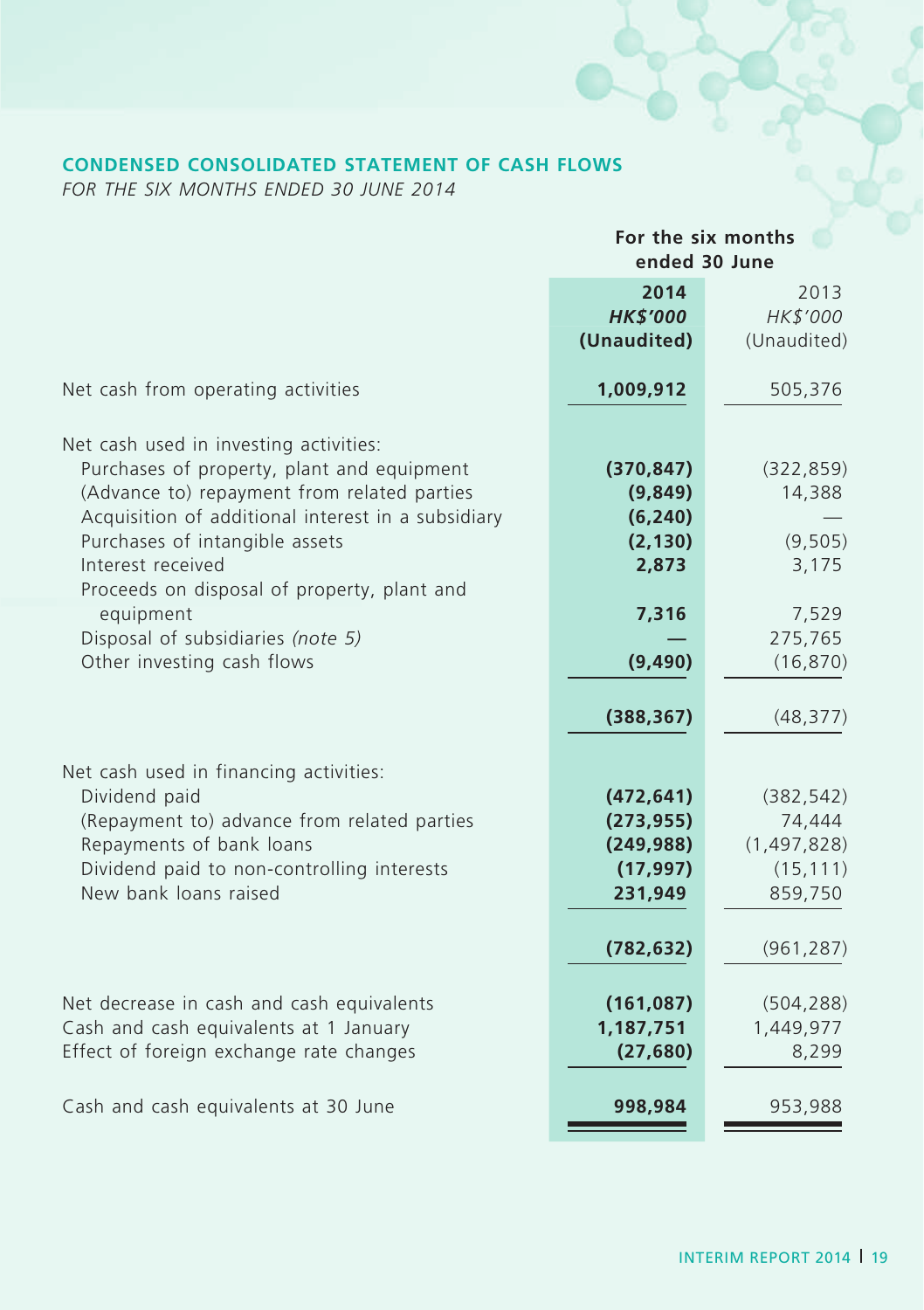# **CONDENSED CONSOLIDATED STATEMENT OF CASH FLOWS**

*FOR THE SIX MONTHS ENDED 30 JUNE 2014*

|                                                    | For the six months<br>ended 30 June |               |  |
|----------------------------------------------------|-------------------------------------|---------------|--|
|                                                    | 2014                                | 2013          |  |
|                                                    | <b>HK\$'000</b>                     | HK\$'000      |  |
|                                                    | (Unaudited)                         | (Unaudited)   |  |
| Net cash from operating activities                 | 1,009,912                           | 505,376       |  |
| Net cash used in investing activities:             |                                     |               |  |
| Purchases of property, plant and equipment         | (370, 847)                          | (322, 859)    |  |
| (Advance to) repayment from related parties        | (9,849)                             | 14,388        |  |
| Acquisition of additional interest in a subsidiary | (6, 240)                            |               |  |
| Purchases of intangible assets                     | (2, 130)                            | (9, 505)      |  |
| Interest received                                  | 2,873                               | 3,175         |  |
| Proceeds on disposal of property, plant and        |                                     |               |  |
| equipment                                          | 7,316                               | 7,529         |  |
| Disposal of subsidiaries (note 5)                  |                                     | 275,765       |  |
| Other investing cash flows                         | (9, 490)                            | (16, 870)     |  |
|                                                    | (388, 367)                          | (48, 377)     |  |
| Net cash used in financing activities:             |                                     |               |  |
| Dividend paid                                      | (472, 641)                          | (382, 542)    |  |
| (Repayment to) advance from related parties        | (273, 955)                          | 74,444        |  |
| Repayments of bank loans                           | (249, 988)                          | (1, 497, 828) |  |
| Dividend paid to non-controlling interests         | (17, 997)                           | (15, 111)     |  |
| New bank loans raised                              | 231,949                             | 859,750       |  |
|                                                    |                                     |               |  |
|                                                    | (782, 632)                          | (961, 287)    |  |
| Net decrease in cash and cash equivalents          | (161, 087)                          | (504, 288)    |  |
| Cash and cash equivalents at 1 January             | 1,187,751                           | 1,449,977     |  |
| Effect of foreign exchange rate changes            | (27, 680)                           | 8,299         |  |
|                                                    |                                     |               |  |
| Cash and cash equivalents at 30 June               | 998,984                             | 953,988       |  |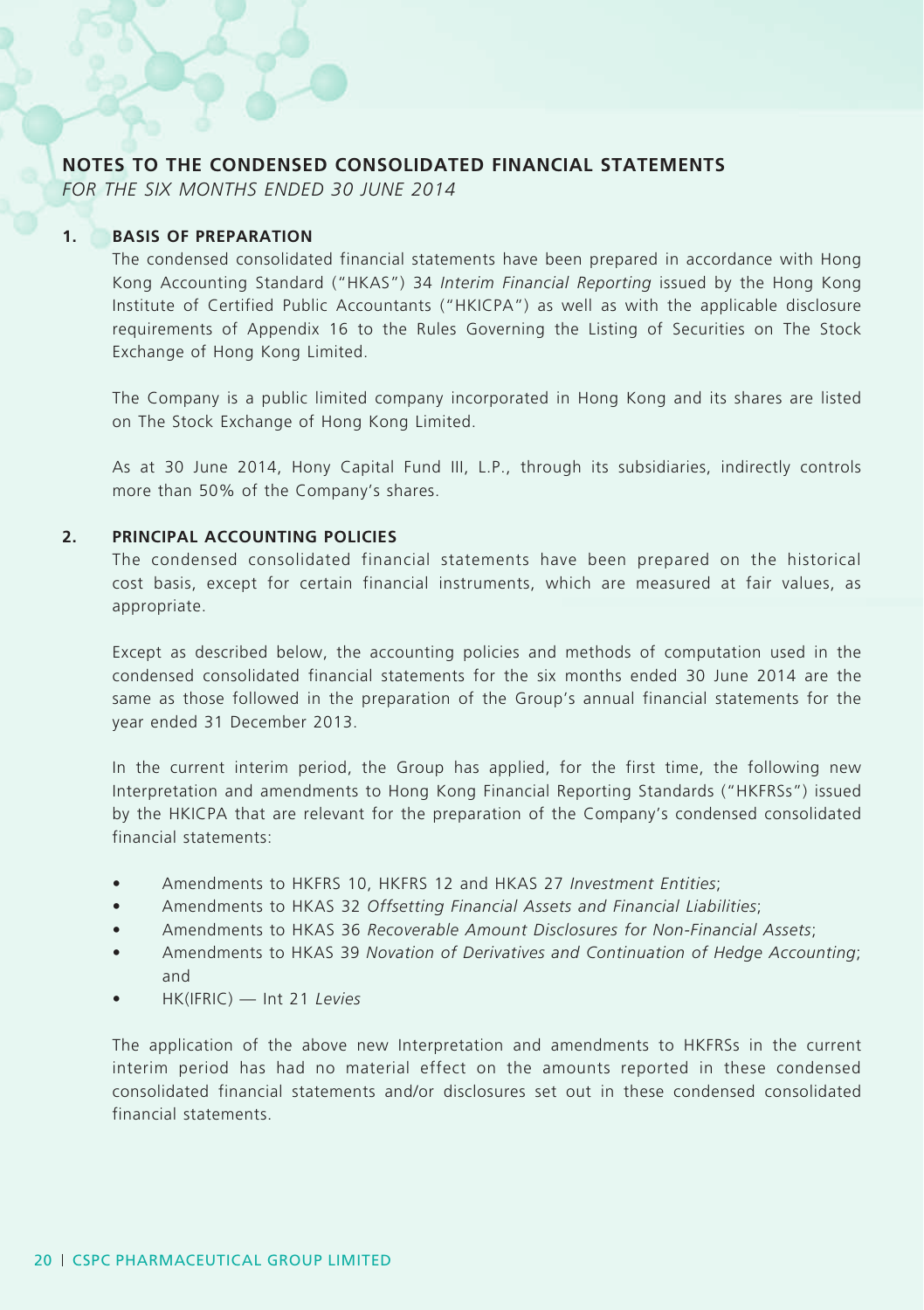### **NOTES TO THE CONDENSED CONSOLIDATED FINANCIAL STATEMENTS**

*FOR THE SIX MONTHS ENDED 30 JUNE 2014*

#### **1. BASIS OF PREPARATION**

The condensed consolidated financial statements have been prepared in accordance with Hong Kong Accounting Standard ("HKAS") 34 *Interim Financial Reporting* issued by the Hong Kong Institute of Certified Public Accountants ("HKICPA") as well as with the applicable disclosure requirements of Appendix 16 to the Rules Governing the Listing of Securities on The Stock Exchange of Hong Kong Limited.

The Company is a public limited company incorporated in Hong Kong and its shares are listed on The Stock Exchange of Hong Kong Limited.

As at 30 June 2014, Hony Capital Fund III, L.P., through its subsidiaries, indirectly controls more than 50% of the Company's shares.

#### **2. PRINCIPAL ACCOUNTING POLICIES**

The condensed consolidated financial statements have been prepared on the historical cost basis, except for certain financial instruments, which are measured at fair values, as appropriate.

Except as described below, the accounting policies and methods of computation used in the condensed consolidated financial statements for the six months ended 30 June 2014 are the same as those followed in the preparation of the Group's annual financial statements for the year ended 31 December 2013.

In the current interim period, the Group has applied, for the first time, the following new Interpretation and amendments to Hong Kong Financial Reporting Standards ("HKFRSs") issued by the HKICPA that are relevant for the preparation of the Company's condensed consolidated financial statements:

- • Amendments to HKFRS 10, HKFRS 12 and HKAS 27 *Investment Entities*;
- Amendments to HKAS 32 Offsetting Financial Assets and Financial Liabilities;
- Amendments to HKAS 36 Recoverable Amount Disclosures for Non-Financial Assets;
- Amendments to HKAS 39 *Novation of Derivatives and Continuation of Hedge Accounting*; and
- • HK(IFRIC) Int 21 *Levies*

The application of the above new Interpretation and amendments to HKFRSs in the current interim period has had no material effect on the amounts reported in these condensed consolidated financial statements and/or disclosures set out in these condensed consolidated financial statements.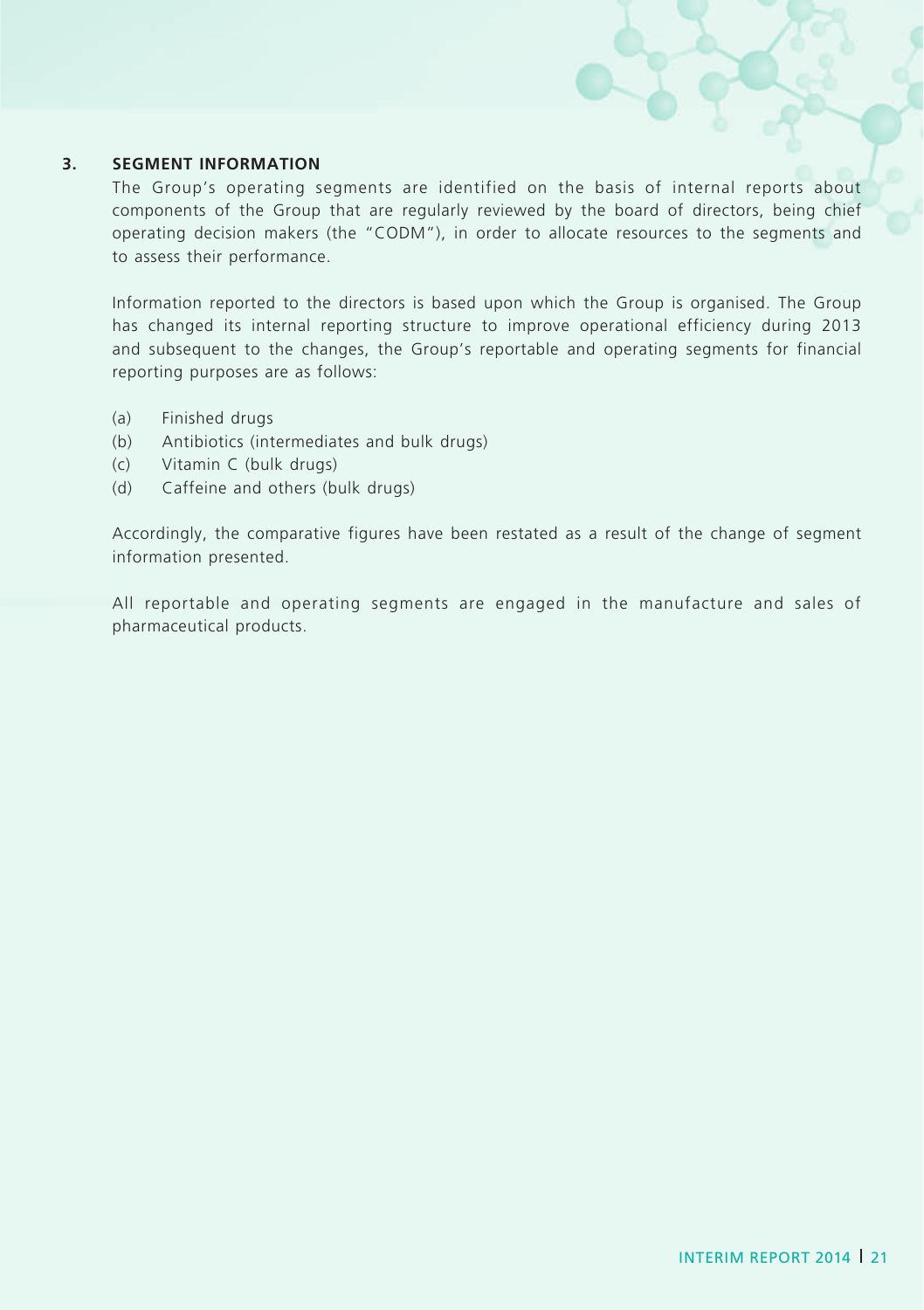#### **3. SEGMENT INFORMATION**

The Group's operating segments are identified on the basis of internal reports about components of the Group that are regularly reviewed by the board of directors, being chief operating decision makers (the "CODM"), in order to allocate resources to the segments and to assess their performance.

Information reported to the directors is based upon which the Group is organised. The Group has changed its internal reporting structure to improve operational efficiency during 2013 and subsequent to the changes, the Group's reportable and operating segments for financial reporting purposes are as follows:

- (a) Finished drugs
- (b) Antibiotics (intermediates and bulk drugs)
- (c) Vitamin C (bulk drugs)
- (d) Caffeine and others (bulk drugs)

Accordingly, the comparative figures have been restated as a result of the change of segment information presented.

All reportable and operating segments are engaged in the manufacture and sales of pharmaceutical products.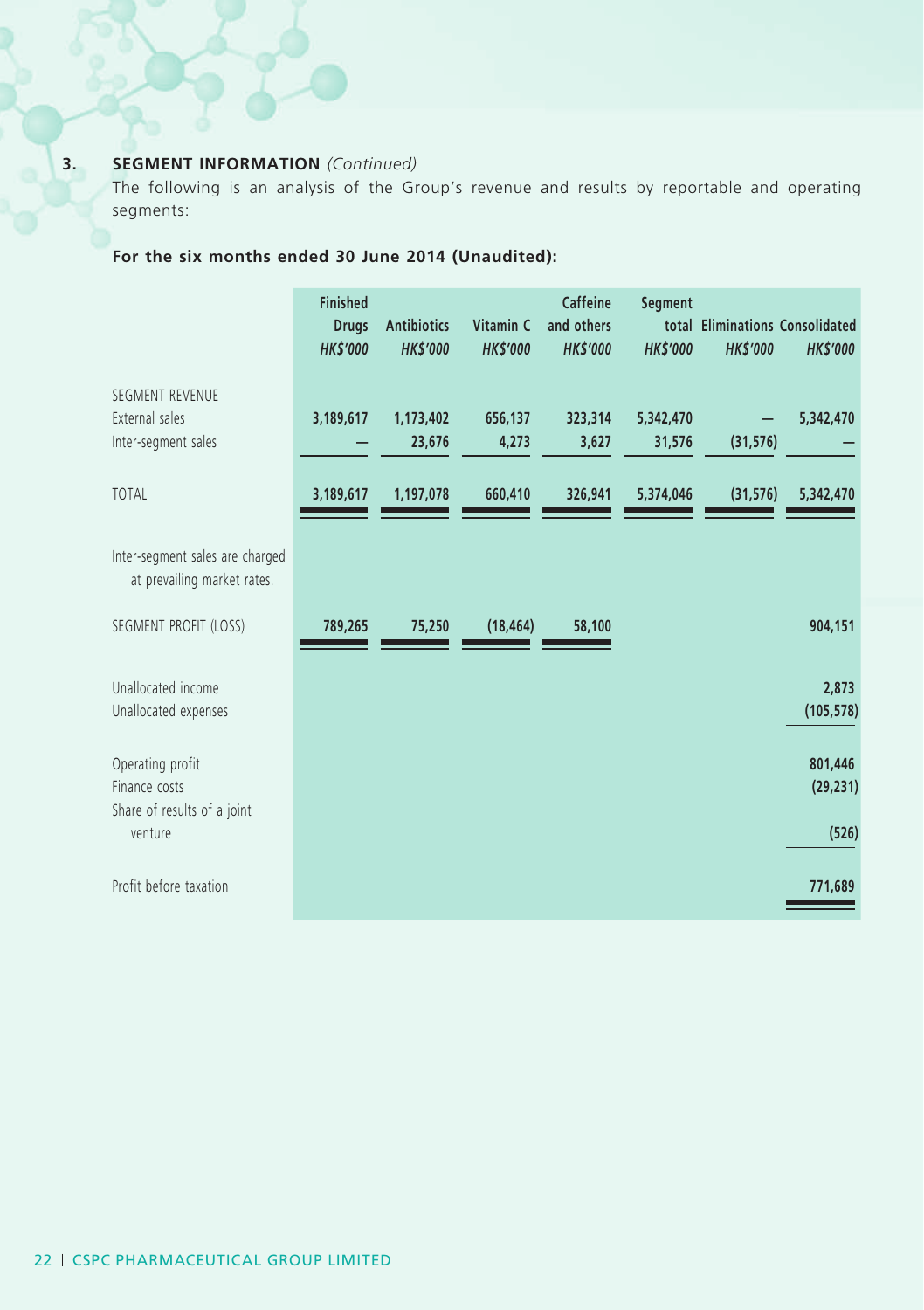### **3. SEGMENT INFORMATION** *(Continued)*

The following is an analysis of the Group's revenue and results by reportable and operating segments:

# **For the six months ended 30 June 2014 (Unaudited):**

|                                                                  | <b>Finished</b><br><b>Drugs</b><br><b>HK\$'000</b> | <b>Antibiotics</b><br><b>HKS'000</b> | Vitamin C<br><b>HK\$'000</b> | Caffeine<br>and others<br><b>HK\$'000</b> | Segment<br><b>HKS'000</b> | <b>HK\$'000</b> | total Eliminations Consolidated<br><b>HK\$'000</b> |
|------------------------------------------------------------------|----------------------------------------------------|--------------------------------------|------------------------------|-------------------------------------------|---------------------------|-----------------|----------------------------------------------------|
| SEGMENT REVENUE<br>External sales<br>Inter-segment sales         | 3,189,617                                          | 1,173,402<br>23,676                  | 656,137<br>4,273             | 323,314<br>3,627                          | 5,342,470<br>31,576       | (31, 576)       | 5,342,470                                          |
| <b>TOTAL</b>                                                     | 3,189,617                                          | 1,197,078                            | 660,410                      | 326,941                                   | 5,374,046                 | (31, 576)       | 5,342,470                                          |
| Inter-segment sales are charged<br>at prevailing market rates.   |                                                    |                                      |                              |                                           |                           |                 |                                                    |
| SEGMENT PROFIT (LOSS)                                            | 789,265                                            | 75,250                               | (18, 464)                    | 58,100                                    |                           |                 | 904,151                                            |
| Unallocated income<br>Unallocated expenses                       |                                                    |                                      |                              |                                           |                           |                 | 2,873<br>(105, 578)                                |
| Operating profit<br>Finance costs<br>Share of results of a joint |                                                    |                                      |                              |                                           |                           |                 | 801,446<br>(29, 231)                               |
| venture                                                          |                                                    |                                      |                              |                                           |                           |                 | (526)                                              |
| Profit before taxation                                           |                                                    |                                      |                              |                                           |                           |                 | 771,689                                            |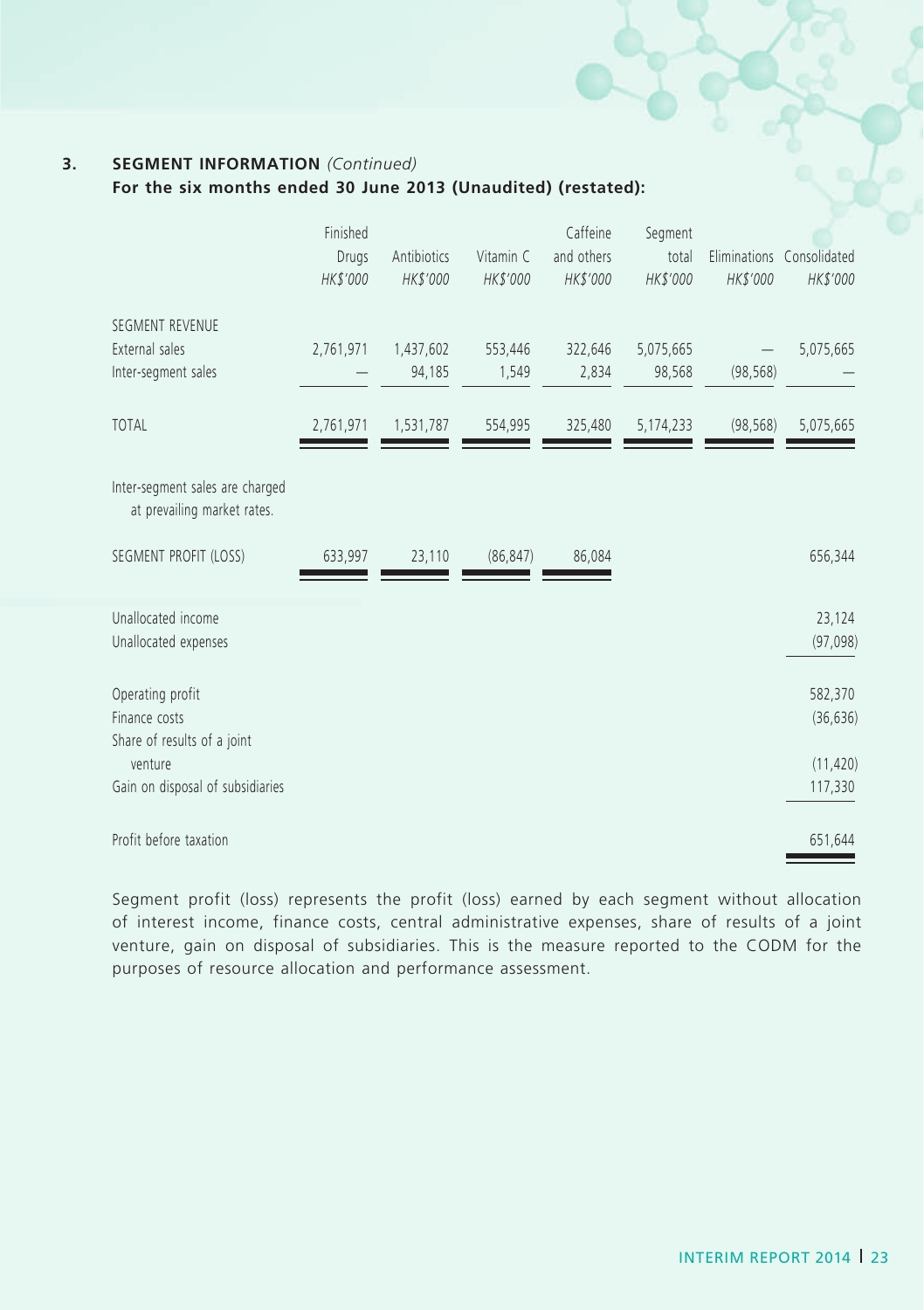### **3. SEGMENT INFORMATION** *(Continued)*

**For the six months ended 30 June 2013 (Unaudited) (restated):**

|                                                                  | Finished<br>Drugs<br>HK\$'000 | Antibiotics<br>HK\$'000 | Vitamin C<br>HK\$'000 | Caffeine<br>and others<br>HK\$'000 | Segment<br>total<br>HK\$'000 | HK\$'000  | Eliminations Consolidated<br>HK\$'000 |
|------------------------------------------------------------------|-------------------------------|-------------------------|-----------------------|------------------------------------|------------------------------|-----------|---------------------------------------|
| SEGMENT REVENUE<br>External sales<br>Inter-segment sales         | 2,761,971                     | 1,437,602<br>94,185     | 553,446<br>1,549      | 322,646<br>2,834                   | 5,075,665<br>98,568          | (98, 568) | 5,075,665                             |
| <b>TOTAL</b>                                                     | 2,761,971                     | 1,531,787               | 554,995               | 325,480                            | 5,174,233                    | (98, 568) | 5,075,665                             |
| Inter-segment sales are charged<br>at prevailing market rates.   |                               |                         |                       |                                    |                              |           |                                       |
| SEGMENT PROFIT (LOSS)                                            | 633,997                       | 23,110                  | (86, 847)             | 86,084                             |                              |           | 656,344                               |
| Unallocated income<br>Unallocated expenses                       |                               |                         |                       |                                    |                              |           | 23,124<br>(97,098)                    |
| Operating profit<br>Finance costs<br>Share of results of a joint |                               |                         |                       |                                    |                              |           | 582,370<br>(36, 636)                  |
| venture<br>Gain on disposal of subsidiaries                      |                               |                         |                       |                                    |                              |           | (11, 420)<br>117,330                  |
| Profit before taxation                                           |                               |                         |                       |                                    |                              |           | 651,644                               |

Segment profit (loss) represents the profit (loss) earned by each segment without allocation of interest income, finance costs, central administrative expenses, share of results of a joint venture, gain on disposal of subsidiaries. This is the measure reported to the CODM for the purposes of resource allocation and performance assessment.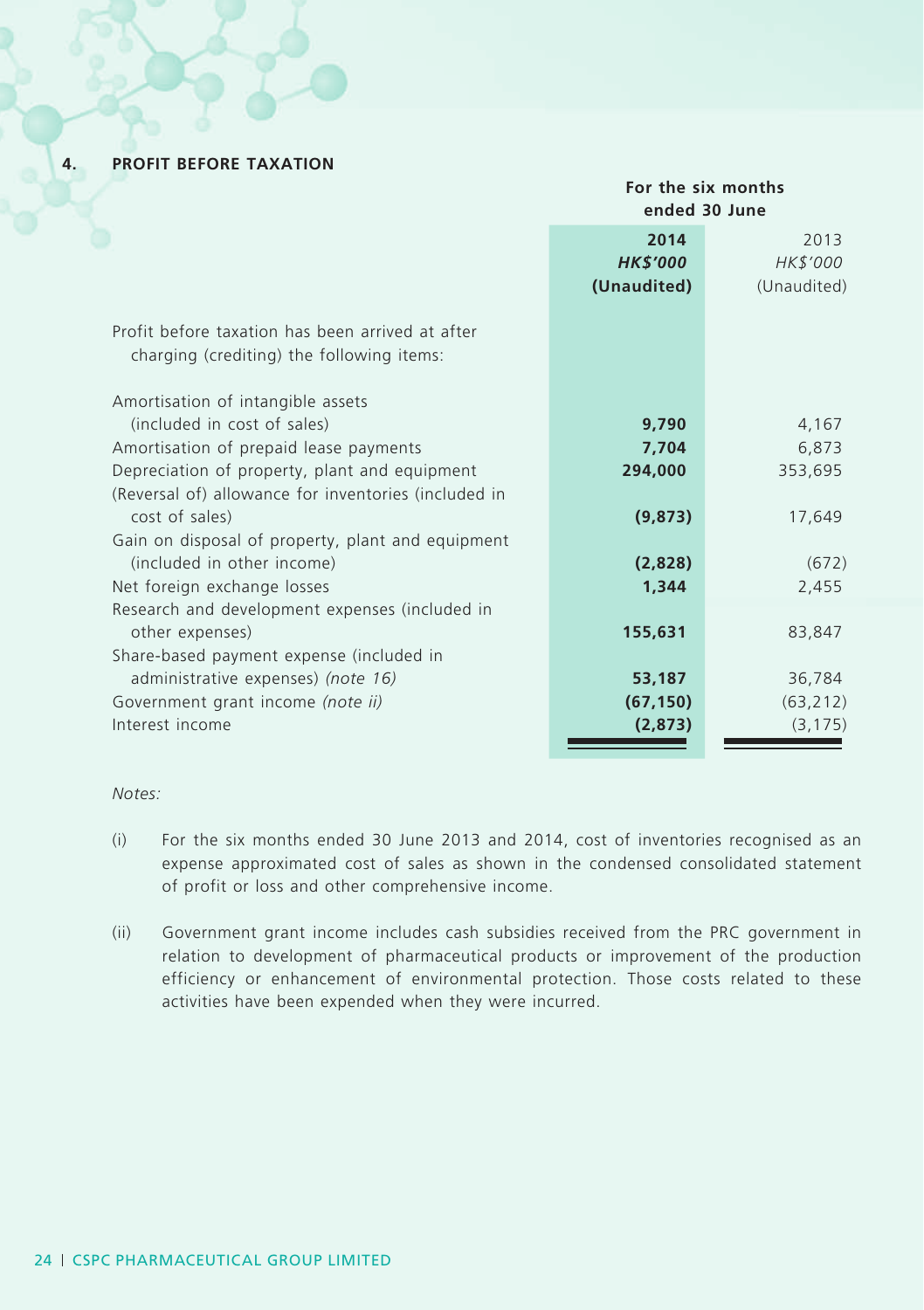**4. PROFIT BEFORE TAXATION**

# **For the six months ended 30 June 2014** 2013 *HK\$'000 HK\$'000* **(Unaudited)** (Unaudited) Profit before taxation has been arrived at after charging (crediting) the following items: Amortisation of intangible assets (included in cost of sales) **9,790** 4,167 Amortisation of prepaid lease payments **7,704** 6,873 Depreciation of property, plant and equipment **294,000** 353,695 (Reversal of) allowance for inventories (included in cost of sales) **(9,873)** 17,649 Gain on disposal of property, plant and equipment (included in other income) **(2,828)** (672) Net foreign exchange losses **1,344** 2,455 Research and development expenses (included in other expenses) **155,631** 83,847 Share-based payment expense (included in administrative expenses) *(note 16)* **53,187** 36,784 Government grant income *(note ii)* **(67,150)** (63,212) Interest income **(2,873)** (3,175)

#### *Notes:*

- (i) For the six months ended 30 June 2013 and 2014, cost of inventories recognised as an expense approximated cost of sales as shown in the condensed consolidated statement of profit or loss and other comprehensive income.
- (ii) Government grant income includes cash subsidies received from the PRC government in relation to development of pharmaceutical products or improvement of the production efficiency or enhancement of environmental protection. Those costs related to these activities have been expended when they were incurred.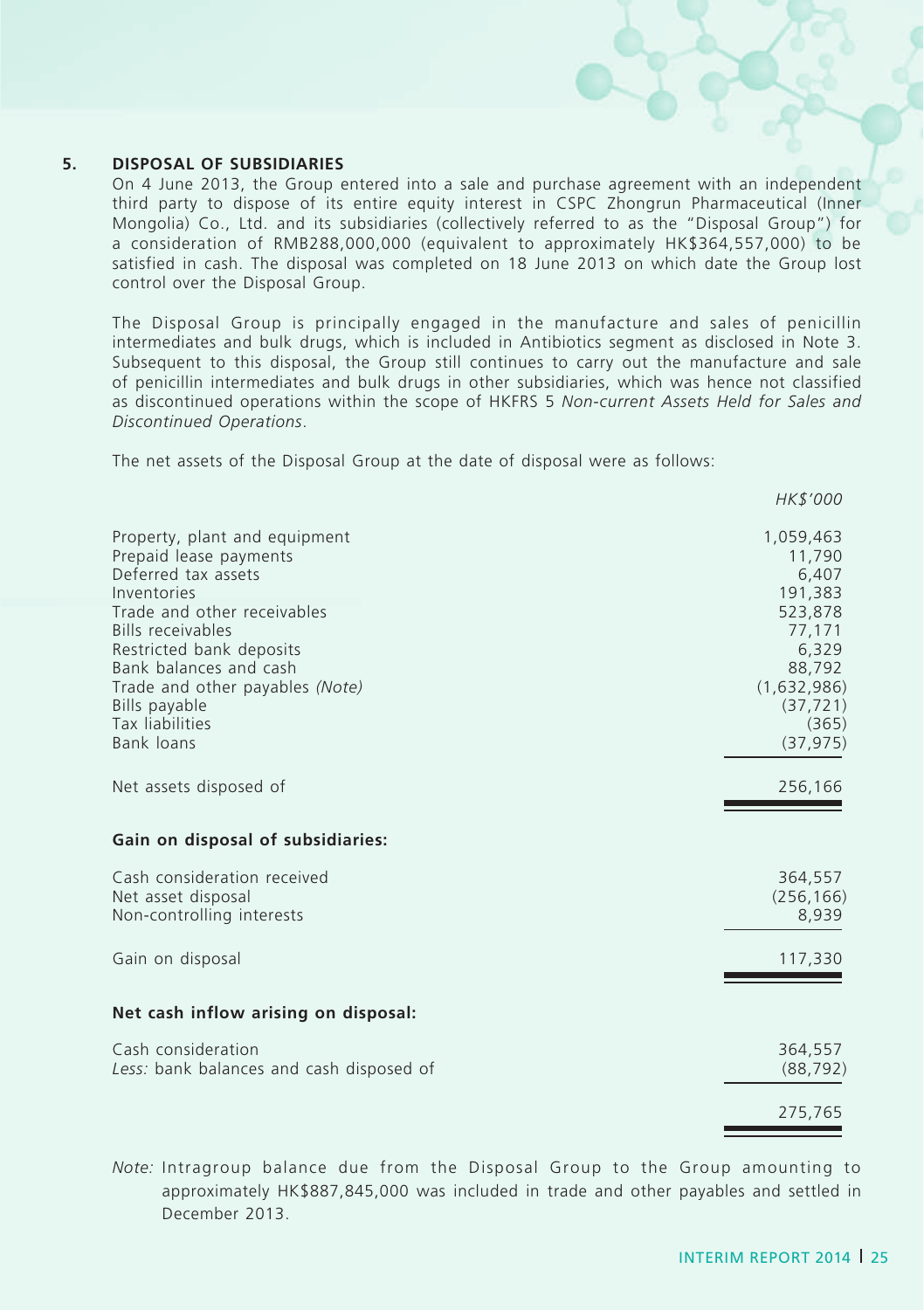#### **5. DISPOSAL OF SUBSIDIARIES**

On 4 June 2013, the Group entered into a sale and purchase agreement with an independent third party to dispose of its entire equity interest in CSPC Zhongrun Pharmaceutical (Inner Mongolia) Co., Ltd. and its subsidiaries (collectively referred to as the "Disposal Group") for a consideration of RMB288,000,000 (equivalent to approximately HK\$364,557,000) to be satisfied in cash. The disposal was completed on 18 June 2013 on which date the Group lost control over the Disposal Group.

The Disposal Group is principally engaged in the manufacture and sales of penicillin intermediates and bulk drugs, which is included in Antibiotics segment as disclosed in Note 3. Subsequent to this disposal, the Group still continues to carry out the manufacture and sale of penicillin intermediates and bulk drugs in other subsidiaries, which was hence not classified as discontinued operations within the scope of HKFRS 5 *Non-current Assets Held for Sales and Discontinued Operations*.

The net assets of the Disposal Group at the date of disposal were as follows:

|                                                                                                                                                                                             | <i>HK\$'000</i>                                                                        |
|---------------------------------------------------------------------------------------------------------------------------------------------------------------------------------------------|----------------------------------------------------------------------------------------|
| Property, plant and equipment<br>Prepaid lease payments<br>Deferred tax assets<br>Inventories                                                                                               | 1,059,463<br>11,790<br>6,407<br>191,383                                                |
| Trade and other receivables<br>Bills receivables<br>Restricted bank deposits<br>Bank balances and cash<br>Trade and other payables (Note)<br>Bills payable<br>Tax liabilities<br>Bank loans | 523,878<br>77,171<br>6,329<br>88,792<br>(1,632,986)<br>(37, 721)<br>(365)<br>(37, 975) |
| Net assets disposed of                                                                                                                                                                      | 256,166                                                                                |
| Gain on disposal of subsidiaries:                                                                                                                                                           |                                                                                        |
| Cash consideration received<br>Net asset disposal<br>Non-controlling interests                                                                                                              | 364,557<br>(256, 166)<br>8,939                                                         |
| Gain on disposal                                                                                                                                                                            | 117,330                                                                                |
| Net cash inflow arising on disposal:                                                                                                                                                        |                                                                                        |
| Cash consideration<br>Less: bank balances and cash disposed of                                                                                                                              | 364,557<br>(88, 792)                                                                   |
|                                                                                                                                                                                             | 275,765                                                                                |

*Note:* Intragroup balance due from the Disposal Group to the Group amounting to approximately HK\$887,845,000 was included in trade and other payables and settled in December 2013.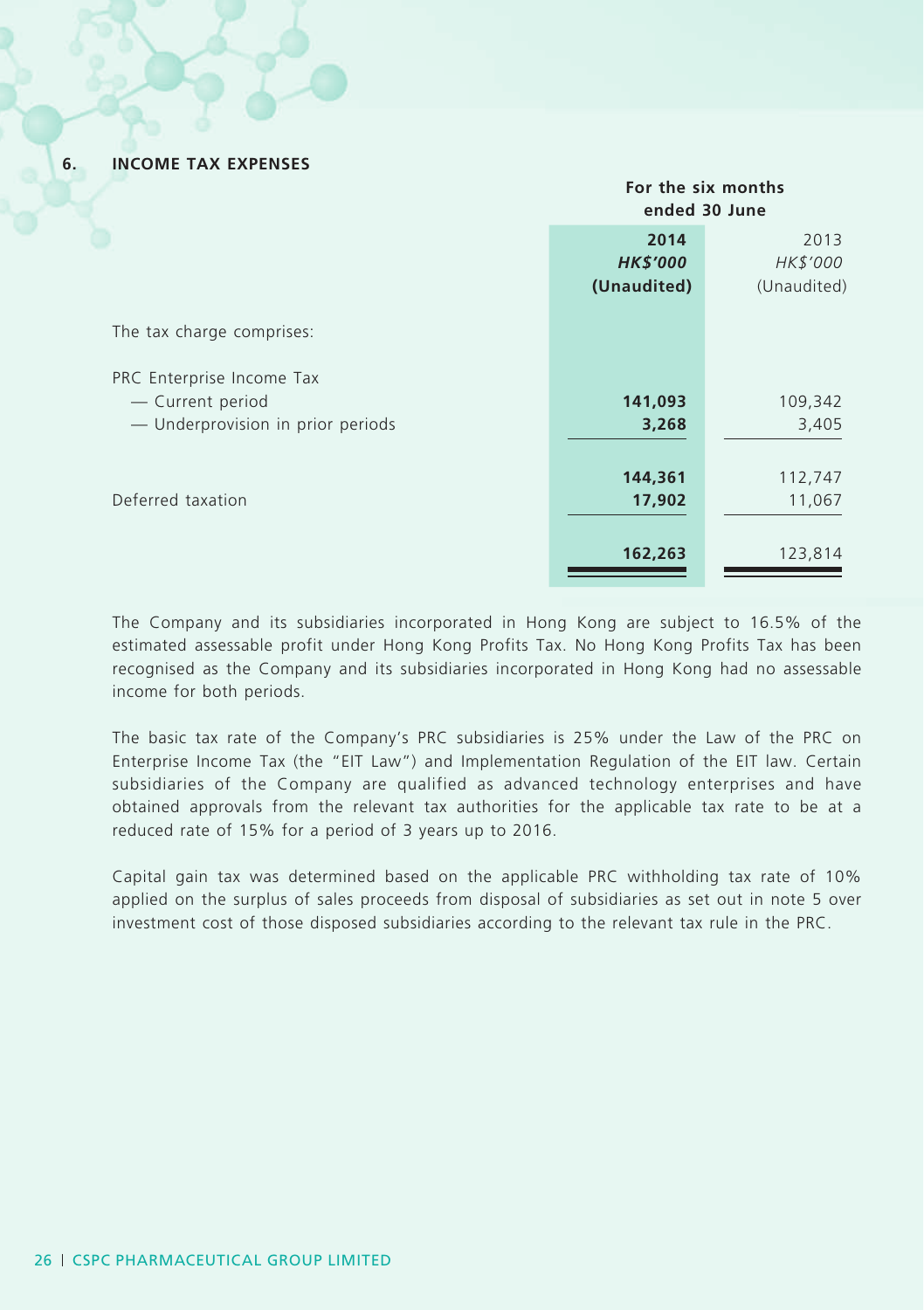#### **6. INCOME TAX EXPENSES**

|                                   |                         | For the six months<br>ended 30 June |  |  |
|-----------------------------------|-------------------------|-------------------------------------|--|--|
|                                   | 2014<br><b>HK\$'000</b> | 2013<br>HK\$'000                    |  |  |
|                                   | (Unaudited)             | (Unaudited)                         |  |  |
| The tax charge comprises:         |                         |                                     |  |  |
| PRC Enterprise Income Tax         |                         |                                     |  |  |
| - Current period                  | 141,093                 | 109,342                             |  |  |
| - Underprovision in prior periods | 3,268                   | 3,405                               |  |  |
|                                   | 144,361                 | 112,747                             |  |  |
| Deferred taxation                 | 17,902                  | 11,067                              |  |  |
|                                   | 162,263                 | 123,814                             |  |  |

The Company and its subsidiaries incorporated in Hong Kong are subject to 16.5% of the estimated assessable profit under Hong Kong Profits Tax. No Hong Kong Profits Tax has been recognised as the Company and its subsidiaries incorporated in Hong Kong had no assessable income for both periods.

The basic tax rate of the Company's PRC subsidiaries is 25% under the Law of the PRC on Enterprise Income Tax (the "EIT Law") and Implementation Regulation of the EIT law. Certain subsidiaries of the Company are qualified as advanced technology enterprises and have obtained approvals from the relevant tax authorities for the applicable tax rate to be at a reduced rate of 15% for a period of 3 years up to 2016.

Capital gain tax was determined based on the applicable PRC withholding tax rate of 10% applied on the surplus of sales proceeds from disposal of subsidiaries as set out in note 5 over investment cost of those disposed subsidiaries according to the relevant tax rule in the PRC.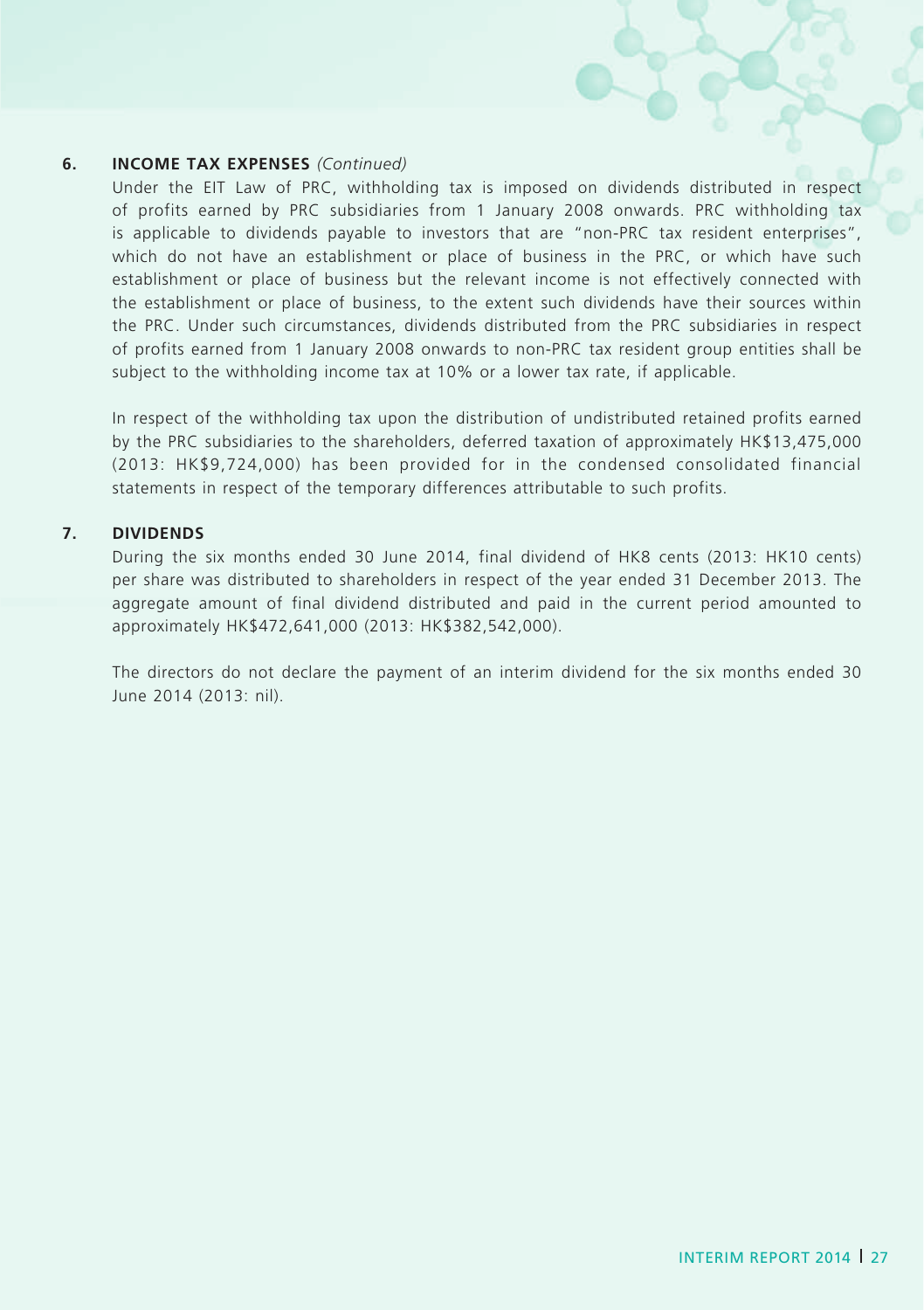#### **6. INCOME TAX EXPENSES** *(Continued)*

Under the EIT Law of PRC, withholding tax is imposed on dividends distributed in respect of profits earned by PRC subsidiaries from 1 January 2008 onwards. PRC withholding tax is applicable to dividends payable to investors that are "non-PRC tax resident enterprises", which do not have an establishment or place of business in the PRC, or which have such establishment or place of business but the relevant income is not effectively connected with the establishment or place of business, to the extent such dividends have their sources within the PRC. Under such circumstances, dividends distributed from the PRC subsidiaries in respect of profits earned from 1 January 2008 onwards to non-PRC tax resident group entities shall be subject to the withholding income tax at 10% or a lower tax rate, if applicable.

In respect of the withholding tax upon the distribution of undistributed retained profits earned by the PRC subsidiaries to the shareholders, deferred taxation of approximately HK\$13,475,000 (2013: HK\$9,724,000) has been provided for in the condensed consolidated financial statements in respect of the temporary differences attributable to such profits.

#### **7. DIVIDENDS**

During the six months ended 30 June 2014, final dividend of HK8 cents (2013: HK10 cents) per share was distributed to shareholders in respect of the year ended 31 December 2013. The aggregate amount of final dividend distributed and paid in the current period amounted to approximately HK\$472,641,000 (2013: HK\$382,542,000).

The directors do not declare the payment of an interim dividend for the six months ended 30 June 2014 (2013: nil).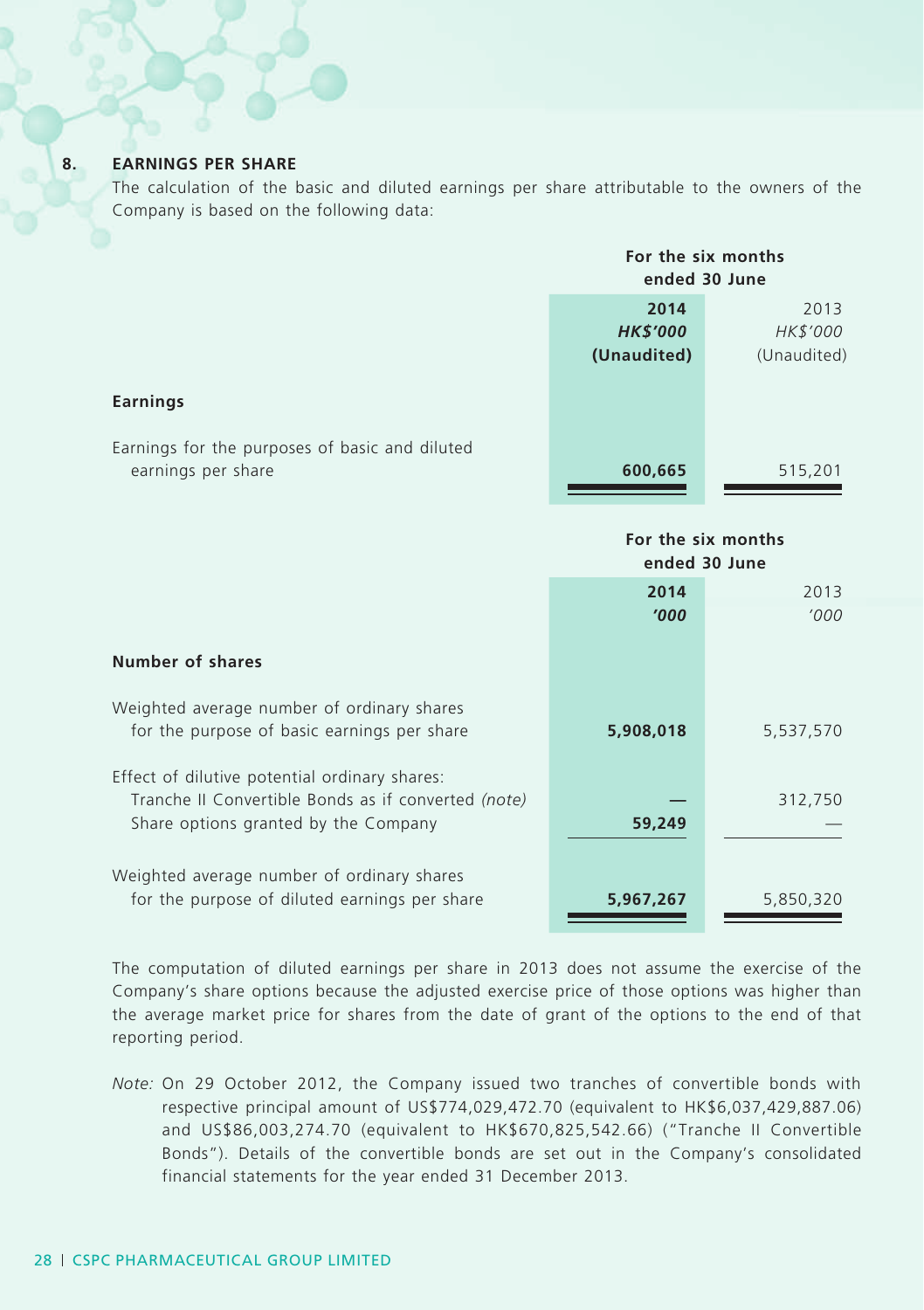#### **8. EARNINGS PER SHARE**

The calculation of the basic and diluted earnings per share attributable to the owners of the Company is based on the following data:

|                                                                      | For the six months<br>ended 30 June |             |
|----------------------------------------------------------------------|-------------------------------------|-------------|
|                                                                      | 2014                                | 2013        |
|                                                                      | <b>HK\$'000</b>                     | HK\$'000    |
|                                                                      | (Unaudited)                         | (Unaudited) |
| Earnings                                                             |                                     |             |
| Earnings for the purposes of basic and diluted<br>earnings per share | 600,665                             | 515,201     |

|                                                                                             | For the six months<br>ended 30 June |           |
|---------------------------------------------------------------------------------------------|-------------------------------------|-----------|
|                                                                                             | 2014                                | 2013      |
|                                                                                             | '000                                | '000'     |
| Number of shares                                                                            |                                     |           |
| Weighted average number of ordinary shares<br>for the purpose of basic earnings per share   | 5,908,018                           | 5,537,570 |
| Effect of dilutive potential ordinary shares:                                               |                                     |           |
| Tranche II Convertible Bonds as if converted (note)                                         |                                     | 312,750   |
| Share options granted by the Company                                                        | 59,249                              |           |
| Weighted average number of ordinary shares<br>for the purpose of diluted earnings per share | 5,967,267                           | 5,850,320 |

The computation of diluted earnings per share in 2013 does not assume the exercise of the Company's share options because the adjusted exercise price of those options was higher than the average market price for shares from the date of grant of the options to the end of that reporting period.

*Note:* On 29 October 2012, the Company issued two tranches of convertible bonds with respective principal amount of US\$774,029,472.70 (equivalent to HK\$6,037,429,887.06) and US\$86,003,274.70 (equivalent to HK\$670,825,542.66) ("Tranche II Convertible Bonds"). Details of the convertible bonds are set out in the Company's consolidated financial statements for the year ended 31 December 2013.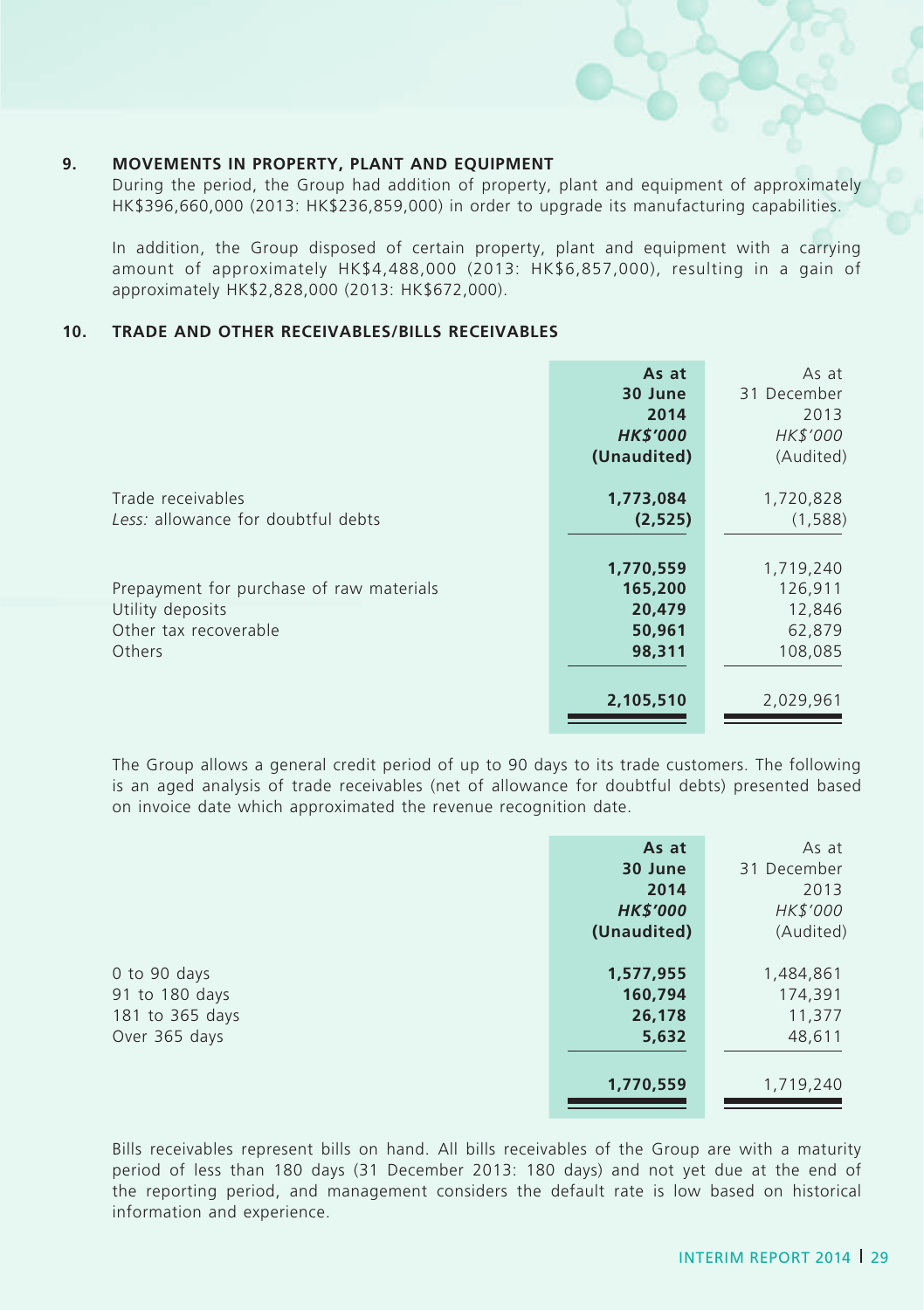#### **9. MOVEMENTS IN PROPERTY, PLANT AND EQUIPMENT**

During the period, the Group had addition of property, plant and equipment of approximately HK\$396,660,000 (2013: HK\$236,859,000) in order to upgrade its manufacturing capabilities.

In addition, the Group disposed of certain property, plant and equipment with a carrying amount of approximately HK\$4,488,000 (2013: HK\$6,857,000), resulting in a gain of approximately HK\$2,828,000 (2013: HK\$672,000).

#### **10. TRADE AND OTHER RECEIVABLES/BILLS RECEIVABLES**

|                                          | As at           | As at       |
|------------------------------------------|-----------------|-------------|
|                                          | 30 June         | 31 December |
|                                          | 2014            | 2013        |
|                                          | <b>HK\$'000</b> | HK\$'000    |
|                                          | (Unaudited)     | (Audited)   |
| Trade receivables                        | 1,773,084       | 1,720,828   |
| Less: allowance for doubtful debts       | (2,525)         | (1,588)     |
|                                          |                 |             |
|                                          | 1,770,559       | 1,719,240   |
| Prepayment for purchase of raw materials | 165,200         | 126,911     |
| Utility deposits                         | 20,479          | 12,846      |
| Other tax recoverable                    | 50,961          | 62,879      |
| Others                                   | 98,311          | 108,085     |
|                                          |                 |             |
|                                          | 2,105,510       | 2,029,961   |

The Group allows a general credit period of up to 90 days to its trade customers. The following is an aged analysis of trade receivables (net of allowance for doubtful debts) presented based on invoice date which approximated the revenue recognition date.

|                 | As at           | As at       |
|-----------------|-----------------|-------------|
|                 | 30 June         | 31 December |
|                 | 2014            | 2013        |
|                 | <b>HK\$'000</b> | HK\$'000    |
|                 | (Unaudited)     | (Audited)   |
|                 |                 |             |
| 0 to 90 days    | 1,577,955       | 1,484,861   |
| 91 to 180 days  | 160,794         | 174,391     |
| 181 to 365 days | 26,178          | 11,377      |
| Over 365 days   | 5,632           | 48,611      |
|                 |                 |             |
|                 | 1,770,559       | 1,719,240   |

Bills receivables represent bills on hand. All bills receivables of the Group are with a maturity period of less than 180 days (31 December 2013: 180 days) and not yet due at the end of the reporting period, and management considers the default rate is low based on historical information and experience.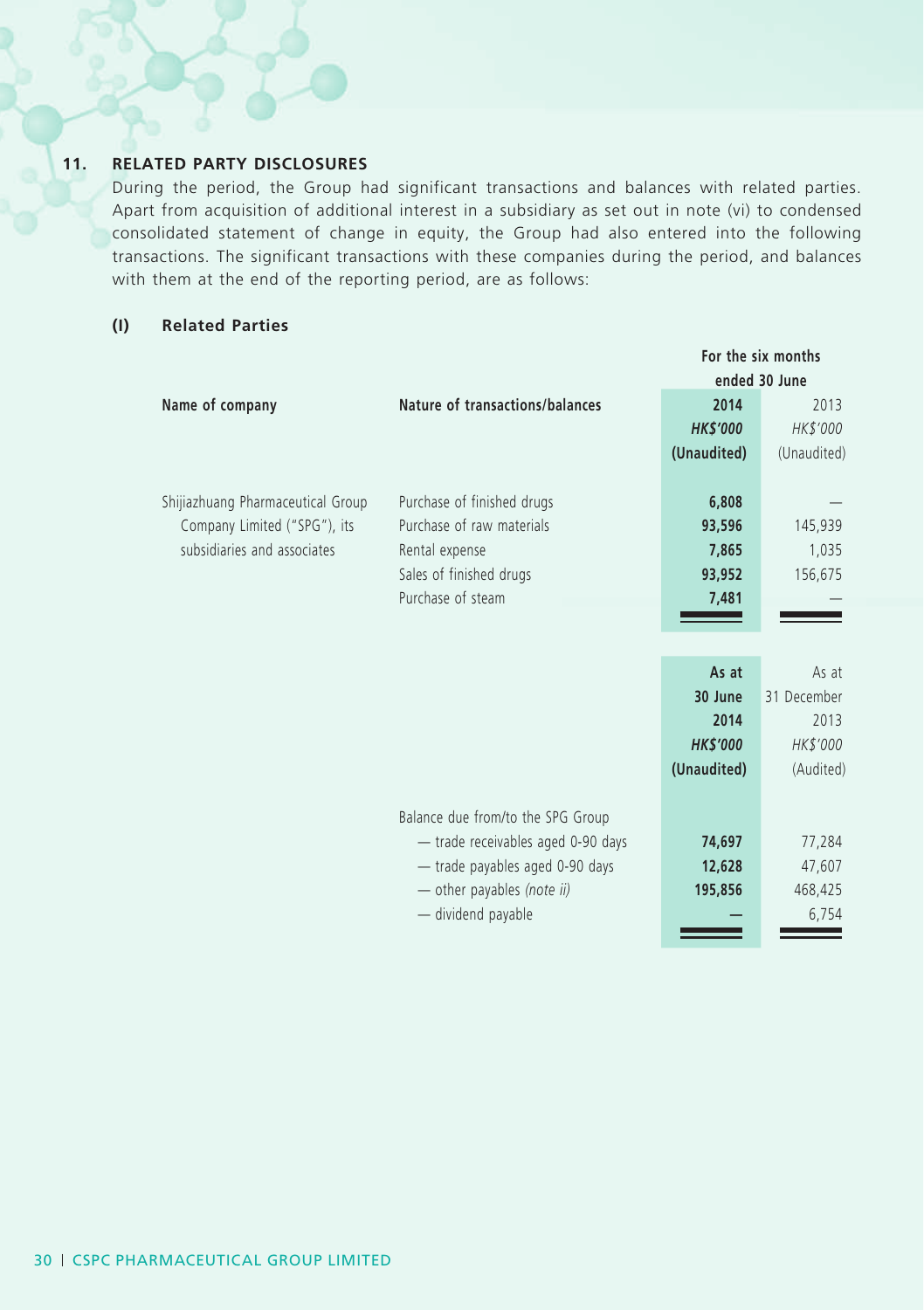### **11. RELATED PARTY DISCLOSURES**

During the period, the Group had significant transactions and balances with related parties. Apart from acquisition of additional interest in a subsidiary as set out in note (vi) to condensed consolidated statement of change in equity, the Group had also entered into the following transactions. The significant transactions with these companies during the period, and balances with them at the end of the reporting period, are as follows:

### **(I) Related Parties**

|                                   |                                    |                 | For the six months |
|-----------------------------------|------------------------------------|-----------------|--------------------|
|                                   |                                    |                 | ended 30 June      |
| Name of company                   | Nature of transactions/balances    | 2014            | 2013               |
|                                   |                                    | <b>HK\$'000</b> | HK\$'000           |
|                                   |                                    | (Unaudited)     | (Unaudited)        |
|                                   |                                    |                 |                    |
| Shijiazhuang Pharmaceutical Group | Purchase of finished drugs         | 6,808           |                    |
| Company Limited ("SPG"), its      | Purchase of raw materials          | 93,596          | 145,939            |
| subsidiaries and associates       | Rental expense                     | 7,865           | 1,035              |
|                                   | Sales of finished drugs            | 93,952          | 156,675            |
|                                   | Purchase of steam                  | 7,481           |                    |
|                                   |                                    |                 |                    |
|                                   |                                    |                 |                    |
|                                   |                                    | As at           | As at              |
|                                   |                                    | 30 June         | 31 December        |
|                                   |                                    | 2014            | 2013               |
|                                   |                                    | <b>HK\$'000</b> | HK\$'000           |
|                                   |                                    | (Unaudited)     | (Audited)          |
|                                   |                                    |                 |                    |
|                                   | Balance due from/to the SPG Group  |                 |                    |
|                                   | - trade receivables aged 0-90 days | 74,697          | 77,284             |
|                                   | - trade payables aged 0-90 days    | 12,628          | 47,607             |
|                                   | - other payables (note ii)         | 195,856         | 468,425            |
|                                   | - dividend payable                 |                 | 6,754              |
|                                   |                                    |                 |                    |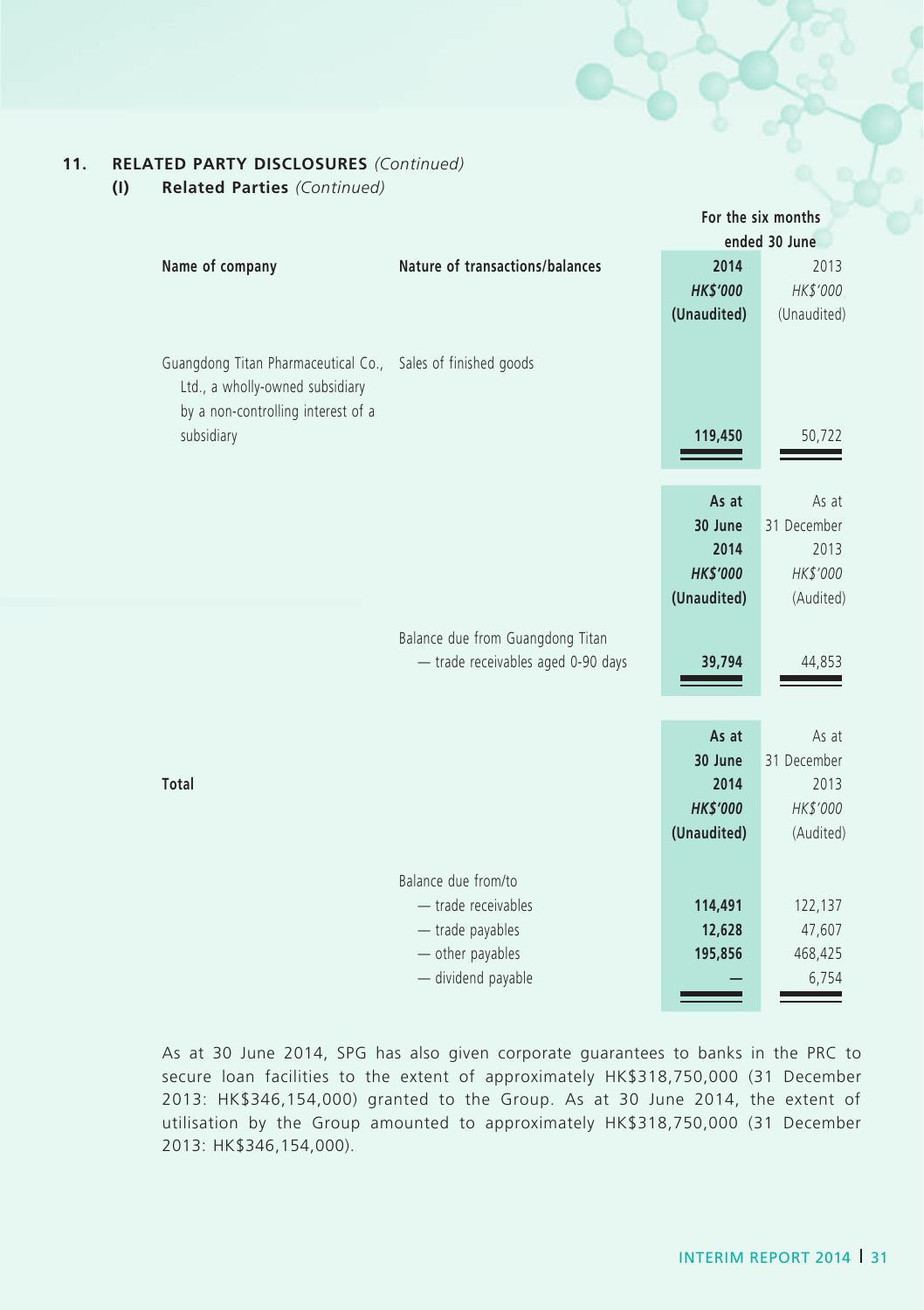### **11. RELATED PARTY DISCLOSURES** *(Continued)*

**(I) Related Parties** *(Continued)*

|                                                                                                                            |                                                                                    |                              | For the six months           |
|----------------------------------------------------------------------------------------------------------------------------|------------------------------------------------------------------------------------|------------------------------|------------------------------|
|                                                                                                                            |                                                                                    |                              | ended 30 June                |
| Name of company                                                                                                            | Nature of transactions/balances                                                    | 2014                         | 2013                         |
|                                                                                                                            |                                                                                    | <b>HK\$'000</b>              | HK\$'000                     |
|                                                                                                                            |                                                                                    | (Unaudited)                  | (Unaudited)                  |
| Guangdong Titan Pharmaceutical Co.,<br>Ltd., a wholly-owned subsidiary<br>by a non-controlling interest of a<br>subsidiary | Sales of finished goods                                                            | 119,450                      | 50,722                       |
|                                                                                                                            |                                                                                    | As at                        | As at                        |
|                                                                                                                            |                                                                                    | 30 June                      | 31 December                  |
|                                                                                                                            |                                                                                    | 2014                         | 2013                         |
|                                                                                                                            |                                                                                    | <b>HK\$'000</b>              | HK\$'000                     |
|                                                                                                                            |                                                                                    | (Unaudited)                  | (Audited)                    |
|                                                                                                                            | Balance due from Guangdong Titan<br>- trade receivables aged 0-90 days             | 39,794                       | 44,853                       |
|                                                                                                                            |                                                                                    | As at                        | As at                        |
|                                                                                                                            |                                                                                    | 30 June                      | 31 December                  |
| <b>Total</b>                                                                                                               |                                                                                    | 2014                         | 2013                         |
|                                                                                                                            |                                                                                    | <b>HK\$'000</b>              | HK\$'000                     |
|                                                                                                                            |                                                                                    | (Unaudited)                  | (Audited)                    |
|                                                                                                                            | Balance due from/to<br>- trade receivables<br>- trade payables<br>- other payables | 114,491<br>12,628<br>195,856 | 122,137<br>47,607<br>468,425 |
|                                                                                                                            | - dividend payable                                                                 |                              | 6,754                        |
|                                                                                                                            |                                                                                    |                              |                              |

As at 30 June 2014, SPG has also given corporate guarantees to banks in the PRC to secure loan facilities to the extent of approximately HK\$318,750,000 (31 December 2013: HK\$346,154,000) granted to the Group. As at 30 June 2014, the extent of utilisation by the Group amounted to approximately HK\$318,750,000 (31 December 2013: HK\$346,154,000).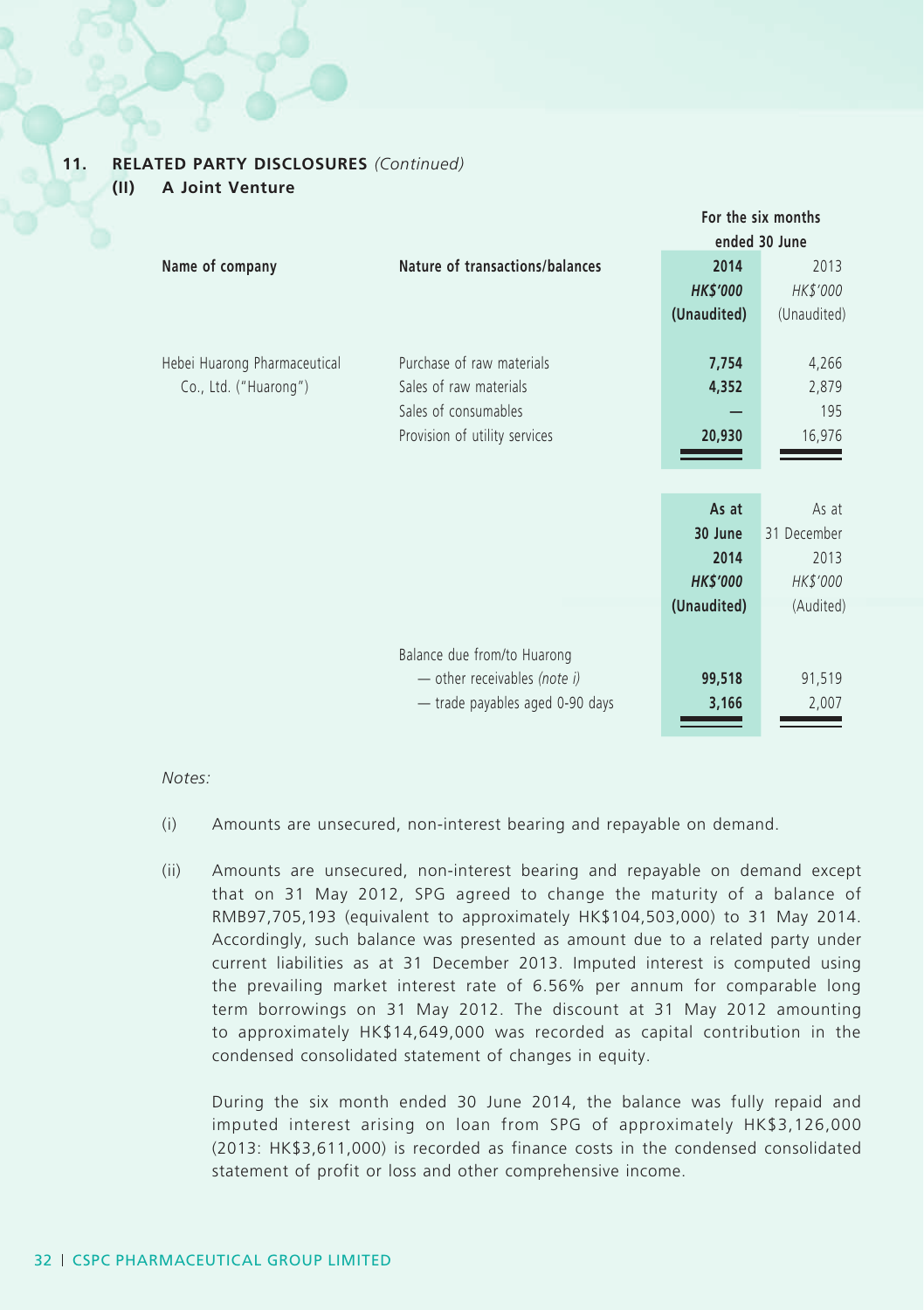#### **11. RELATED PARTY DISCLOSURES** *(Continued)*

**(II) A Joint Venture**

|                              |                                 |                 | For the six months |
|------------------------------|---------------------------------|-----------------|--------------------|
|                              |                                 |                 | ended 30 June      |
| Name of company              | Nature of transactions/balances | 2014            | 2013               |
|                              |                                 | <b>HK\$'000</b> | HK\$'000           |
|                              |                                 | (Unaudited)     | (Unaudited)        |
|                              |                                 |                 |                    |
| Hebei Huarong Pharmaceutical | Purchase of raw materials       | 7,754           | 4,266              |
| Co., Ltd. ("Huarong")        | Sales of raw materials          | 4,352           | 2,879              |
|                              | Sales of consumables            |                 | 195                |
|                              | Provision of utility services   | 20,930          | 16,976             |
|                              |                                 |                 |                    |
|                              |                                 |                 |                    |
|                              |                                 | As at           | As at              |
|                              |                                 | 30 June         | 31 December        |
|                              |                                 | 2014            | 2013               |
|                              |                                 | <b>HK\$'000</b> | HK\$'000           |
|                              |                                 | (Unaudited)     | (Audited)          |
|                              |                                 |                 |                    |
|                              | Balance due from/to Huarong     |                 |                    |
|                              | - other receivables (note i)    | 99,518          | 91,519             |
|                              | - trade payables aged 0-90 days | 3,166           | 2,007              |
|                              |                                 |                 |                    |

#### *Notes:*

- (i) Amounts are unsecured, non-interest bearing and repayable on demand.
- (ii) Amounts are unsecured, non-interest bearing and repayable on demand except that on 31 May 2012, SPG agreed to change the maturity of a balance of RMB97,705,193 (equivalent to approximately HK\$104,503,000) to 31 May 2014. Accordingly, such balance was presented as amount due to a related party under current liabilities as at 31 December 2013. Imputed interest is computed using the prevailing market interest rate of 6.56% per annum for comparable long term borrowings on 31 May 2012. The discount at 31 May 2012 amounting to approximately HK\$14,649,000 was recorded as capital contribution in the condensed consolidated statement of changes in equity.

During the six month ended 30 June 2014, the balance was fully repaid and imputed interest arising on loan from SPG of approximately HK\$3,126,000 (2013: HK\$3,611,000) is recorded as finance costs in the condensed consolidated statement of profit or loss and other comprehensive income.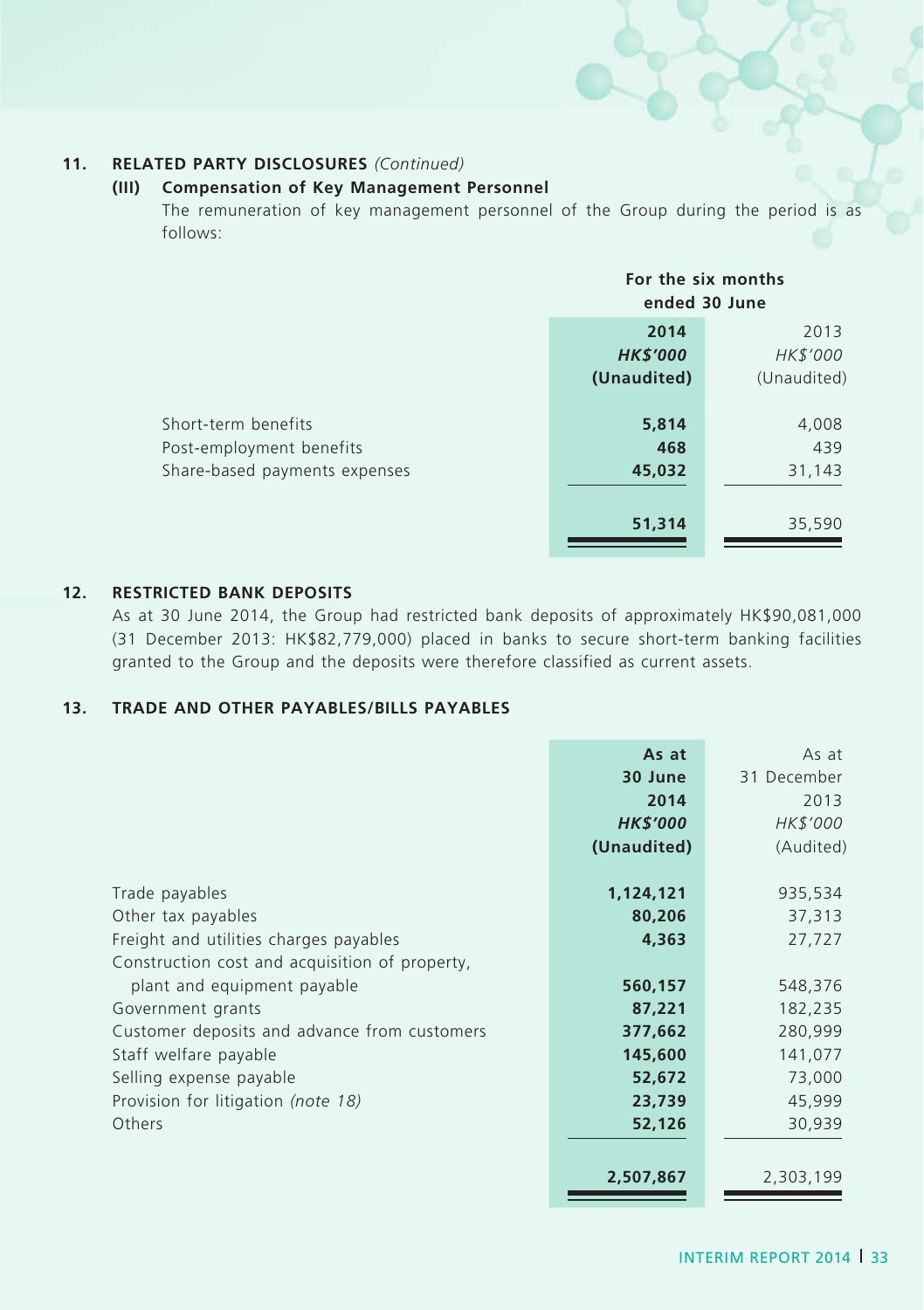#### **11. RELATED PARTY DISCLOSURES** *(Continued)*

#### **(III) Compensation of Key Management Personnel**

The remuneration of key management personnel of the Group during the period is as follows:

|                                                                                  | For the six months<br>ended 30 June    |                                 |
|----------------------------------------------------------------------------------|----------------------------------------|---------------------------------|
|                                                                                  | 2014<br><b>HK\$'000</b><br>(Unaudited) | 2013<br>HK\$'000<br>(Unaudited) |
| Short-term benefits<br>Post-employment benefits<br>Share-based payments expenses | 5,814<br>468<br>45,032                 | 4,008<br>439<br>31,143          |
|                                                                                  | 51,314                                 | 35,590                          |

#### **12. RESTRICTED BANK DEPOSITS**

As at 30 June 2014, the Group had restricted bank deposits of approximately HK\$90,081,000 (31 December 2013: HK\$82,779,000) placed in banks to secure short-term banking facilities granted to the Group and the deposits were therefore classified as current assets.

#### **13. TRADE AND OTHER PAYABLES/BILLS PAYABLES**

|                                                | As at           | As at       |
|------------------------------------------------|-----------------|-------------|
|                                                | 30 June         | 31 December |
|                                                | 2014            | 2013        |
|                                                | <b>HK\$'000</b> | HK\$'000    |
|                                                | (Unaudited)     | (Audited)   |
|                                                |                 |             |
| Trade payables                                 | 1,124,121       | 935,534     |
| Other tax payables                             | 80,206          | 37,313      |
| Freight and utilities charges payables         | 4,363           | 27,727      |
| Construction cost and acquisition of property, |                 |             |
| plant and equipment payable                    | 560,157         | 548,376     |
| Government grants                              | 87,221          | 182,235     |
| Customer deposits and advance from customers   | 377,662         | 280,999     |
| Staff welfare payable                          | 145,600         | 141,077     |
| Selling expense payable                        | 52,672          | 73,000      |
| Provision for litigation (note 18)             | 23,739          | 45,999      |
| <b>Others</b>                                  | 52,126          | 30,939      |
|                                                |                 |             |
|                                                | 2,507,867       | 2,303,199   |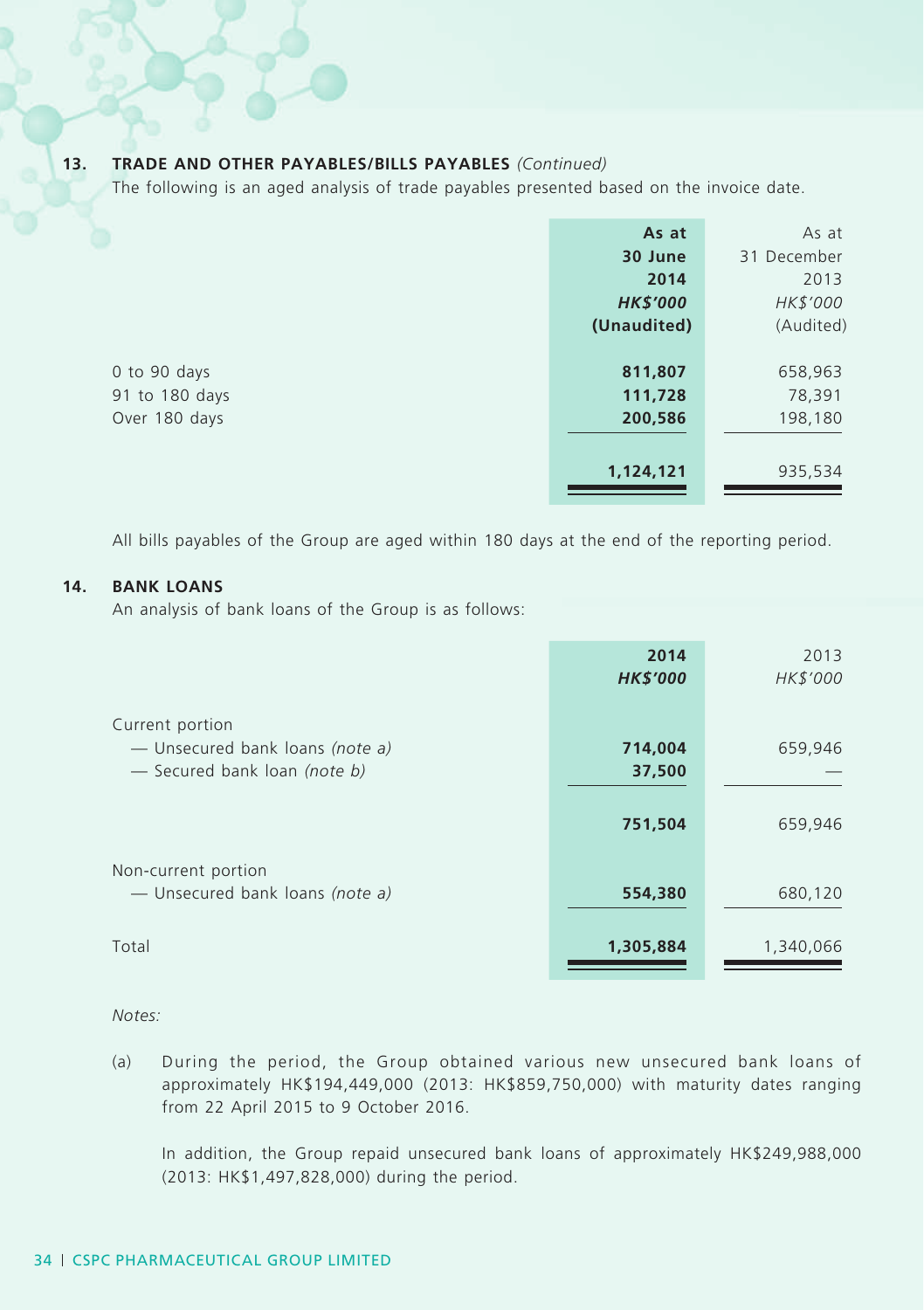### **13. TRADE AND OTHER PAYABLES/BILLS PAYABLES** *(Continued)*

The following is an aged analysis of trade payables presented based on the invoice date.

|                | As at           | As at       |
|----------------|-----------------|-------------|
|                | 30 June         | 31 December |
|                | 2014            | 2013        |
|                | <b>HK\$'000</b> | HK\$'000    |
|                | (Unaudited)     | (Audited)   |
|                |                 |             |
| 0 to 90 days   | 811,807         | 658,963     |
| 91 to 180 days | 111,728         | 78,391      |
| Over 180 days  | 200,586         | 198,180     |
|                |                 |             |
|                | 1,124,121       | 935,534     |

All bills payables of the Group are aged within 180 days at the end of the reporting period.

#### **14. BANK LOANS**

An analysis of bank loans of the Group is as follows:

|                                                                                    | 2014<br><b>HK\$'000</b> | 2013<br>HK\$'000 |
|------------------------------------------------------------------------------------|-------------------------|------------------|
| Current portion<br>- Unsecured bank loans (note a)<br>- Secured bank loan (note b) | 714,004<br>37,500       | 659,946          |
|                                                                                    | 751,504                 | 659,946          |
| Non-current portion<br>- Unsecured bank loans (note a)                             | 554,380                 | 680,120          |
| Total                                                                              | 1,305,884               | 1,340,066        |

*Notes:*

(a) During the period, the Group obtained various new unsecured bank loans of approximately HK\$194,449,000 (2013: HK\$859,750,000) with maturity dates ranging from 22 April 2015 to 9 October 2016.

In addition, the Group repaid unsecured bank loans of approximately HK\$249,988,000 (2013: HK\$1,497,828,000) during the period.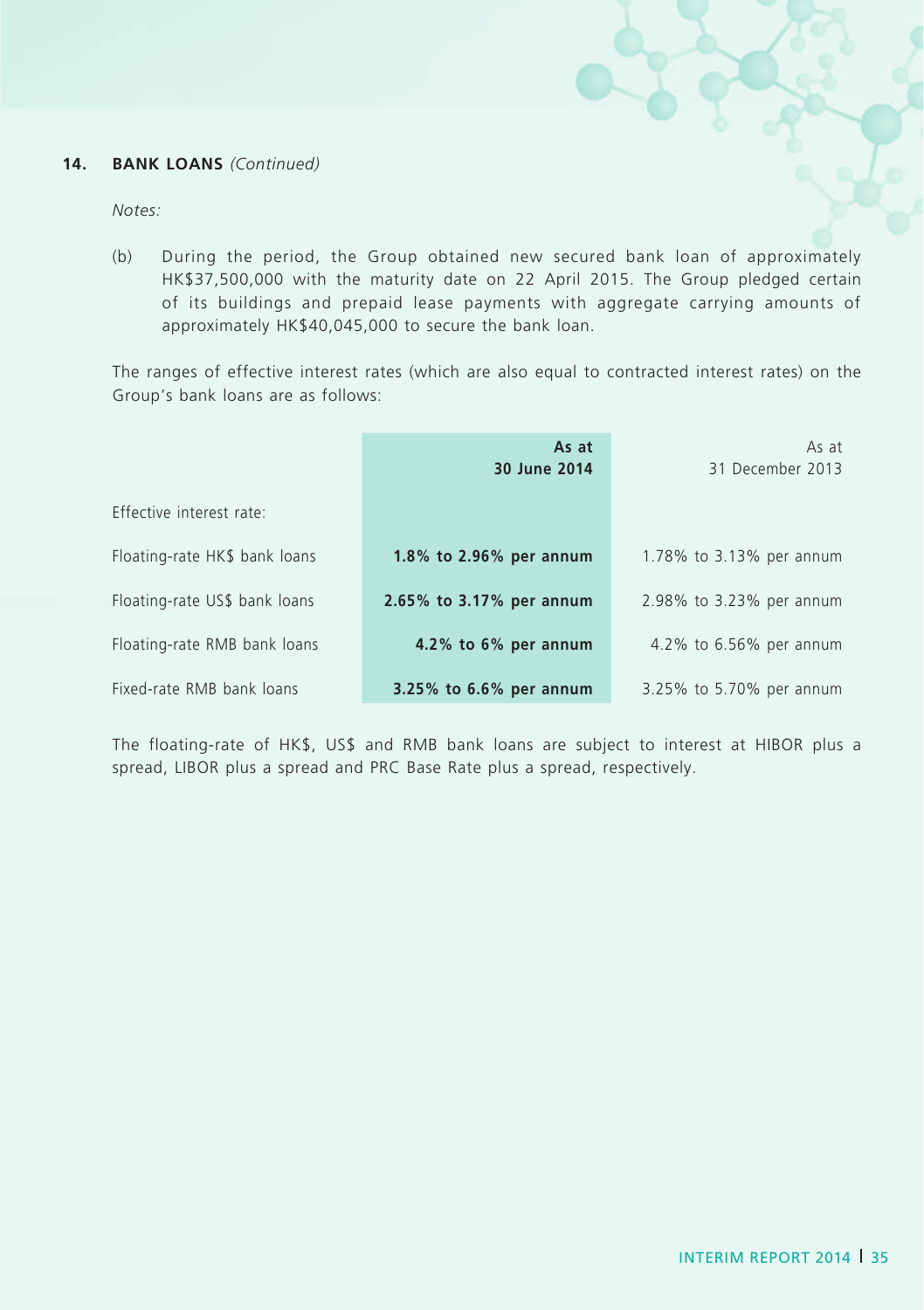#### **14. BANK LOANS** *(Continued)*

*Notes:*

(b) During the period, the Group obtained new secured bank loan of approximately HK\$37,500,000 with the maturity date on 22 April 2015. The Group pledged certain of its buildings and prepaid lease payments with aggregate carrying amounts of approximately HK\$40,045,000 to secure the bank loan.

The ranges of effective interest rates (which are also equal to contracted interest rates) on the Group's bank loans are as follows:

|                               | As at<br>30 June 2014    | As at<br>31 December 2013 |
|-------------------------------|--------------------------|---------------------------|
| Effective interest rate:      |                          |                           |
| Floating-rate HK\$ bank loans | 1.8% to 2.96% per annum  | 1.78% to 3.13% per annum  |
| Floating-rate US\$ bank loans | 2.65% to 3.17% per annum | 2.98% to 3.23% per annum  |
| Floating-rate RMB bank loans  | 4.2% to 6% per annum     | 4.2% to 6.56% per annum   |
| Fixed-rate RMB bank loans     | 3.25% to 6.6% per annum  | 3.25% to 5.70% per annum  |

The floating-rate of HK\$, US\$ and RMB bank loans are subject to interest at HIBOR plus a spread, LIBOR plus a spread and PRC Base Rate plus a spread, respectively.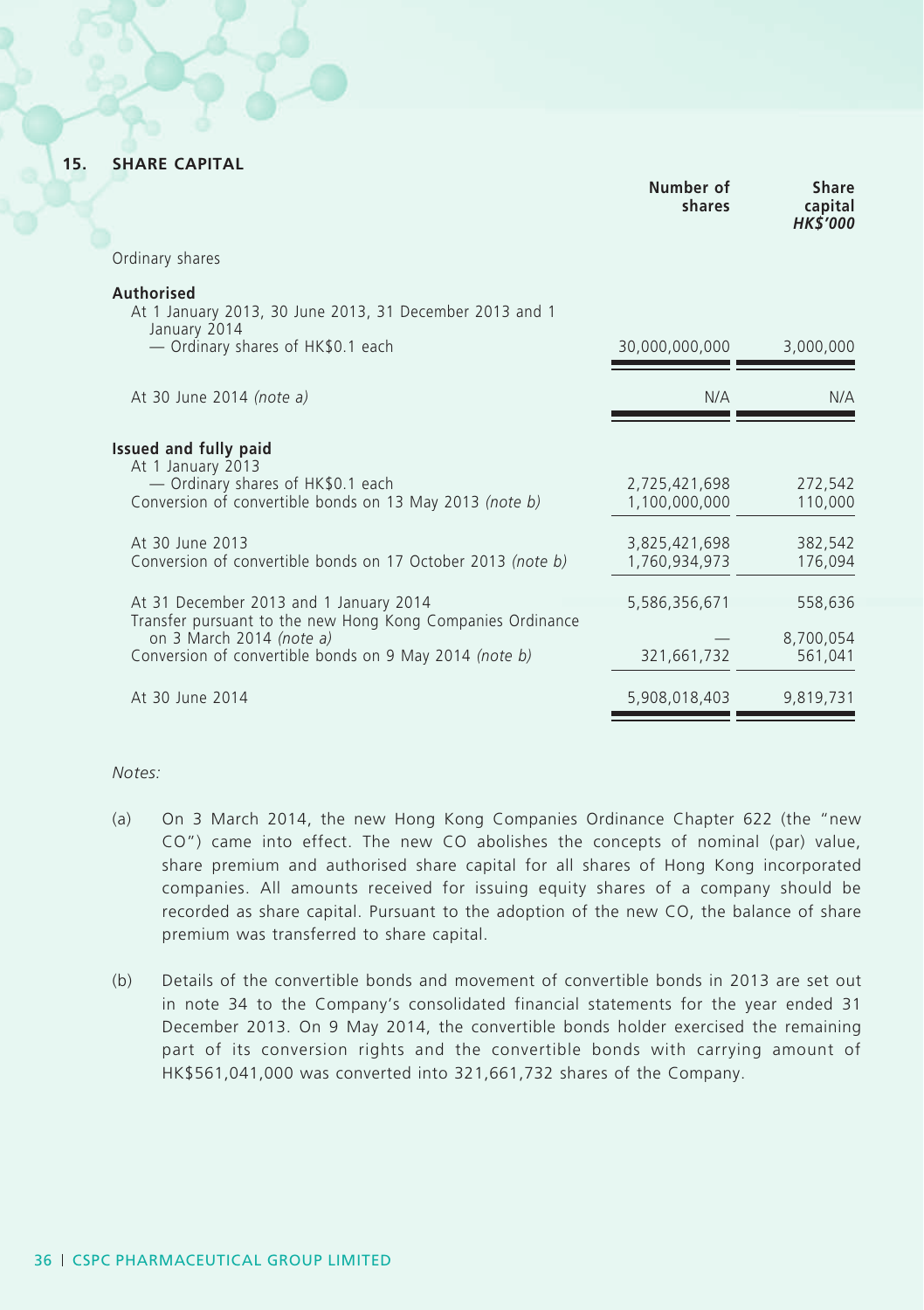**15. SHARE CAPITAL**

|                                                                                                                                                                                                                              | Number of<br>shares                                              | Share<br>capital<br><b>HK\$'000</b>      |
|------------------------------------------------------------------------------------------------------------------------------------------------------------------------------------------------------------------------------|------------------------------------------------------------------|------------------------------------------|
| Ordinary shares                                                                                                                                                                                                              |                                                                  |                                          |
| Authorised<br>At 1 January 2013, 30 June 2013, 31 December 2013 and 1<br>January 2014<br>- Ordinary shares of HK\$0.1 each                                                                                                   | 30,000,000,000                                                   | 3,000,000                                |
| At 30 June 2014 (note a)                                                                                                                                                                                                     | N/A                                                              | N/A                                      |
| Issued and fully paid<br>At 1 January 2013<br>- Ordinary shares of HK\$0.1 each<br>Conversion of convertible bonds on 13 May 2013 (note b)<br>At 30 June 2013<br>Conversion of convertible bonds on 17 October 2013 (note b) | 2,725,421,698<br>1,100,000,000<br>3,825,421,698<br>1,760,934,973 | 272,542<br>110,000<br>382,542<br>176,094 |
| At 31 December 2013 and 1 January 2014<br>Transfer pursuant to the new Hong Kong Companies Ordinance<br>on 3 March 2014 (note a)<br>Conversion of convertible bonds on 9 May 2014 (note b)                                   | 5,586,356,671<br>321,661,732                                     | 558,636<br>8,700,054<br>561,041          |
| At 30 June 2014                                                                                                                                                                                                              | 5,908,018,403                                                    | 9,819,731                                |

*Notes:*

- (a) On 3 March 2014, the new Hong Kong Companies Ordinance Chapter 622 (the "new CO") came into effect. The new CO abolishes the concepts of nominal (par) value, share premium and authorised share capital for all shares of Hong Kong incorporated companies. All amounts received for issuing equity shares of a company should be recorded as share capital. Pursuant to the adoption of the new CO, the balance of share premium was transferred to share capital.
- (b) Details of the convertible bonds and movement of convertible bonds in 2013 are set out in note 34 to the Company's consolidated financial statements for the year ended 31 December 2013. On 9 May 2014, the convertible bonds holder exercised the remaining part of its conversion rights and the convertible bonds with carrying amount of HK\$561,041,000 was converted into 321,661,732 shares of the Company.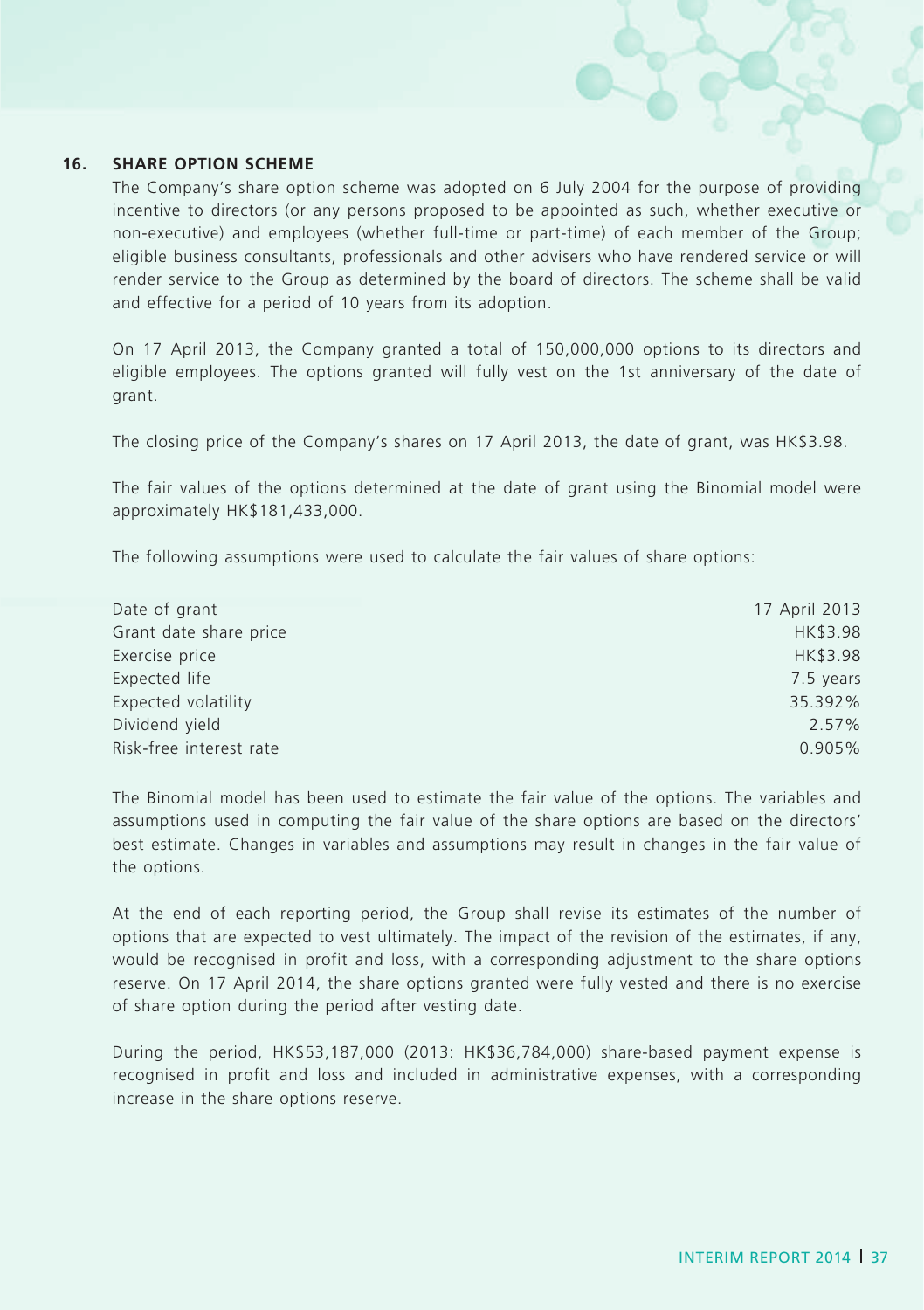#### **16. Share option scheme**

The Company's share option scheme was adopted on 6 July 2004 for the purpose of providing incentive to directors (or any persons proposed to be appointed as such, whether executive or non-executive) and employees (whether full-time or part-time) of each member of the Group; eligible business consultants, professionals and other advisers who have rendered service or will render service to the Group as determined by the board of directors. The scheme shall be valid and effective for a period of 10 years from its adoption.

On 17 April 2013, the Company granted a total of 150,000,000 options to its directors and eligible employees. The options granted will fully vest on the 1st anniversary of the date of grant.

The closing price of the Company's shares on 17 April 2013, the date of grant, was HK\$3.98.

The fair values of the options determined at the date of grant using the Binomial model were approximately HK\$181,433,000.

The following assumptions were used to calculate the fair values of share options:

| 17 April 2013 |
|---------------|
| HK\$3.98      |
| HK\$3.98      |
| 7.5 years     |
| 35.392%       |
| 2.57%         |
| 0.905%        |
|               |

The Binomial model has been used to estimate the fair value of the options. The variables and assumptions used in computing the fair value of the share options are based on the directors' best estimate. Changes in variables and assumptions may result in changes in the fair value of the options.

At the end of each reporting period, the Group shall revise its estimates of the number of options that are expected to vest ultimately. The impact of the revision of the estimates, if any, would be recognised in profit and loss, with a corresponding adjustment to the share options reserve. On 17 April 2014, the share options granted were fully vested and there is no exercise of share option during the period after vesting date.

During the period, HK\$53,187,000 (2013: HK\$36,784,000) share-based payment expense is recognised in profit and loss and included in administrative expenses, with a corresponding increase in the share options reserve.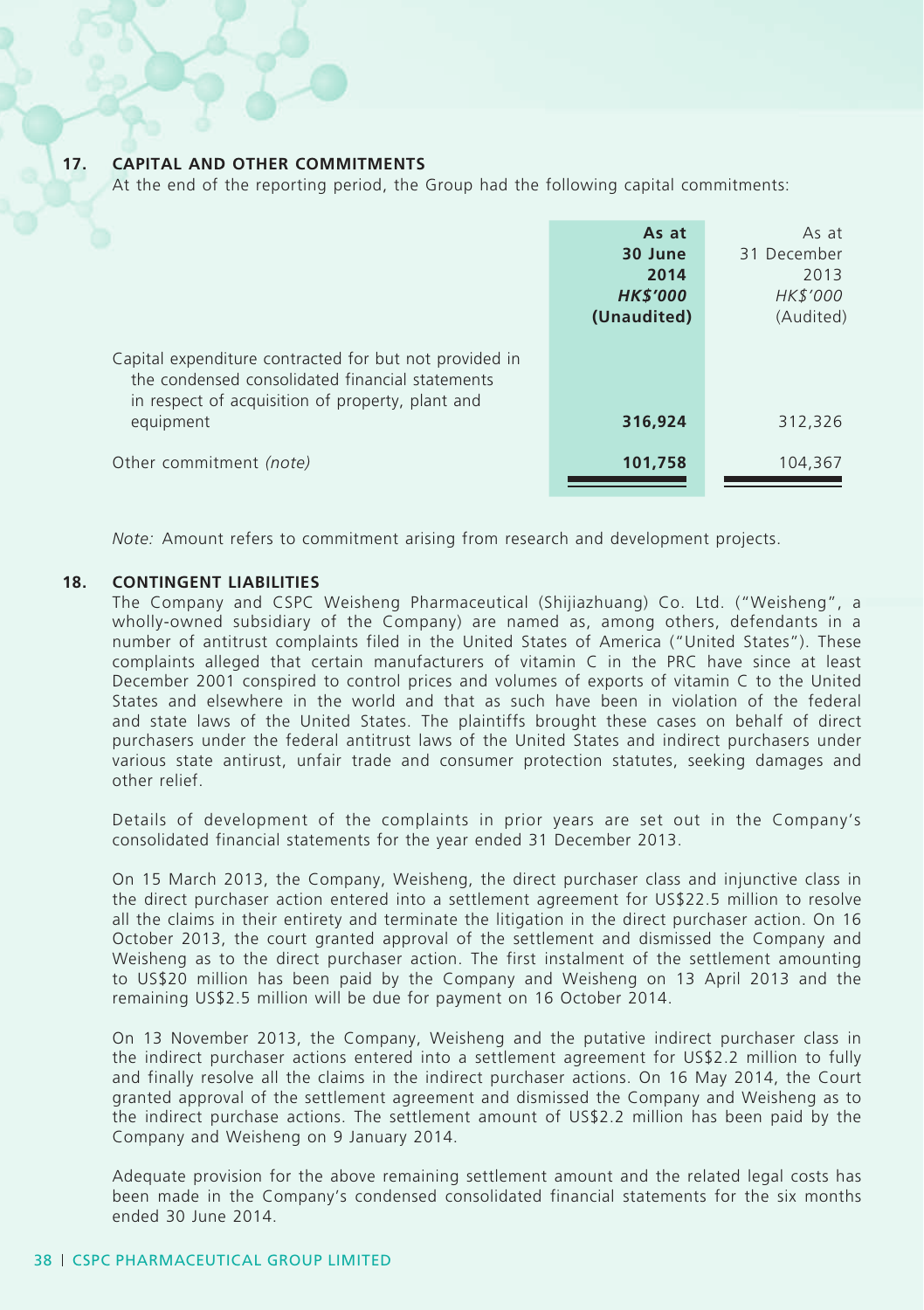#### **17. CAPITAL AND OTHER COMMITMENTS**

At the end of the reporting period, the Group had the following capital commitments:

|                                                                                                                                                               | As at<br>30 June<br>2014<br><b>HK\$'000</b><br>(Unaudited) | As at<br>31 December<br>2013<br>HK\$'000<br>(Audited) |
|---------------------------------------------------------------------------------------------------------------------------------------------------------------|------------------------------------------------------------|-------------------------------------------------------|
| Capital expenditure contracted for but not provided in<br>the condensed consolidated financial statements<br>in respect of acquisition of property, plant and |                                                            |                                                       |
| equipment<br>Other commitment (note)                                                                                                                          | 316,924<br>101,758                                         | 312,326<br>104,367                                    |

*Note:* Amount refers to commitment arising from research and development projects.

#### **18. CONTINGENT LIABILITIES**

The Company and CSPC Weisheng Pharmaceutical (Shijiazhuang) Co. Ltd. ("Weisheng", a wholly-owned subsidiary of the Company) are named as, among others, defendants in a number of antitrust complaints filed in the United States of America ("United States"). These complaints alleged that certain manufacturers of vitamin C in the PRC have since at least December 2001 conspired to control prices and volumes of exports of vitamin C to the United States and elsewhere in the world and that as such have been in violation of the federal and state laws of the United States. The plaintiffs brought these cases on behalf of direct purchasers under the federal antitrust laws of the United States and indirect purchasers under various state antirust, unfair trade and consumer protection statutes, seeking damages and other relief.

Details of development of the complaints in prior years are set out in the Company's consolidated financial statements for the year ended 31 December 2013.

On 15 March 2013, the Company, Weisheng, the direct purchaser class and injunctive class in the direct purchaser action entered into a settlement agreement for US\$22.5 million to resolve all the claims in their entirety and terminate the litigation in the direct purchaser action. On 16 October 2013, the court granted approval of the settlement and dismissed the Company and Weisheng as to the direct purchaser action. The first instalment of the settlement amounting to US\$20 million has been paid by the Company and Weisheng on 13 April 2013 and the remaining US\$2.5 million will be due for payment on 16 October 2014.

On 13 November 2013, the Company, Weisheng and the putative indirect purchaser class in the indirect purchaser actions entered into a settlement agreement for US\$2.2 million to fully and finally resolve all the claims in the indirect purchaser actions. On 16 May 2014, the Court granted approval of the settlement agreement and dismissed the Company and Weisheng as to the indirect purchase actions. The settlement amount of US\$2.2 million has been paid by the Company and Weisheng on 9 January 2014.

Adequate provision for the above remaining settlement amount and the related legal costs has been made in the Company's condensed consolidated financial statements for the six months ended 30 June 2014.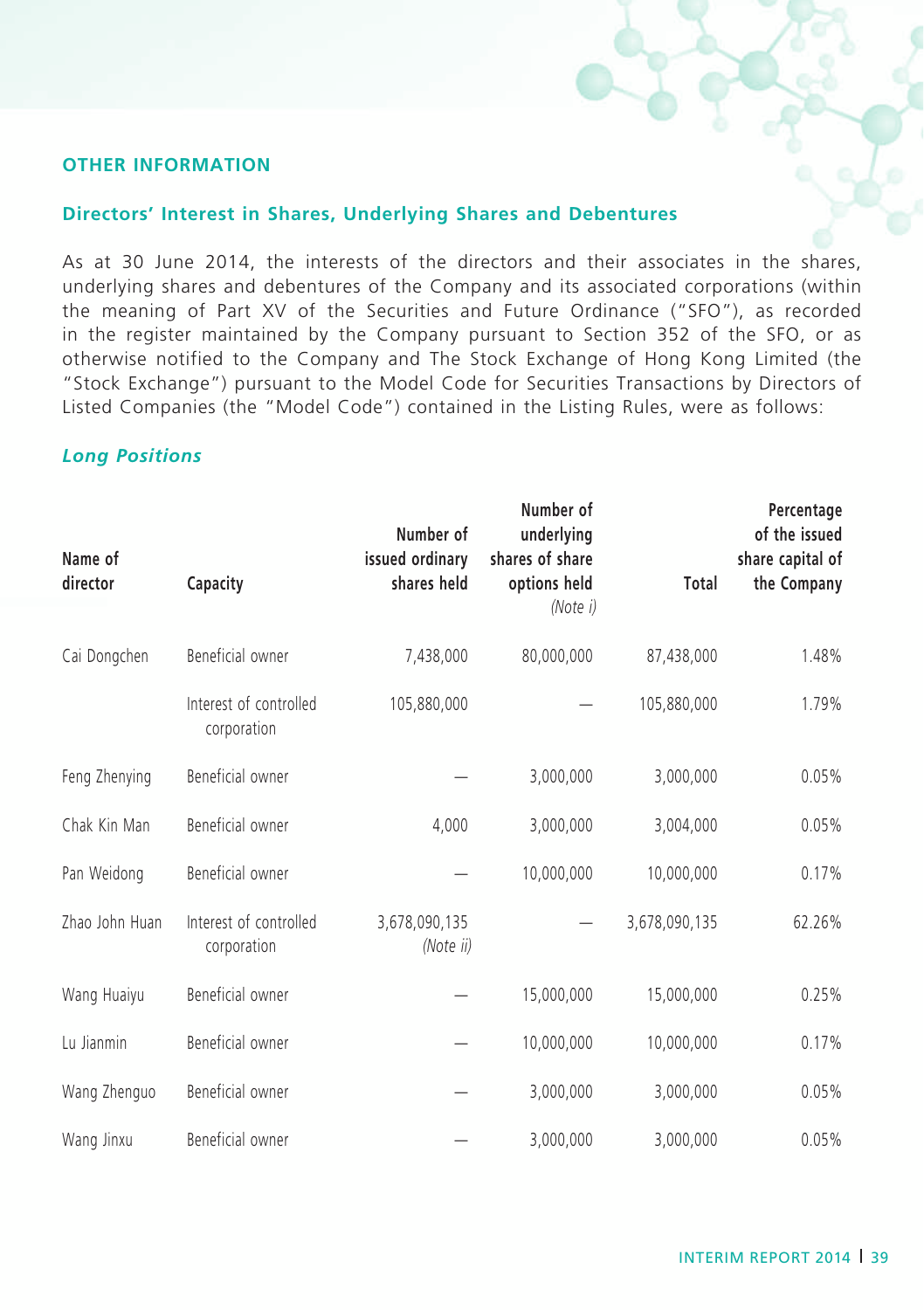### **Other Information**

### **Directors' Interest in Shares, Underlying Shares and Debentures**

As at 30 June 2014, the interests of the directors and their associates in the shares, underlying shares and debentures of the Company and its associated corporations (within the meaning of Part XV of the Securities and Future Ordinance ("SFO"), as recorded in the register maintained by the Company pursuant to Section 352 of the SFO, or as otherwise notified to the Company and The Stock Exchange of Hong Kong Limited (the "Stock Exchange") pursuant to the Model Code for Securities Transactions by Directors of Listed Companies (the "Model Code") contained in the Listing Rules, were as follows:

### *Long Positions*

| Name of        |                                       | Number of<br>issued ordinary | Number of<br>underlying<br>shares of share |               | Percentage<br>of the issued<br>share capital of |  |
|----------------|---------------------------------------|------------------------------|--------------------------------------------|---------------|-------------------------------------------------|--|
| director       | Capacity                              | shares held                  | options held<br>(Note i)                   | Total         | the Company                                     |  |
| Cai Dongchen   | Beneficial owner                      | 7,438,000                    | 80,000,000                                 | 87.438.000    | 1.48%                                           |  |
|                | Interest of controlled<br>corporation | 105,880,000                  |                                            | 105,880,000   | 1.79%                                           |  |
| Feng Zhenying  | Beneficial owner                      |                              | 3,000,000                                  | 3,000,000     | 0.05%                                           |  |
| Chak Kin Man   | Beneficial owner                      | 4,000                        | 3,000,000                                  | 3,004,000     | 0.05%                                           |  |
| Pan Weidong    | Beneficial owner                      |                              | 10,000,000                                 | 10,000,000    | 0.17%                                           |  |
| Zhao John Huan | Interest of controlled<br>corporation | 3,678,090,135<br>(Note ii)   |                                            | 3,678,090,135 | 62.26%                                          |  |
| Wang Huaiyu    | Beneficial owner                      |                              | 15,000,000                                 | 15,000,000    | 0.25%                                           |  |
| Lu Jianmin     | Beneficial owner                      |                              | 10,000,000                                 | 10,000,000    | 0.17%                                           |  |
| Wang Zhenguo   | Beneficial owner                      |                              | 3,000,000                                  | 3,000,000     | 0.05%                                           |  |
| Wang Jinxu     | Beneficial owner                      |                              | 3,000,000                                  | 3,000,000     | 0.05%                                           |  |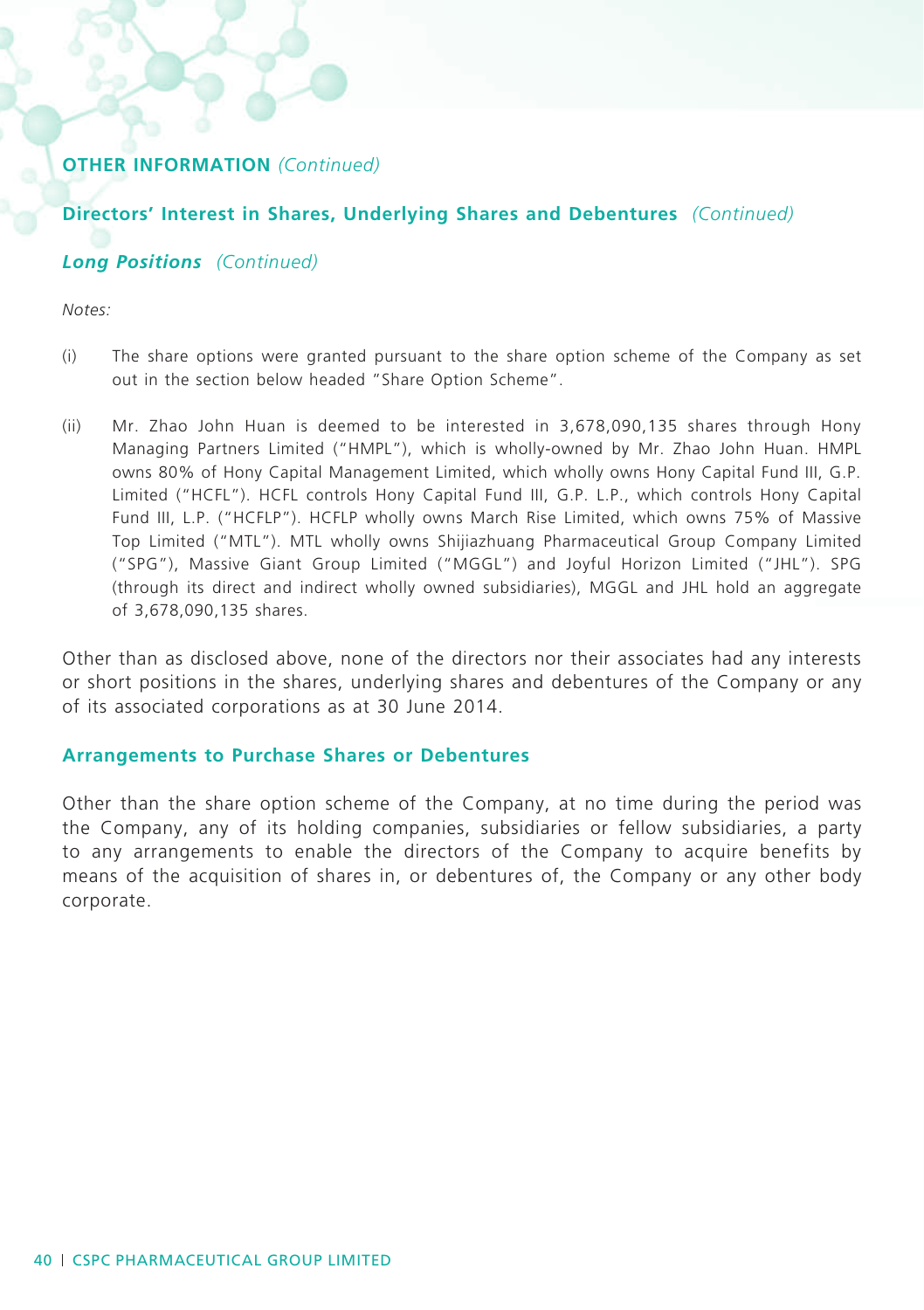### **Directors' Interest in Shares, Underlying Shares and Debentures** *(Continued)*

### *Long Positions (Continued)*

*Notes:*

- (i) The share options were granted pursuant to the share option scheme of the Company as set out in the section below headed "Share Option Scheme".
- (ii) Mr. Zhao John Huan is deemed to be interested in 3,678,090,135 shares through Hony Managing Partners Limited ("HMPL"), which is wholly-owned by Mr. Zhao John Huan. HMPL owns 80% of Hony Capital Management Limited, which wholly owns Hony Capital Fund III, G.P. Limited ("HCFL"). HCFL controls Hony Capital Fund III, G.P. L.P., which controls Hony Capital Fund III, L.P. ("HCFLP"). HCFLP wholly owns March Rise Limited, which owns 75% of Massive Top Limited ("MTL"). MTL wholly owns Shijiazhuang Pharmaceutical Group Company Limited ("SPG"), Massive Giant Group Limited ("MGGL") and Joyful Horizon Limited ("JHL"). SPG (through its direct and indirect wholly owned subsidiaries), MGGL and JHL hold an aggregate of 3,678,090,135 shares.

Other than as disclosed above, none of the directors nor their associates had any interests or short positions in the shares, underlying shares and debentures of the Company or any of its associated corporations as at 30 June 2014.

### **Arrangements to Purchase Shares or Debentures**

Other than the share option scheme of the Company, at no time during the period was the Company, any of its holding companies, subsidiaries or fellow subsidiaries, a party to any arrangements to enable the directors of the Company to acquire benefits by means of the acquisition of shares in, or debentures of, the Company or any other body corporate.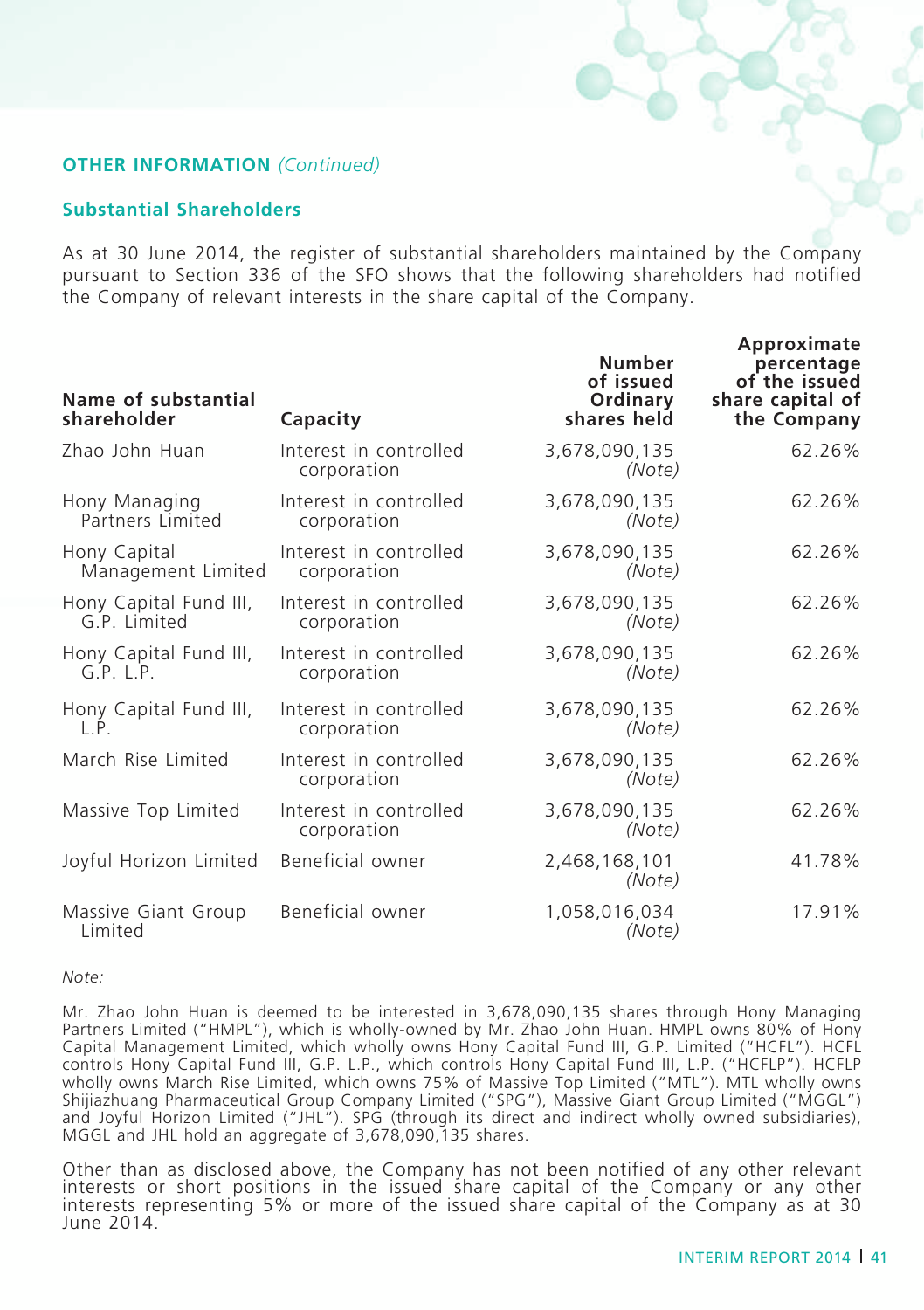#### **Substantial Shareholders**

As at 30 June 2014, the register of substantial shareholders maintained by the Company pursuant to Section 336 of the SFO shows that the following shareholders had notified the Company of relevant interests in the share capital of the Company.

| Name of substantial<br>shareholder     | Capacity                              | <b>Number</b><br>of issued<br>Ordinary<br>shares held | Approximate<br>percentage<br>of the issued<br>share capital of<br>the Company |
|----------------------------------------|---------------------------------------|-------------------------------------------------------|-------------------------------------------------------------------------------|
| Zhao John Huan                         | Interest in controlled<br>corporation | 3,678,090,135<br>(Note)                               | 62.26%                                                                        |
| Hony Managing<br>Partners Limited      | Interest in controlled<br>corporation | 3,678,090,135<br>(Note)                               | 62.26%                                                                        |
| Hony Capital<br>Management Limited     | Interest in controlled<br>corporation | 3,678,090,135<br>(Note)                               | 62.26%                                                                        |
| Hony Capital Fund III,<br>G.P. Limited | Interest in controlled<br>corporation | 3,678,090,135<br>(Note)                               | 62.26%                                                                        |
| Hony Capital Fund III,<br>G.P. L.P.    | Interest in controlled<br>corporation | 3,678,090,135<br>(Note)                               | 62.26%                                                                        |
| Hony Capital Fund III,<br>$\mathsf{P}$ | Interest in controlled<br>corporation | 3,678,090,135<br>(Note)                               | 62.26%                                                                        |
| March Rise Limited                     | Interest in controlled<br>corporation | 3,678,090,135<br>(Note)                               | 62.26%                                                                        |
| Massive Top Limited                    | Interest in controlled<br>corporation | 3,678,090,135<br>(Note)                               | 62.26%                                                                        |
| Joyful Horizon Limited                 | Beneficial owner                      | 2,468,168,101<br>(Note)                               | 41.78%                                                                        |
| Massive Giant Group<br>Limited         | Beneficial owner                      | 1,058,016,034<br>(Note)                               | 17.91%                                                                        |

*Note:*

Mr. Zhao John Huan is deemed to be interested in 3,678,090,135 shares through Hony Managing Partners Limited ("HMPL"), which is wholly-owned by Mr. Zhao John Huan. HMPL owns 80% of Hony Capital Management Limited, which wholly owns Hony Capital Fund III, G.P. Limited ("HCFL"). HCFL controls Hony Capital Fund III, G.P. L.P., which controls Hony Capital Fund III, L.P. ("HCFLP"). HCFLP wholly owns March Rise Limited, which owns 75% of Massive Top Limited ("MTL"). MTL wholly owns Shijiazhuang Pharmaceutical Group Company Limited ("SPG"), Massive Giant Group Limited ("MGGL") and Joyful Horizon Limited ("JHL"). SPG (through its direct and indirect wholly owned subsidiaries), MGGL and JHL hold an aggregate of 3,678,090,135 shares.

Other than as disclosed above, the Company has not been notified of any other relevant interests or short positions in the issued share capital of the Company or any other<br>interests representing 5% or more of the issued share capital of the Company as at 30 June 2014.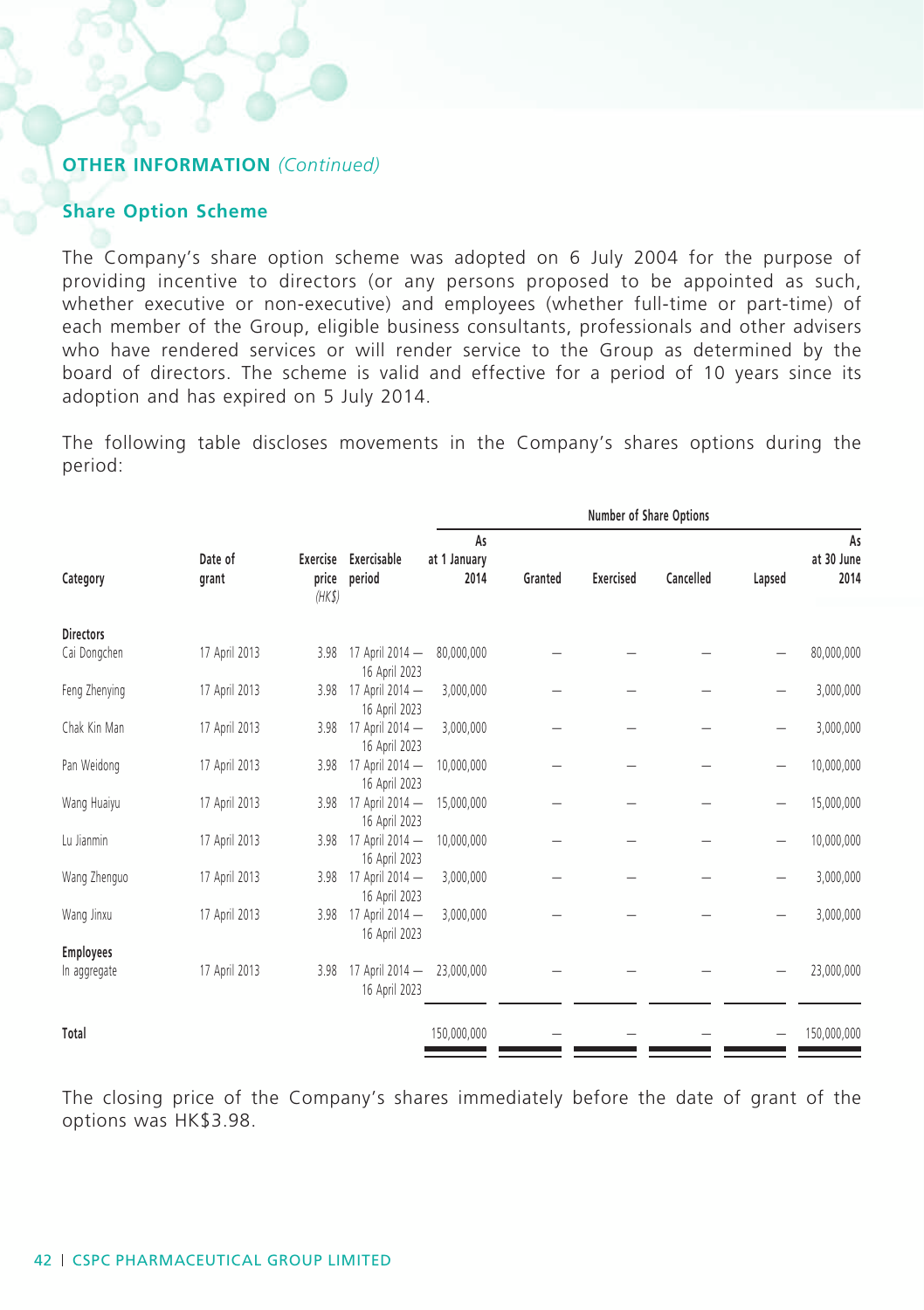#### **Share Option Scheme**

The Company's share option scheme was adopted on 6 July 2004 for the purpose of providing incentive to directors (or any persons proposed to be appointed as such, whether executive or non-executive) and employees (whether full-time or part-time) of each member of the Group, eligible business consultants, professionals and other advisers who have rendered services or will render service to the Group as determined by the board of directors. The scheme is valid and effective for a period of 10 years since its adoption and has expired on 5 July 2014.

The following table discloses movements in the Company's shares options during the period:

|                  |                  | Number of Share Options |                                  |                            |         |                  |           |        |                          |
|------------------|------------------|-------------------------|----------------------------------|----------------------------|---------|------------------|-----------|--------|--------------------------|
| Category         | Date of<br>grant | Exercise<br>price       | Exercisable<br>period            | As<br>at 1 January<br>2014 | Granted | <b>Exercised</b> | Cancelled | Lapsed | As<br>at 30 June<br>2014 |
|                  |                  | (HKS)                   |                                  |                            |         |                  |           |        |                          |
| <b>Directors</b> |                  |                         |                                  |                            |         |                  |           |        |                          |
| Cai Dongchen     | 17 April 2013    | 3.98                    | 17 April 2014 -<br>16 April 2023 | 80,000,000                 |         |                  |           |        | 80,000,000               |
| Feng Zhenying    | 17 April 2013    | 3.98                    | 17 April 2014 -<br>16 April 2023 | 3,000,000                  |         |                  |           |        | 3,000,000                |
| Chak Kin Man     | 17 April 2013    | 3.98                    | 17 April 2014 -<br>16 April 2023 | 3,000,000                  |         |                  |           |        | 3,000,000                |
| Pan Weidong      | 17 April 2013    | 3.98                    | 17 April 2014 -<br>16 April 2023 | 10,000,000                 |         |                  |           |        | 10,000,000               |
| Wang Huaiyu      | 17 April 2013    | 3.98                    | 17 April 2014 -<br>16 April 2023 | 15,000,000                 |         |                  |           |        | 15,000,000               |
| Lu Jianmin       | 17 April 2013    | 3.98                    | 17 April 2014 -<br>16 April 2023 | 10,000,000                 |         |                  |           |        | 10,000,000               |
| Wang Zhenguo     | 17 April 2013    | 3.98                    | 17 April 2014 -<br>16 April 2023 | 3,000,000                  |         |                  |           |        | 3,000,000                |
| Wang Jinxu       | 17 April 2013    | 3.98                    | 17 April 2014 -<br>16 April 2023 | 3,000,000                  |         |                  |           |        | 3,000,000                |
| <b>Employees</b> |                  |                         |                                  |                            |         |                  |           |        |                          |
| In aggregate     | 17 April 2013    | 3.98                    | 17 April 2014 -<br>16 April 2023 | 23,000,000                 |         |                  |           |        | 23,000,000               |
|                  |                  |                         |                                  |                            |         |                  |           |        |                          |
| Total            |                  |                         |                                  | 150,000,000                |         |                  |           |        | 150,000,000              |

The closing price of the Company's shares immediately before the date of grant of the options was HK\$3.98.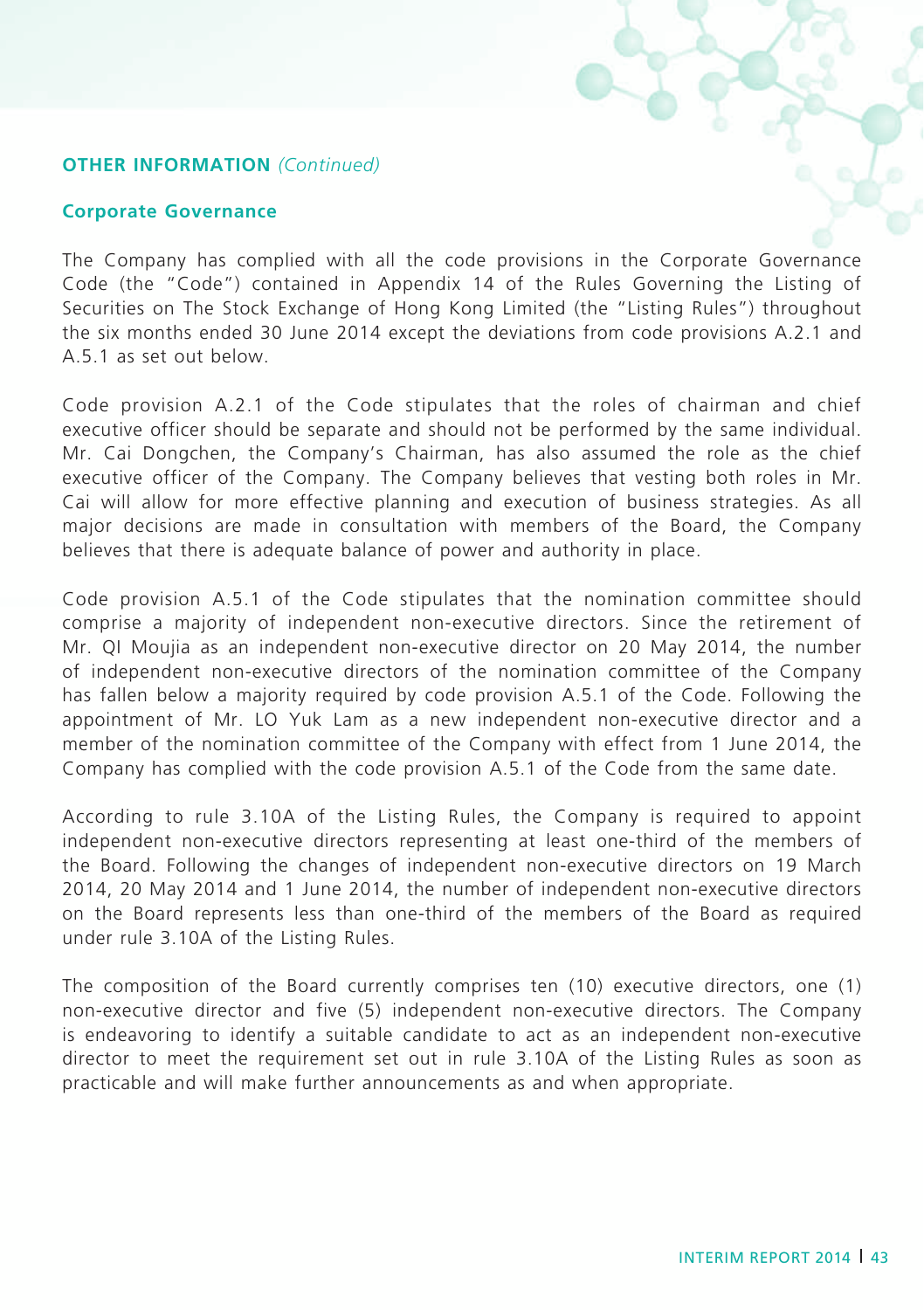#### **Corporate Governance**

The Company has complied with all the code provisions in the Corporate Governance Code (the "Code") contained in Appendix 14 of the Rules Governing the Listing of Securities on The Stock Exchange of Hong Kong Limited (the "Listing Rules") throughout the six months ended 30 June 2014 except the deviations from code provisions A.2.1 and A.5.1 as set out below.

Code provision A.2.1 of the Code stipulates that the roles of chairman and chief executive officer should be separate and should not be performed by the same individual. Mr. Cai Dongchen, the Company's Chairman, has also assumed the role as the chief executive officer of the Company. The Company believes that vesting both roles in Mr. Cai will allow for more effective planning and execution of business strategies. As all major decisions are made in consultation with members of the Board, the Company believes that there is adequate balance of power and authority in place.

Code provision A.5.1 of the Code stipulates that the nomination committee should comprise a majority of independent non-executive directors. Since the retirement of Mr. QI Moujia as an independent non-executive director on 20 May 2014, the number of independent non-executive directors of the nomination committee of the Company has fallen below a majority required by code provision A.5.1 of the Code. Following the appointment of Mr. LO Yuk Lam as a new independent non-executive director and a member of the nomination committee of the Company with effect from 1 June 2014, the Company has complied with the code provision A.5.1 of the Code from the same date.

According to rule 3.10A of the Listing Rules, the Company is required to appoint independent non-executive directors representing at least one-third of the members of the Board. Following the changes of independent non-executive directors on 19 March 2014, 20 May 2014 and 1 June 2014, the number of independent non-executive directors on the Board represents less than one-third of the members of the Board as required under rule 3.10A of the Listing Rules.

The composition of the Board currently comprises ten (10) executive directors, one (1) non-executive director and five (5) independent non-executive directors. The Company is endeavoring to identify a suitable candidate to act as an independent non-executive director to meet the requirement set out in rule 3.10A of the Listing Rules as soon as practicable and will make further announcements as and when appropriate.